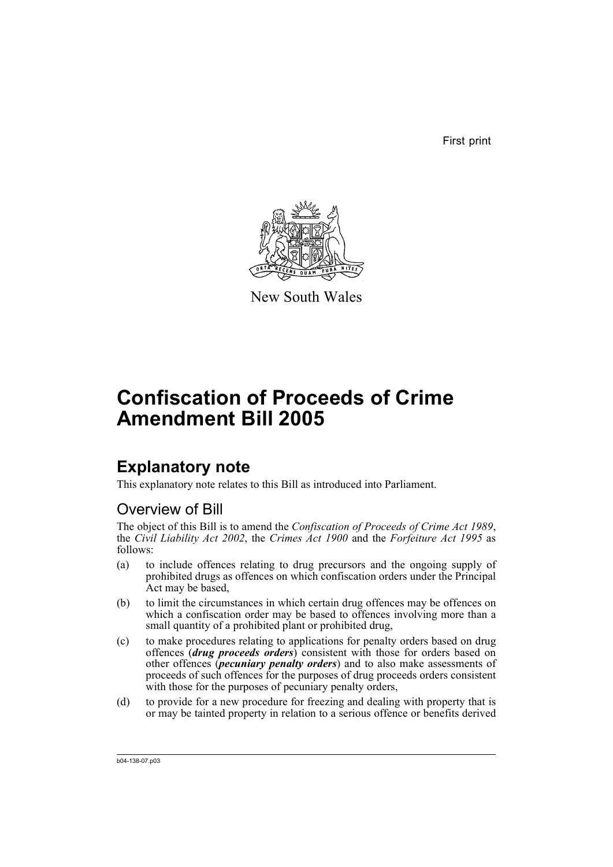First print



New South Wales

# **Confiscation of Proceeds of Crime Amendment Bill 2005**

# **Explanatory note**

This explanatory note relates to this Bill as introduced into Parliament.

# Overview of Bill

The object of this Bill is to amend the *Confiscation of Proceeds of Crime Act 1989*, the *Civil Liability Act 2002*, the *Crimes Act 1900* and the *Forfeiture Act 1995* as follows:

- (a) to include offences relating to drug precursors and the ongoing supply of prohibited drugs as offences on which confiscation orders under the Principal Act may be based,
- (b) to limit the circumstances in which certain drug offences may be offences on which a confiscation order may be based to offences involving more than a small quantity of a prohibited plant or prohibited drug,
- (c) to make procedures relating to applications for penalty orders based on drug offences (*drug proceeds orders*) consistent with those for orders based on other offences (*pecuniary penalty orders*) and to also make assessments of proceeds of such offences for the purposes of drug proceeds orders consistent with those for the purposes of pecuniary penalty orders,
- (d) to provide for a new procedure for freezing and dealing with property that is or may be tainted property in relation to a serious offence or benefits derived

b04-138-07.p03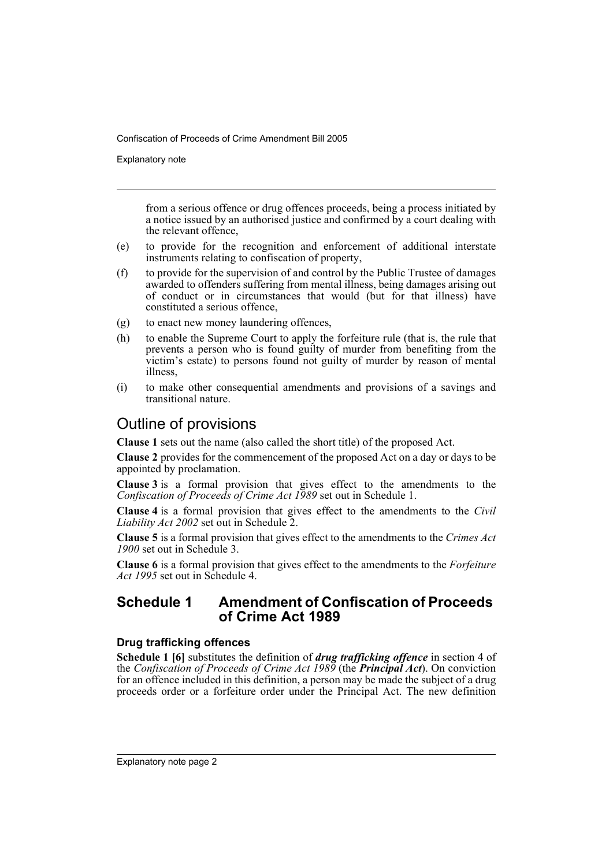Explanatory note

from a serious offence or drug offences proceeds, being a process initiated by a notice issued by an authorised justice and confirmed by a court dealing with the relevant offence,

- (e) to provide for the recognition and enforcement of additional interstate instruments relating to confiscation of property,
- (f) to provide for the supervision of and control by the Public Trustee of damages awarded to offenders suffering from mental illness, being damages arising out of conduct or in circumstances that would (but for that illness) have constituted a serious offence,
- (g) to enact new money laundering offences,
- (h) to enable the Supreme Court to apply the forfeiture rule (that is, the rule that prevents a person who is found guilty of murder from benefiting from the victim's estate) to persons found not guilty of murder by reason of mental illness,
- (i) to make other consequential amendments and provisions of a savings and transitional nature.

# Outline of provisions

**Clause 1** sets out the name (also called the short title) of the proposed Act.

**Clause 2** provides for the commencement of the proposed Act on a day or days to be appointed by proclamation.

**Clause 3** is a formal provision that gives effect to the amendments to the *Confiscation of Proceeds of Crime Act 1989* set out in Schedule 1.

**Clause 4** is a formal provision that gives effect to the amendments to the *Civil Liability Act 2002* set out in Schedule 2.

**Clause 5** is a formal provision that gives effect to the amendments to the *Crimes Act 1900* set out in Schedule 3.

**Clause 6** is a formal provision that gives effect to the amendments to the *Forfeiture Act 1995* set out in Schedule 4.

# **Schedule 1 Amendment of Confiscation of Proceeds of Crime Act 1989**

# **Drug trafficking offences**

**Schedule 1 [6]** substitutes the definition of *drug trafficking offence* in section 4 of the *Confiscation of Proceeds of Crime Act 1989* (the *Principal Act*). On conviction for an offence included in this definition, a person may be made the subject of a drug proceeds order or a forfeiture order under the Principal Act. The new definition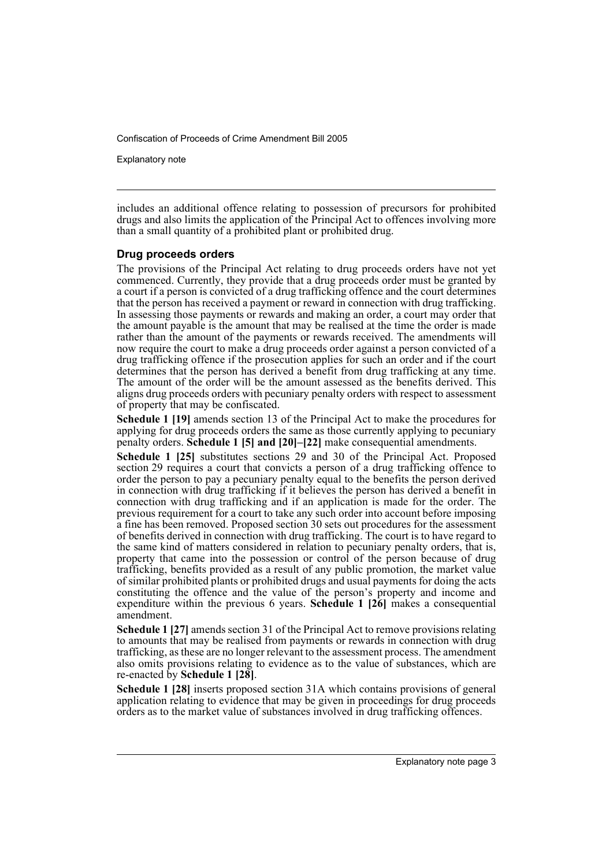Explanatory note

includes an additional offence relating to possession of precursors for prohibited drugs and also limits the application of the Principal Act to offences involving more than a small quantity of a prohibited plant or prohibited drug.

### **Drug proceeds orders**

The provisions of the Principal Act relating to drug proceeds orders have not yet commenced. Currently, they provide that a drug proceeds order must be granted by a court if a person is convicted of a drug trafficking offence and the court determines that the person has received a payment or reward in connection with drug trafficking. In assessing those payments or rewards and making an order, a court may order that the amount payable is the amount that may be realised at the time the order is made rather than the amount of the payments or rewards received. The amendments will now require the court to make a drug proceeds order against a person convicted of a drug trafficking offence if the prosecution applies for such an order and if the court determines that the person has derived a benefit from drug trafficking at any time. The amount of the order will be the amount assessed as the benefits derived. This aligns drug proceeds orders with pecuniary penalty orders with respect to assessment of property that may be confiscated.

**Schedule 1 [19]** amends section 13 of the Principal Act to make the procedures for applying for drug proceeds orders the same as those currently applying to pecuniary penalty orders. **Schedule 1 [5] and [20]–[22]** make consequential amendments.

**Schedule 1 [25]** substitutes sections 29 and 30 of the Principal Act. Proposed section 29 requires a court that convicts a person of a drug trafficking offence to order the person to pay a pecuniary penalty equal to the benefits the person derived in connection with drug trafficking if it believes the person has derived a benefit in connection with drug trafficking and if an application is made for the order. The previous requirement for a court to take any such order into account before imposing a fine has been removed. Proposed section 30 sets out procedures for the assessment of benefits derived in connection with drug trafficking. The court is to have regard to the same kind of matters considered in relation to pecuniary penalty orders, that is, property that came into the possession or control of the person because of drug trafficking, benefits provided as a result of any public promotion, the market value of similar prohibited plants or prohibited drugs and usual payments for doing the acts constituting the offence and the value of the person's property and income and expenditure within the previous 6 years. **Schedule 1 [26]** makes a consequential amendment.

**Schedule 1 [27]** amends section 31 of the Principal Act to remove provisions relating to amounts that may be realised from payments or rewards in connection with drug trafficking, as these are no longer relevant to the assessment process. The amendment also omits provisions relating to evidence as to the value of substances, which are re-enacted by **Schedule 1 [28]**.

**Schedule 1 [28]** inserts proposed section 31A which contains provisions of general application relating to evidence that may be given in proceedings for drug proceeds orders as to the market value of substances involved in drug trafficking offences.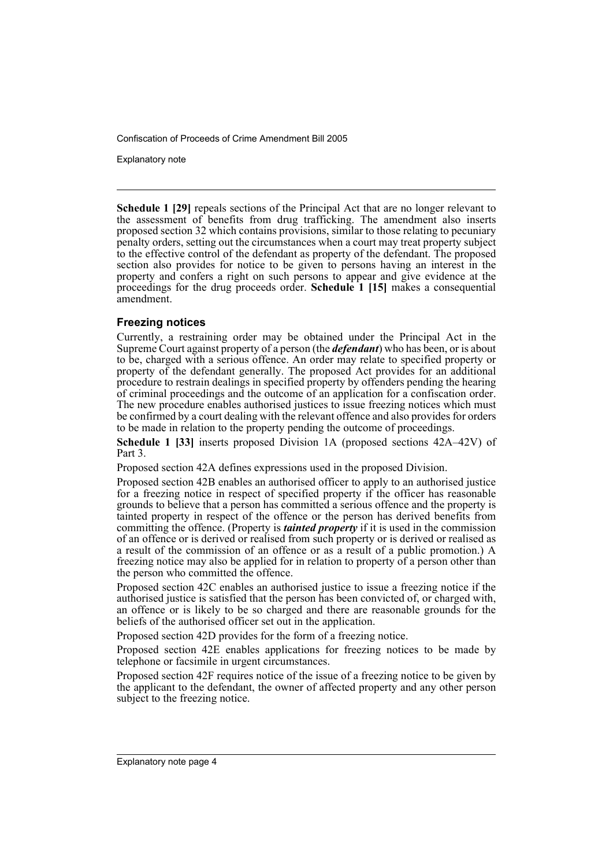Explanatory note

**Schedule 1 [29]** repeals sections of the Principal Act that are no longer relevant to the assessment of benefits from drug trafficking. The amendment also inserts proposed section 32 which contains provisions, similar to those relating to pecuniary penalty orders, setting out the circumstances when a court may treat property subject to the effective control of the defendant as property of the defendant. The proposed section also provides for notice to be given to persons having an interest in the property and confers a right on such persons to appear and give evidence at the proceedings for the drug proceeds order. **Schedule 1 [15]** makes a consequential amendment.

# **Freezing notices**

Currently, a restraining order may be obtained under the Principal Act in the Supreme Court against property of a person (the *defendant*) who has been, or is about to be, charged with a serious offence. An order may relate to specified property or property of the defendant generally. The proposed Act provides for an additional procedure to restrain dealings in specified property by offenders pending the hearing of criminal proceedings and the outcome of an application for a confiscation order. The new procedure enables authorised justices to issue freezing notices which must be confirmed by a court dealing with the relevant offence and also provides for orders to be made in relation to the property pending the outcome of proceedings.

**Schedule 1 [33]** inserts proposed Division 1A (proposed sections 42A–42V) of Part 3.

Proposed section 42A defines expressions used in the proposed Division.

Proposed section 42B enables an authorised officer to apply to an authorised justice for a freezing notice in respect of specified property if the officer has reasonable grounds to believe that a person has committed a serious offence and the property is tainted property in respect of the offence or the person has derived benefits from committing the offence. (Property is *tainted property* if it is used in the commission of an offence or is derived or realised from such property or is derived or realised as a result of the commission of an offence or as a result of a public promotion.) A freezing notice may also be applied for in relation to property of a person other than the person who committed the offence.

Proposed section 42C enables an authorised justice to issue a freezing notice if the authorised justice is satisfied that the person has been convicted of, or charged with, an offence or is likely to be so charged and there are reasonable grounds for the beliefs of the authorised officer set out in the application.

Proposed section 42D provides for the form of a freezing notice.

Proposed section 42E enables applications for freezing notices to be made by telephone or facsimile in urgent circumstances.

Proposed section 42F requires notice of the issue of a freezing notice to be given by the applicant to the defendant, the owner of affected property and any other person subject to the freezing notice.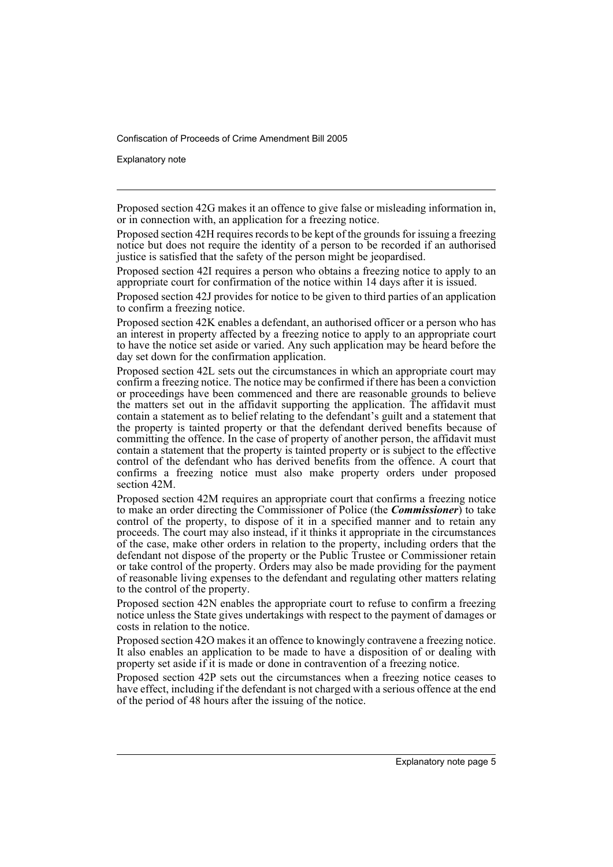Explanatory note

Proposed section 42G makes it an offence to give false or misleading information in, or in connection with, an application for a freezing notice.

Proposed section 42H requires records to be kept of the grounds for issuing a freezing notice but does not require the identity of a person to be recorded if an authorised justice is satisfied that the safety of the person might be jeopardised.

Proposed section 42I requires a person who obtains a freezing notice to apply to an appropriate court for confirmation of the notice within 14 days after it is issued.

Proposed section 42J provides for notice to be given to third parties of an application to confirm a freezing notice.

Proposed section 42K enables a defendant, an authorised officer or a person who has an interest in property affected by a freezing notice to apply to an appropriate court to have the notice set aside or varied. Any such application may be heard before the day set down for the confirmation application.

Proposed section 42L sets out the circumstances in which an appropriate court may confirm a freezing notice. The notice may be confirmed if there has been a conviction or proceedings have been commenced and there are reasonable grounds to believe the matters set out in the affidavit supporting the application. The affidavit must contain a statement as to belief relating to the defendant's guilt and a statement that the property is tainted property or that the defendant derived benefits because of committing the offence. In the case of property of another person, the affidavit must contain a statement that the property is tainted property or is subject to the effective control of the defendant who has derived benefits from the offence. A court that confirms a freezing notice must also make property orders under proposed section 42M.

Proposed section 42M requires an appropriate court that confirms a freezing notice to make an order directing the Commissioner of Police (the *Commissioner*) to take control of the property, to dispose of it in a specified manner and to retain any proceeds. The court may also instead, if it thinks it appropriate in the circumstances of the case, make other orders in relation to the property, including orders that the defendant not dispose of the property or the Public Trustee or Commissioner retain or take control of the property. Orders may also be made providing for the payment of reasonable living expenses to the defendant and regulating other matters relating to the control of the property.

Proposed section 42N enables the appropriate court to refuse to confirm a freezing notice unless the State gives undertakings with respect to the payment of damages or costs in relation to the notice.

Proposed section 42O makes it an offence to knowingly contravene a freezing notice. It also enables an application to be made to have a disposition of or dealing with property set aside if it is made or done in contravention of a freezing notice.

Proposed section 42P sets out the circumstances when a freezing notice ceases to have effect, including if the defendant is not charged with a serious offence at the end of the period of 48 hours after the issuing of the notice.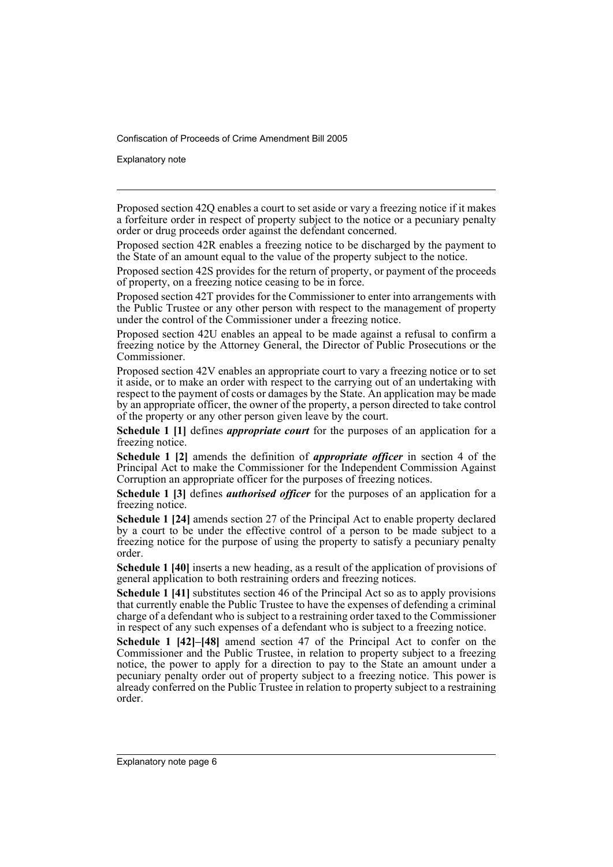Explanatory note

Proposed section 42Q enables a court to set aside or vary a freezing notice if it makes a forfeiture order in respect of property subject to the notice or a pecuniary penalty order or drug proceeds order against the defendant concerned.

Proposed section 42R enables a freezing notice to be discharged by the payment to the State of an amount equal to the value of the property subject to the notice.

Proposed section 42S provides for the return of property, or payment of the proceeds of property, on a freezing notice ceasing to be in force.

Proposed section 42T provides for the Commissioner to enter into arrangements with the Public Trustee or any other person with respect to the management of property under the control of the Commissioner under a freezing notice.

Proposed section 42U enables an appeal to be made against a refusal to confirm a freezing notice by the Attorney General, the Director of Public Prosecutions or the Commissioner.

Proposed section 42V enables an appropriate court to vary a freezing notice or to set it aside, or to make an order with respect to the carrying out of an undertaking with respect to the payment of costs or damages by the State. An application may be made by an appropriate officer, the owner of the property, a person directed to take control of the property or any other person given leave by the court.

**Schedule 1 [1]** defines *appropriate court* for the purposes of an application for a freezing notice.

**Schedule 1 [2]** amends the definition of *appropriate officer* in section 4 of the Principal Act to make the Commissioner for the Independent Commission Against Corruption an appropriate officer for the purposes of freezing notices.

**Schedule 1 [3]** defines *authorised officer* for the purposes of an application for a freezing notice.

**Schedule 1 [24]** amends section 27 of the Principal Act to enable property declared by a court to be under the effective control of a person to be made subject to a freezing notice for the purpose of using the property to satisfy a pecuniary penalty order.

**Schedule 1 [40]** inserts a new heading, as a result of the application of provisions of general application to both restraining orders and freezing notices.

**Schedule 1 [41]** substitutes section 46 of the Principal Act so as to apply provisions that currently enable the Public Trustee to have the expenses of defending a criminal charge of a defendant who is subject to a restraining order taxed to the Commissioner in respect of any such expenses of a defendant who is subject to a freezing notice.

**Schedule 1 [42]–[48]** amend section 47 of the Principal Act to confer on the Commissioner and the Public Trustee, in relation to property subject to a freezing notice, the power to apply for a direction to pay to the State an amount under a pecuniary penalty order out of property subject to a freezing notice. This power is already conferred on the Public Trustee in relation to property subject to a restraining order.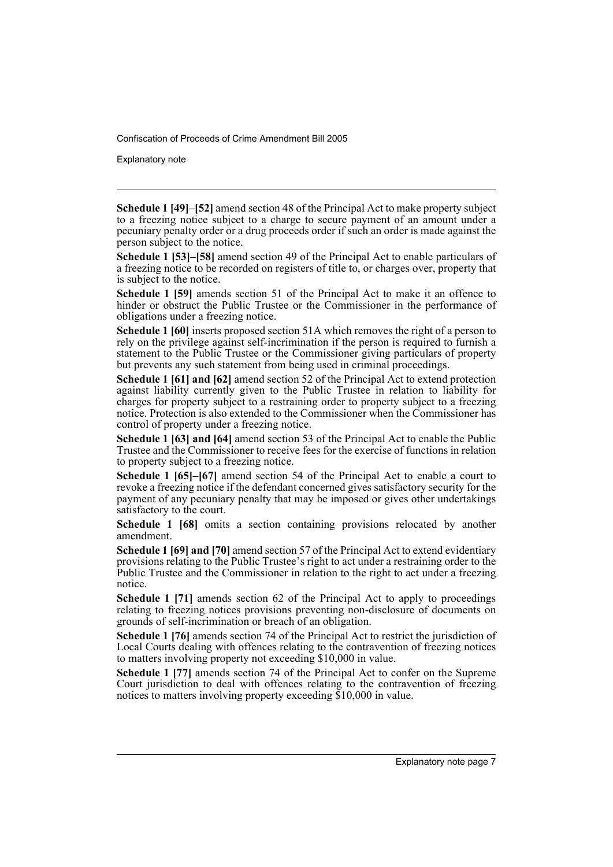Explanatory note

**Schedule 1 [49]–[52]** amend section 48 of the Principal Act to make property subject to a freezing notice subject to a charge to secure payment of an amount under a pecuniary penalty order or a drug proceeds order if such an order is made against the person subject to the notice.

**Schedule 1 [53]–[58]** amend section 49 of the Principal Act to enable particulars of a freezing notice to be recorded on registers of title to, or charges over, property that is subject to the notice.

**Schedule 1 [59]** amends section 51 of the Principal Act to make it an offence to hinder or obstruct the Public Trustee or the Commissioner in the performance of obligations under a freezing notice.

**Schedule 1 [60]** inserts proposed section 51A which removes the right of a person to rely on the privilege against self-incrimination if the person is required to furnish a statement to the Public Trustee or the Commissioner giving particulars of property but prevents any such statement from being used in criminal proceedings.

**Schedule 1 [61] and [62]** amend section 52 of the Principal Act to extend protection against liability currently given to the Public Trustee in relation to liability for charges for property subject to a restraining order to property subject to a freezing notice. Protection is also extended to the Commissioner when the Commissioner has control of property under a freezing notice.

**Schedule 1 [63] and [64]** amend section 53 of the Principal Act to enable the Public Trustee and the Commissioner to receive fees for the exercise of functions in relation to property subject to a freezing notice.

**Schedule 1 [65]–[67]** amend section 54 of the Principal Act to enable a court to revoke a freezing notice if the defendant concerned gives satisfactory security for the payment of any pecuniary penalty that may be imposed or gives other undertakings satisfactory to the court.

**Schedule 1 [68]** omits a section containing provisions relocated by another amendment.

**Schedule 1 [69] and [70]** amend section 57 of the Principal Act to extend evidentiary provisions relating to the Public Trustee's right to act under a restraining order to the Public Trustee and the Commissioner in relation to the right to act under a freezing notice.

**Schedule 1 [71]** amends section 62 of the Principal Act to apply to proceedings relating to freezing notices provisions preventing non-disclosure of documents on grounds of self-incrimination or breach of an obligation.

**Schedule 1 [76]** amends section 74 of the Principal Act to restrict the jurisdiction of Local Courts dealing with offences relating to the contravention of freezing notices to matters involving property not exceeding \$10,000 in value.

**Schedule 1 [77]** amends section 74 of the Principal Act to confer on the Supreme Court jurisdiction to deal with offences relating to the contravention of freezing notices to matters involving property exceeding \$10,000 in value.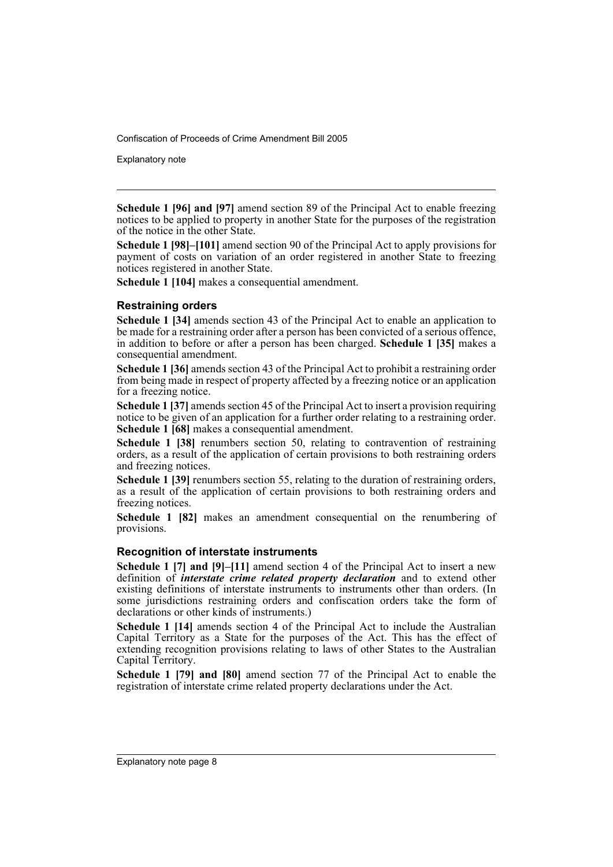Explanatory note

**Schedule 1 [96] and [97]** amend section 89 of the Principal Act to enable freezing notices to be applied to property in another State for the purposes of the registration of the notice in the other State.

**Schedule 1 [98]–[101]** amend section 90 of the Principal Act to apply provisions for payment of costs on variation of an order registered in another State to freezing notices registered in another State.

**Schedule 1 [104]** makes a consequential amendment.

# **Restraining orders**

**Schedule 1 [34]** amends section 43 of the Principal Act to enable an application to be made for a restraining order after a person has been convicted of a serious offence, in addition to before or after a person has been charged. **Schedule 1 [35]** makes a consequential amendment.

**Schedule 1 [36]** amends section 43 of the Principal Act to prohibit a restraining order from being made in respect of property affected by a freezing notice or an application for a freezing notice.

**Schedule 1 [37]** amends section 45 of the Principal Act to insert a provision requiring notice to be given of an application for a further order relating to a restraining order. **Schedule 1 [68]** makes a consequential amendment.

**Schedule 1 [38]** renumbers section 50, relating to contravention of restraining orders, as a result of the application of certain provisions to both restraining orders and freezing notices.

Schedule 1 [39] renumbers section 55, relating to the duration of restraining orders, as a result of the application of certain provisions to both restraining orders and freezing notices.

**Schedule 1 [82]** makes an amendment consequential on the renumbering of provisions.

### **Recognition of interstate instruments**

**Schedule 1 [7] and [9]–[11]** amend section 4 of the Principal Act to insert a new definition of *interstate crime related property declaration* and to extend other existing definitions of interstate instruments to instruments other than orders. (In some jurisdictions restraining orders and confiscation orders take the form of declarations or other kinds of instruments.)

**Schedule 1 [14]** amends section 4 of the Principal Act to include the Australian Capital Territory as a State for the purposes of the Act. This has the effect of extending recognition provisions relating to laws of other States to the Australian Capital Territory.

**Schedule 1 [79] and [80]** amend section 77 of the Principal Act to enable the registration of interstate crime related property declarations under the Act.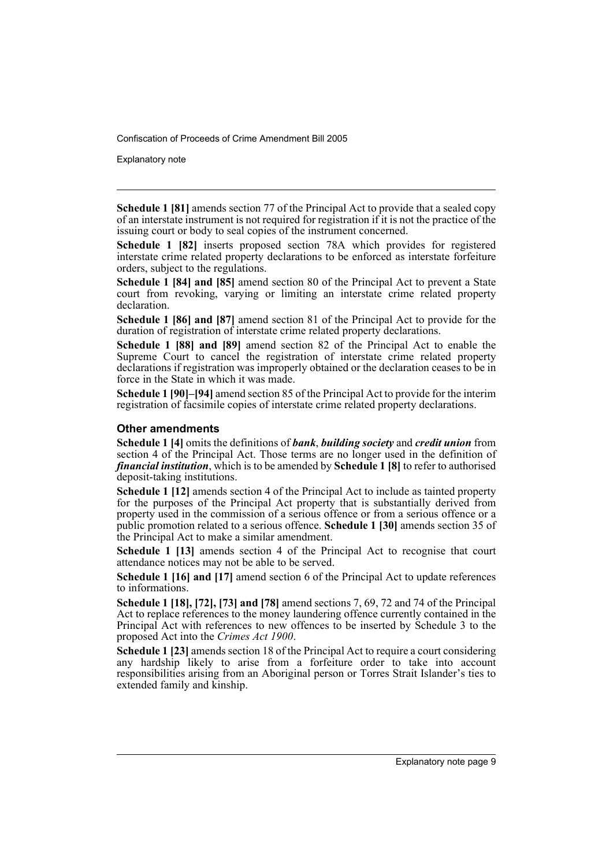Explanatory note

**Schedule 1 [81]** amends section 77 of the Principal Act to provide that a sealed copy of an interstate instrument is not required for registration if it is not the practice of the issuing court or body to seal copies of the instrument concerned.

**Schedule 1 [82]** inserts proposed section 78A which provides for registered interstate crime related property declarations to be enforced as interstate forfeiture orders, subject to the regulations.

**Schedule 1 [84] and [85]** amend section 80 of the Principal Act to prevent a State court from revoking, varying or limiting an interstate crime related property declaration.

**Schedule 1 [86] and [87]** amend section 81 of the Principal Act to provide for the duration of registration of interstate crime related property declarations.

**Schedule 1 [88] and [89]** amend section 82 of the Principal Act to enable the Supreme Court to cancel the registration of interstate crime related property declarations if registration was improperly obtained or the declaration ceases to be in force in the State in which it was made.

**Schedule 1 [90]–[94]** amend section 85 of the Principal Act to provide for the interim registration of facsimile copies of interstate crime related property declarations.

# **Other amendments**

**Schedule 1 [4]** omits the definitions of *bank*, *building society* and *credit union* from section 4 of the Principal Act. Those terms are no longer used in the definition of *financial institution*, which is to be amended by **Schedule 1 [8]** to refer to authorised deposit-taking institutions.

**Schedule 1 [12]** amends section 4 of the Principal Act to include as tainted property for the purposes of the Principal Act property that is substantially derived from property used in the commission of a serious offence or from a serious offence or a public promotion related to a serious offence. **Schedule 1 [30]** amends section 35 of the Principal Act to make a similar amendment.

**Schedule 1 [13]** amends section 4 of the Principal Act to recognise that court attendance notices may not be able to be served.

**Schedule 1 [16] and [17]** amend section 6 of the Principal Act to update references to informations.

**Schedule 1 [18], [72], [73] and [78]** amend sections 7, 69, 72 and 74 of the Principal Act to replace references to the money laundering offence currently contained in the Principal Act with references to new offences to be inserted by Schedule 3 to the proposed Act into the *Crimes Act 1900*.

**Schedule 1 [23]** amends section 18 of the Principal Act to require a court considering any hardship likely to arise from a forfeiture order to take into account responsibilities arising from an Aboriginal person or Torres Strait Islander's ties to extended family and kinship.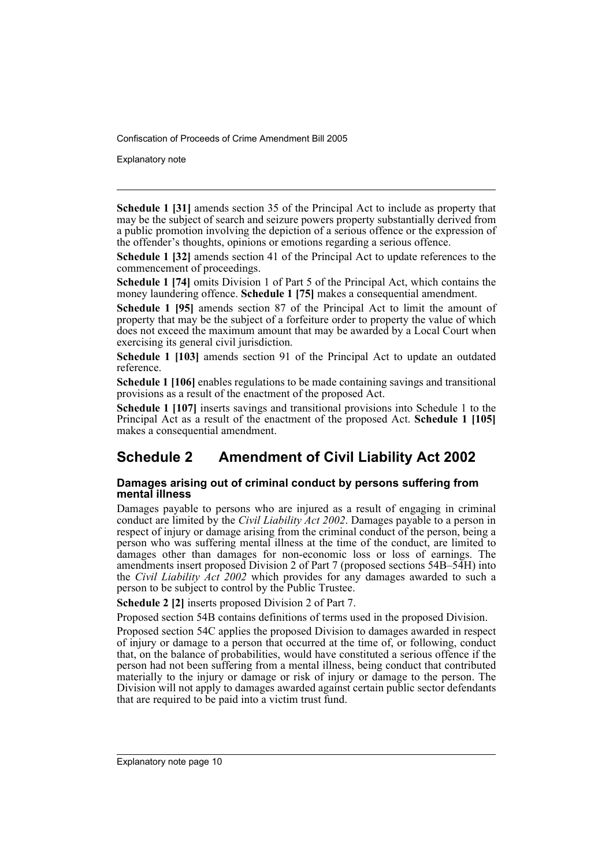Explanatory note

**Schedule 1 [31]** amends section 35 of the Principal Act to include as property that may be the subject of search and seizure powers property substantially derived from a public promotion involving the depiction of a serious offence or the expression of the offender's thoughts, opinions or emotions regarding a serious offence.

**Schedule 1 [32]** amends section 41 of the Principal Act to update references to the commencement of proceedings.

**Schedule 1 [74]** omits Division 1 of Part 5 of the Principal Act, which contains the money laundering offence. **Schedule 1 [75]** makes a consequential amendment.

**Schedule 1 [95]** amends section 87 of the Principal Act to limit the amount of property that may be the subject of a forfeiture order to property the value of which does not exceed the maximum amount that may be awarded by a Local Court when exercising its general civil jurisdiction.

**Schedule 1 [103]** amends section 91 of the Principal Act to update an outdated reference.

**Schedule 1 [106]** enables regulations to be made containing savings and transitional provisions as a result of the enactment of the proposed Act.

**Schedule 1 [107]** inserts savings and transitional provisions into Schedule 1 to the Principal Act as a result of the enactment of the proposed Act. **Schedule 1 [105]** makes a consequential amendment.

# **Schedule 2 Amendment of Civil Liability Act 2002**

# **Damages arising out of criminal conduct by persons suffering from mental illness**

Damages payable to persons who are injured as a result of engaging in criminal conduct are limited by the *Civil Liability Act 2002*. Damages payable to a person in respect of injury or damage arising from the criminal conduct of the person, being a person who was suffering mental illness at the time of the conduct, are limited to damages other than damages for non-economic loss or loss of earnings. The amendments insert proposed Division 2 of Part 7 (proposed sections 54B–54H) into the *Civil Liability*  $\text{Act}^2 2002$  which provides for any damages awarded to such a person to be subject to control by the Public Trustee.

**Schedule 2 [2]** inserts proposed Division 2 of Part 7.

Proposed section 54B contains definitions of terms used in the proposed Division.

Proposed section 54C applies the proposed Division to damages awarded in respect of injury or damage to a person that occurred at the time of, or following, conduct that, on the balance of probabilities, would have constituted a serious offence if the person had not been suffering from a mental illness, being conduct that contributed materially to the injury or damage or risk of injury or damage to the person. The Division will not apply to damages awarded against certain public sector defendants that are required to be paid into a victim trust fund.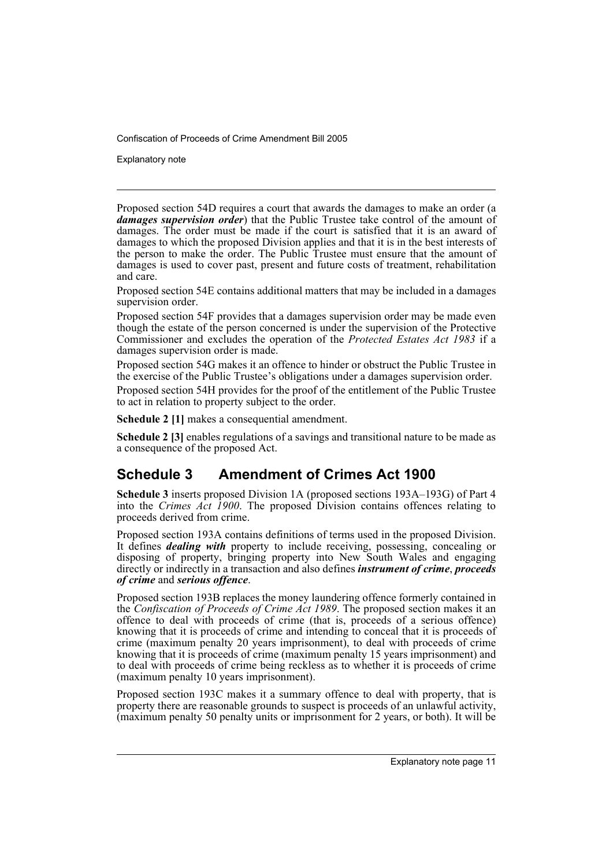Explanatory note

Proposed section 54D requires a court that awards the damages to make an order (a *damages supervision order*) that the Public Trustee take control of the amount of damages. The order must be made if the court is satisfied that it is an award of damages to which the proposed Division applies and that it is in the best interests of the person to make the order. The Public Trustee must ensure that the amount of damages is used to cover past, present and future costs of treatment, rehabilitation and care.

Proposed section 54E contains additional matters that may be included in a damages supervision order.

Proposed section 54F provides that a damages supervision order may be made even though the estate of the person concerned is under the supervision of the Protective Commissioner and excludes the operation of the *Protected Estates Act 1983* if a damages supervision order is made.

Proposed section 54G makes it an offence to hinder or obstruct the Public Trustee in the exercise of the Public Trustee's obligations under a damages supervision order.

Proposed section 54H provides for the proof of the entitlement of the Public Trustee to act in relation to property subject to the order.

**Schedule 2 [1]** makes a consequential amendment.

**Schedule 2 [3]** enables regulations of a savings and transitional nature to be made as a consequence of the proposed Act.

# **Schedule 3 Amendment of Crimes Act 1900**

**Schedule 3** inserts proposed Division 1A (proposed sections 193A–193G) of Part 4 into the *Crimes Act 1900*. The proposed Division contains offences relating to proceeds derived from crime.

Proposed section 193A contains definitions of terms used in the proposed Division. It defines *dealing with* property to include receiving, possessing, concealing or disposing of property, bringing property into New South Wales and engaging directly or indirectly in a transaction and also defines *instrument of crime*, *proceeds of crime* and *serious offence*.

Proposed section 193B replaces the money laundering offence formerly contained in the *Confiscation of Proceeds of Crime Act 1989*. The proposed section makes it an offence to deal with proceeds of crime (that is, proceeds of a serious offence) knowing that it is proceeds of crime and intending to conceal that it is proceeds of crime (maximum penalty 20 years imprisonment), to deal with proceeds of crime knowing that it is proceeds of crime (maximum penalty 15 years imprisonment) and to deal with proceeds of crime being reckless as to whether it is proceeds of crime (maximum penalty 10 years imprisonment).

Proposed section 193C makes it a summary offence to deal with property, that is property there are reasonable grounds to suspect is proceeds of an unlawful activity, (maximum penalty 50 penalty units or imprisonment for 2 years, or both). It will be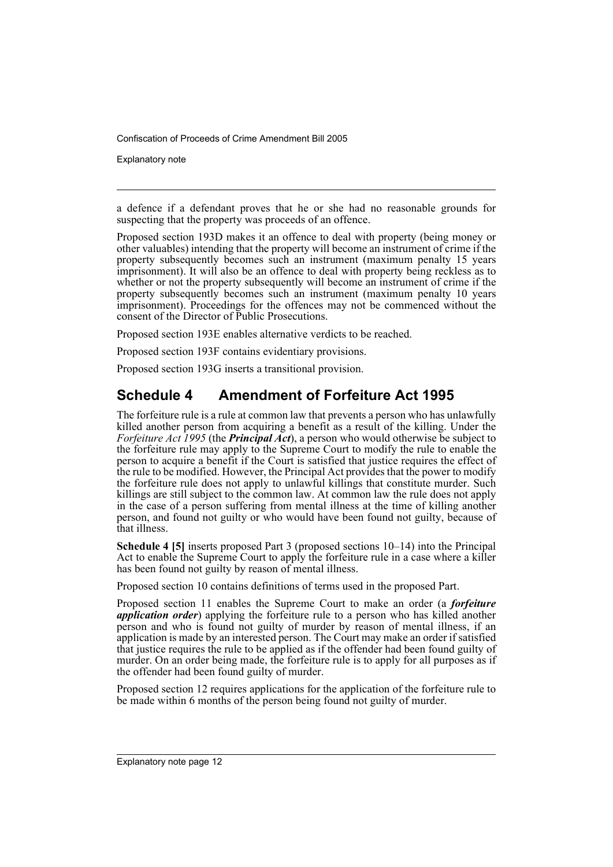Explanatory note

a defence if a defendant proves that he or she had no reasonable grounds for suspecting that the property was proceeds of an offence.

Proposed section 193D makes it an offence to deal with property (being money or other valuables) intending that the property will become an instrument of crime if the property subsequently becomes such an instrument (maximum penalty 15 years imprisonment). It will also be an offence to deal with property being reckless as to whether or not the property subsequently will become an instrument of crime if the property subsequently becomes such an instrument (maximum penalty 10 years imprisonment). Proceedings for the offences may not be commenced without the consent of the Director of Public Prosecutions.

Proposed section 193E enables alternative verdicts to be reached.

Proposed section 193F contains evidentiary provisions.

Proposed section 193G inserts a transitional provision.

# **Schedule 4 Amendment of Forfeiture Act 1995**

The forfeiture rule is a rule at common law that prevents a person who has unlawfully killed another person from acquiring a benefit as a result of the killing. Under the *Forfeiture Act 1995* (the *Principal Act*), a person who would otherwise be subject to the forfeiture rule may apply to the Supreme Court to modify the rule to enable the person to acquire a benefit if the Court is satisfied that justice requires the effect of the rule to be modified. However, the Principal Act provides that the power to modify the forfeiture rule does not apply to unlawful killings that constitute murder. Such killings are still subject to the common law. At common law the rule does not apply in the case of a person suffering from mental illness at the time of killing another person, and found not guilty or who would have been found not guilty, because of that illness.

**Schedule 4 [5]** inserts proposed Part 3 (proposed sections 10–14) into the Principal Act to enable the Supreme Court to apply the forfeiture rule in a case where a killer has been found not guilty by reason of mental illness.

Proposed section 10 contains definitions of terms used in the proposed Part.

Proposed section 11 enables the Supreme Court to make an order (a *forfeiture application order*) applying the forfeiture rule to a person who has killed another person and who is found not guilty of murder by reason of mental illness, if an application is made by an interested person. The Court may make an order if satisfied that justice requires the rule to be applied as if the offender had been found guilty of murder. On an order being made, the forfeiture rule is to apply for all purposes as if the offender had been found guilty of murder.

Proposed section 12 requires applications for the application of the forfeiture rule to be made within 6 months of the person being found not guilty of murder.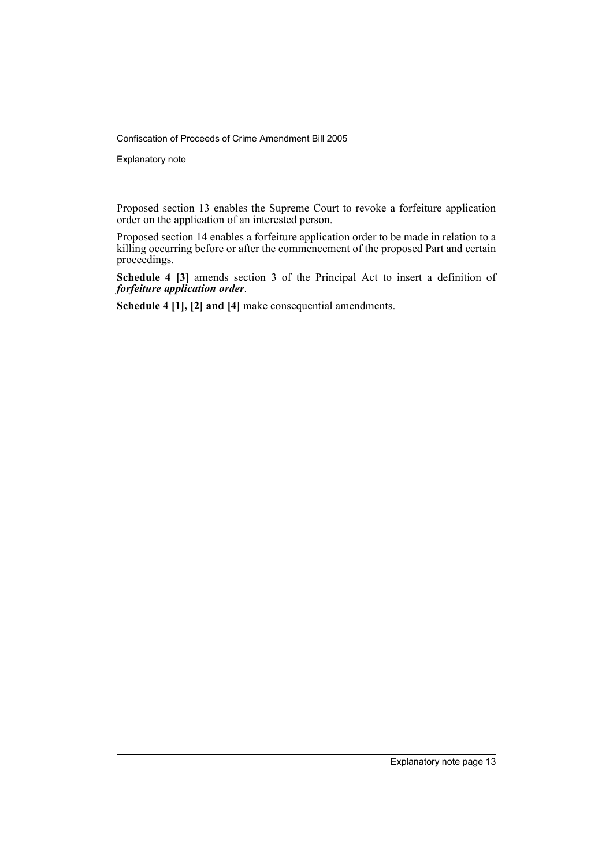Explanatory note

Proposed section 13 enables the Supreme Court to revoke a forfeiture application order on the application of an interested person.

Proposed section 14 enables a forfeiture application order to be made in relation to a killing occurring before or after the commencement of the proposed Part and certain proceedings.

**Schedule 4 [3]** amends section 3 of the Principal Act to insert a definition of *forfeiture application order*.

**Schedule 4 [1], [2] and [4]** make consequential amendments.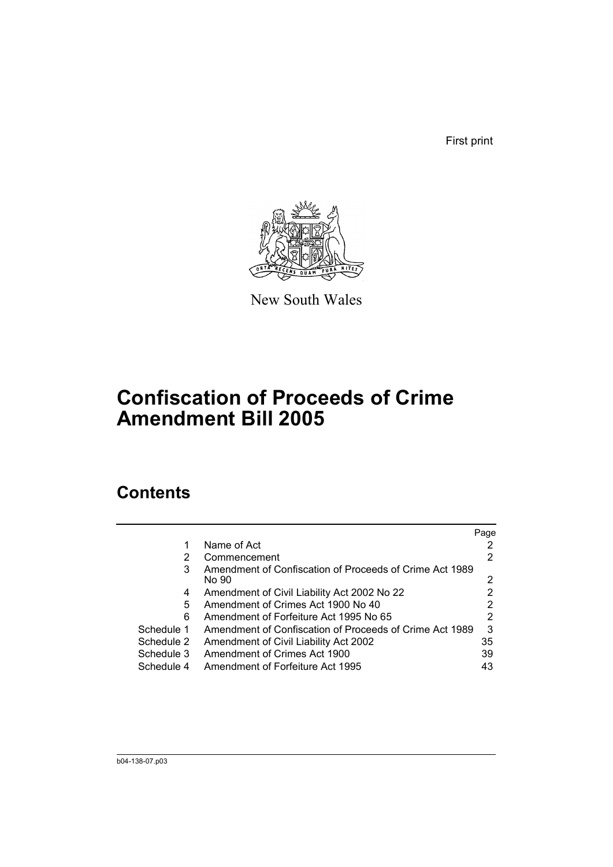First print



New South Wales

# **Confiscation of Proceeds of Crime Amendment Bill 2005**

# **Contents**

|            |                                                                  | Page |
|------------|------------------------------------------------------------------|------|
|            | Name of Act                                                      |      |
| 2          | Commencement                                                     | 2    |
| 3          | Amendment of Confiscation of Proceeds of Crime Act 1989<br>No 90 | 2    |
| 4          | Amendment of Civil Liability Act 2002 No 22                      |      |
| 5          | Amendment of Crimes Act 1900 No 40                               |      |
| 6          | Amendment of Forfeiture Act 1995 No 65                           | 2    |
| Schedule 1 | Amendment of Confiscation of Proceeds of Crime Act 1989          | 3    |
| Schedule 2 | Amendment of Civil Liability Act 2002                            | 35   |
| Schedule 3 | Amendment of Crimes Act 1900                                     | 39   |
| Schedule 4 | Amendment of Forfeiture Act 1995                                 | 43   |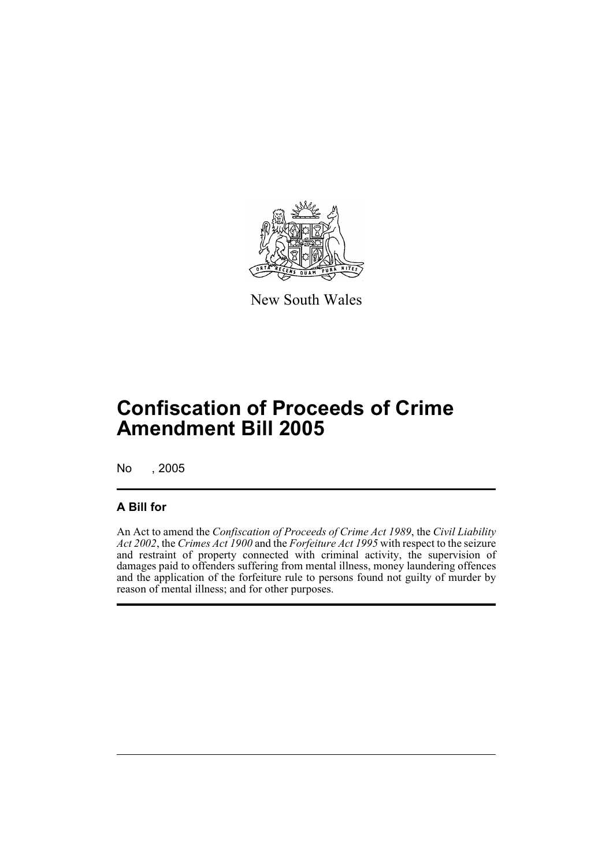

New South Wales

# **Confiscation of Proceeds of Crime Amendment Bill 2005**

No , 2005

# **A Bill for**

An Act to amend the *Confiscation of Proceeds of Crime Act 1989*, the *Civil Liability Act 2002*, the *Crimes Act 1900* and the *Forfeiture Act 1995* with respect to the seizure and restraint of property connected with criminal activity, the supervision of damages paid to offenders suffering from mental illness, money laundering offences and the application of the forfeiture rule to persons found not guilty of murder by reason of mental illness; and for other purposes.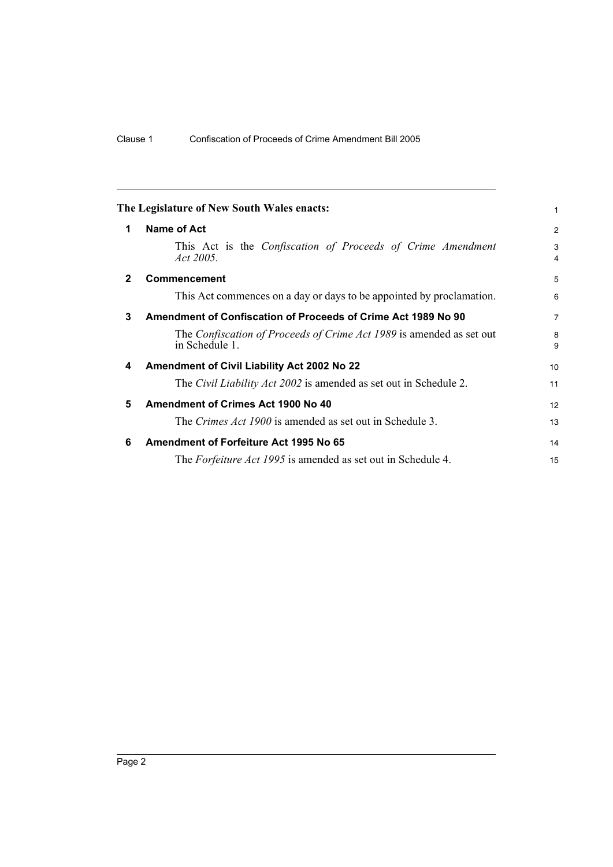<span id="page-17-5"></span><span id="page-17-4"></span><span id="page-17-3"></span><span id="page-17-2"></span><span id="page-17-1"></span><span id="page-17-0"></span>

|              | The Legislature of New South Wales enacts:                                             | 1                   |
|--------------|----------------------------------------------------------------------------------------|---------------------|
| 1            | <b>Name of Act</b>                                                                     | $\overline{2}$      |
|              | This Act is the Confiscation of Proceeds of Crime Amendment<br>Act 2005.               | 3<br>$\overline{4}$ |
| $\mathbf{2}$ | <b>Commencement</b>                                                                    | 5                   |
|              | This Act commences on a day or days to be appointed by proclamation.                   | 6                   |
| 3            | Amendment of Confiscation of Proceeds of Crime Act 1989 No 90                          | $\overline{7}$      |
|              | The Confiscation of Proceeds of Crime Act 1989 is amended as set out<br>in Schedule 1. | 8<br>9              |
| 4            | Amendment of Civil Liability Act 2002 No 22                                            | 10                  |
|              | The <i>Civil Liability Act 2002</i> is amended as set out in Schedule 2.               | 11                  |
| 5            | Amendment of Crimes Act 1900 No 40                                                     | 12                  |
|              | The <i>Crimes Act 1900</i> is amended as set out in Schedule 3.                        | 13                  |
| 6            | Amendment of Forfeiture Act 1995 No 65                                                 | 14                  |
|              | The Forfeiture Act 1995 is amended as set out in Schedule 4.                           | 15                  |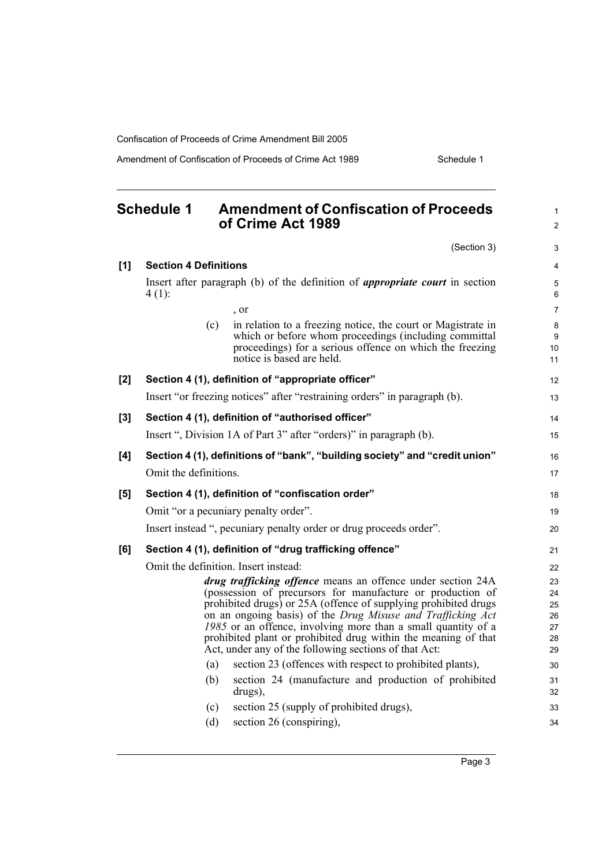Amendment of Confiscation of Proceeds of Crime Act 1989 Schedule 1

<span id="page-18-0"></span>

|       | <b>Schedule 1</b>            | <b>Amendment of Confiscation of Proceeds</b><br>of Crime Act 1989                                                                                                                                                                                                                                                                                                                                                                                       | $\mathbf{1}$<br>$\overline{2}$         |
|-------|------------------------------|---------------------------------------------------------------------------------------------------------------------------------------------------------------------------------------------------------------------------------------------------------------------------------------------------------------------------------------------------------------------------------------------------------------------------------------------------------|----------------------------------------|
|       |                              | (Section 3)                                                                                                                                                                                                                                                                                                                                                                                                                                             | 3                                      |
| [1]   | <b>Section 4 Definitions</b> |                                                                                                                                                                                                                                                                                                                                                                                                                                                         | $\overline{4}$                         |
|       | $4(1)$ :                     | Insert after paragraph (b) of the definition of <i>appropriate court</i> in section                                                                                                                                                                                                                                                                                                                                                                     | 5<br>6                                 |
|       |                              | , or                                                                                                                                                                                                                                                                                                                                                                                                                                                    | $\overline{7}$                         |
|       | (c)                          | in relation to a freezing notice, the court or Magistrate in<br>which or before whom proceedings (including committal<br>proceedings) for a serious offence on which the freezing<br>notice is based are held.                                                                                                                                                                                                                                          | 8<br>9<br>10<br>11                     |
| [2]   |                              | Section 4 (1), definition of "appropriate officer"                                                                                                                                                                                                                                                                                                                                                                                                      | 12                                     |
|       |                              | Insert "or freezing notices" after "restraining orders" in paragraph (b).                                                                                                                                                                                                                                                                                                                                                                               | 13                                     |
| $[3]$ |                              | Section 4 (1), definition of "authorised officer"                                                                                                                                                                                                                                                                                                                                                                                                       | 14                                     |
|       |                              | Insert ", Division 1A of Part 3" after "orders)" in paragraph (b).                                                                                                                                                                                                                                                                                                                                                                                      | 15                                     |
| [4]   | Omit the definitions.        | Section 4 (1), definitions of "bank", "building society" and "credit union"                                                                                                                                                                                                                                                                                                                                                                             | 16<br>17                               |
| [5]   |                              | Section 4 (1), definition of "confiscation order"                                                                                                                                                                                                                                                                                                                                                                                                       | 18                                     |
|       |                              | Omit "or a pecuniary penalty order".                                                                                                                                                                                                                                                                                                                                                                                                                    | 19                                     |
|       |                              | Insert instead ", pecuniary penalty order or drug proceeds order".                                                                                                                                                                                                                                                                                                                                                                                      | 20                                     |
| [6]   |                              | Section 4 (1), definition of "drug trafficking offence"                                                                                                                                                                                                                                                                                                                                                                                                 | 21                                     |
|       |                              | Omit the definition. Insert instead:                                                                                                                                                                                                                                                                                                                                                                                                                    | 22                                     |
|       |                              | drug trafficking offence means an offence under section 24A<br>(possession of precursors for manufacture or production of<br>prohibited drugs) or 25A (offence of supplying prohibited drugs<br>on an ongoing basis) of the Drug Misuse and Trafficking Act<br>1985 or an offence, involving more than a small quantity of a<br>prohibited plant or prohibited drug within the meaning of that<br>Act, under any of the following sections of that Act: | 23<br>24<br>25<br>26<br>27<br>28<br>29 |
|       | (a)                          | section 23 (offences with respect to prohibited plants),                                                                                                                                                                                                                                                                                                                                                                                                | 30                                     |
|       | (b)                          | section 24 (manufacture and production of prohibited<br>drugs),                                                                                                                                                                                                                                                                                                                                                                                         | 31<br>32                               |
|       | (c)                          | section 25 (supply of prohibited drugs),                                                                                                                                                                                                                                                                                                                                                                                                                | 33                                     |
|       | (d)                          | section 26 (conspiring),                                                                                                                                                                                                                                                                                                                                                                                                                                | 34                                     |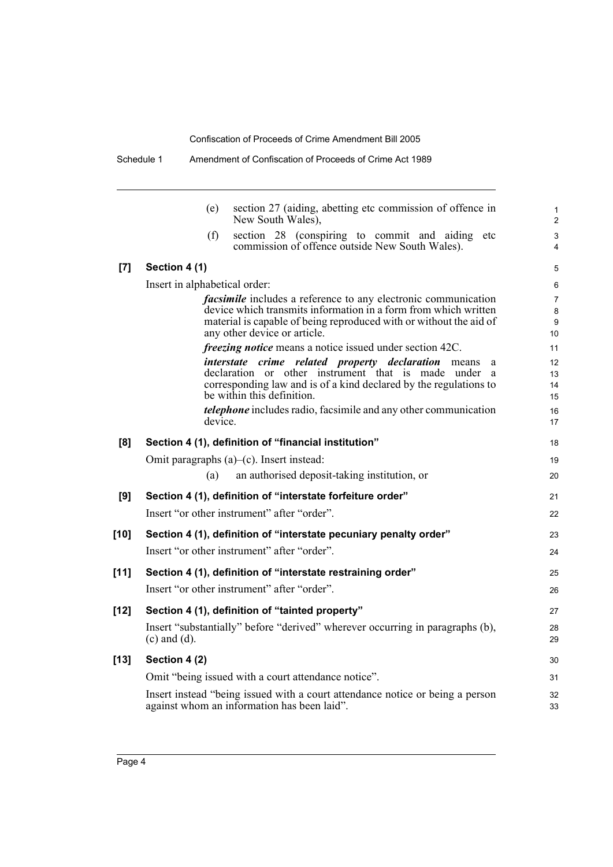|        | section 27 (aiding, abetting etc commission of offence in<br>(e)<br>New South Wales),                                                                                                                                                          |
|--------|------------------------------------------------------------------------------------------------------------------------------------------------------------------------------------------------------------------------------------------------|
|        | section 28 (conspiring to commit and aiding<br>(f)<br>etc<br>commission of offence outside New South Wales).                                                                                                                                   |
| [7]    | Section 4 (1)                                                                                                                                                                                                                                  |
|        | Insert in alphabetical order:                                                                                                                                                                                                                  |
|        | <i>facsimile</i> includes a reference to any electronic communication<br>device which transmits information in a form from which written<br>material is capable of being reproduced with or without the aid of<br>any other device or article. |
|        | <i>freezing notice</i> means a notice issued under section 42C.                                                                                                                                                                                |
|        | <i>interstate crime related property declaration</i> means<br>a<br>declaration or other instrument that is made under<br>a<br>corresponding law and is of a kind declared by the regulations to<br>be within this definition.                  |
|        | <i>telephone</i> includes radio, facsimile and any other communication<br>device.                                                                                                                                                              |
| [8]    | Section 4 (1), definition of "financial institution"                                                                                                                                                                                           |
|        | Omit paragraphs (a)-(c). Insert instead:                                                                                                                                                                                                       |
|        | an authorised deposit-taking institution, or<br>(a)                                                                                                                                                                                            |
| [9]    | Section 4 (1), definition of "interstate forfeiture order"                                                                                                                                                                                     |
|        | Insert "or other instrument" after "order".                                                                                                                                                                                                    |
| [10]   | Section 4 (1), definition of "interstate pecuniary penalty order"                                                                                                                                                                              |
|        | Insert "or other instrument" after "order".                                                                                                                                                                                                    |
| $[11]$ | Section 4 (1), definition of "interstate restraining order"                                                                                                                                                                                    |
|        | Insert "or other instrument" after "order".                                                                                                                                                                                                    |
| $[12]$ | Section 4 (1), definition of "tainted property"                                                                                                                                                                                                |
|        | Insert "substantially" before "derived" wherever occurring in paragraphs (b),<br>$(c)$ and $(d)$ .                                                                                                                                             |
| $[13]$ | Section 4 (2)                                                                                                                                                                                                                                  |
|        | Omit "being issued with a court attendance notice".                                                                                                                                                                                            |
|        | Insert instead "being issued with a court attendance notice or being a person<br>against whom an information has been laid".                                                                                                                   |
|        |                                                                                                                                                                                                                                                |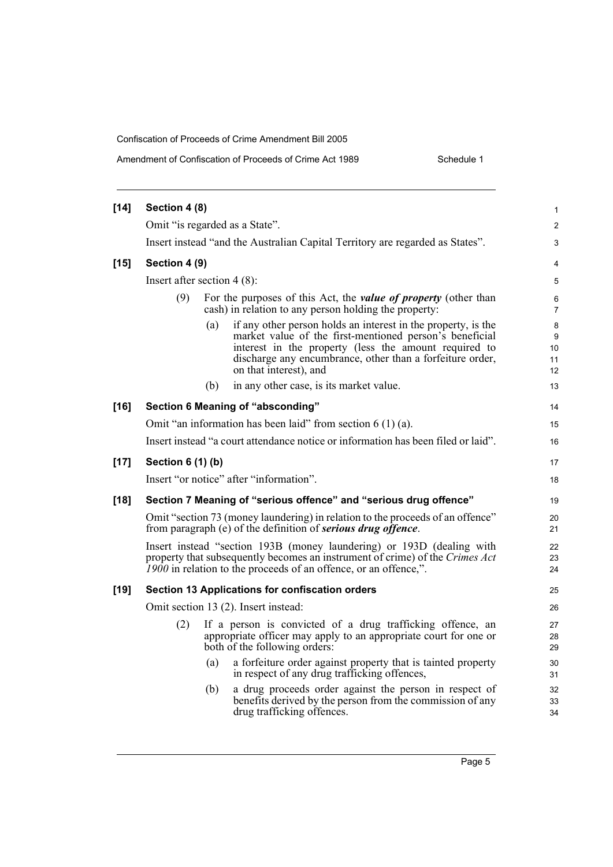Amendment of Confiscation of Proceeds of Crime Act 1989

| Schedule 1 |  |
|------------|--|
|            |  |

| $[14]$ | Section 4 (8)                                                                                                                                                                                                                                                                   | 1                        |  |  |
|--------|---------------------------------------------------------------------------------------------------------------------------------------------------------------------------------------------------------------------------------------------------------------------------------|--------------------------|--|--|
|        | Omit "is regarded as a State".                                                                                                                                                                                                                                                  | $\overline{2}$           |  |  |
|        | Insert instead "and the Australian Capital Territory are regarded as States".                                                                                                                                                                                                   | 3                        |  |  |
| $[15]$ | Section 4 (9)                                                                                                                                                                                                                                                                   | 4                        |  |  |
|        | Insert after section $4(8)$ :                                                                                                                                                                                                                                                   | 5                        |  |  |
|        | (9)<br>For the purposes of this Act, the <i>value of property</i> (other than<br>cash) in relation to any person holding the property:                                                                                                                                          | 6<br>$\overline{7}$      |  |  |
|        | if any other person holds an interest in the property, is the<br>(a)<br>market value of the first-mentioned person's beneficial<br>interest in the property (less the amount required to<br>discharge any encumbrance, other than a forfeiture order,<br>on that interest), and | 8<br>9<br>10<br>11<br>12 |  |  |
|        | (b)<br>in any other case, is its market value.                                                                                                                                                                                                                                  | 13                       |  |  |
| $[16]$ | Section 6 Meaning of "absconding"                                                                                                                                                                                                                                               | 14                       |  |  |
|        | Omit "an information has been laid" from section $6(1)(a)$ .                                                                                                                                                                                                                    | 15                       |  |  |
|        | Insert instead "a court attendance notice or information has been filed or laid".                                                                                                                                                                                               | 16                       |  |  |
| $[17]$ | Section 6 (1) (b)                                                                                                                                                                                                                                                               | 17                       |  |  |
|        | Insert "or notice" after "information".                                                                                                                                                                                                                                         | 18                       |  |  |
| $[18]$ | Section 7 Meaning of "serious offence" and "serious drug offence"                                                                                                                                                                                                               |                          |  |  |
|        | Omit "section 73 (money laundering) in relation to the proceeds of an offence"<br>from paragraph (e) of the definition of <b>serious drug offence</b> .                                                                                                                         | 20<br>21                 |  |  |
|        | Insert instead "section 193B (money laundering) or 193D (dealing with<br>property that subsequently becomes an instrument of crime) of the Crimes Act<br>1900 in relation to the proceeds of an offence, or an offence,".                                                       | 22<br>23<br>24           |  |  |
| $[19]$ | Section 13 Applications for confiscation orders                                                                                                                                                                                                                                 | 25                       |  |  |
|        | Omit section 13 (2). Insert instead:                                                                                                                                                                                                                                            | 26                       |  |  |
|        | If a person is convicted of a drug trafficking offence, an<br>(2)<br>appropriate officer may apply to an appropriate court for one or<br>both of the following orders:                                                                                                          | 27<br>28<br>29           |  |  |
|        | a forfeiture order against property that is tainted property<br>(a)<br>in respect of any drug trafficking offences,                                                                                                                                                             | 30<br>31                 |  |  |
|        | a drug proceeds order against the person in respect of<br>(b)<br>benefits derived by the person from the commission of any<br>drug trafficking offences.                                                                                                                        | 32<br>33<br>34           |  |  |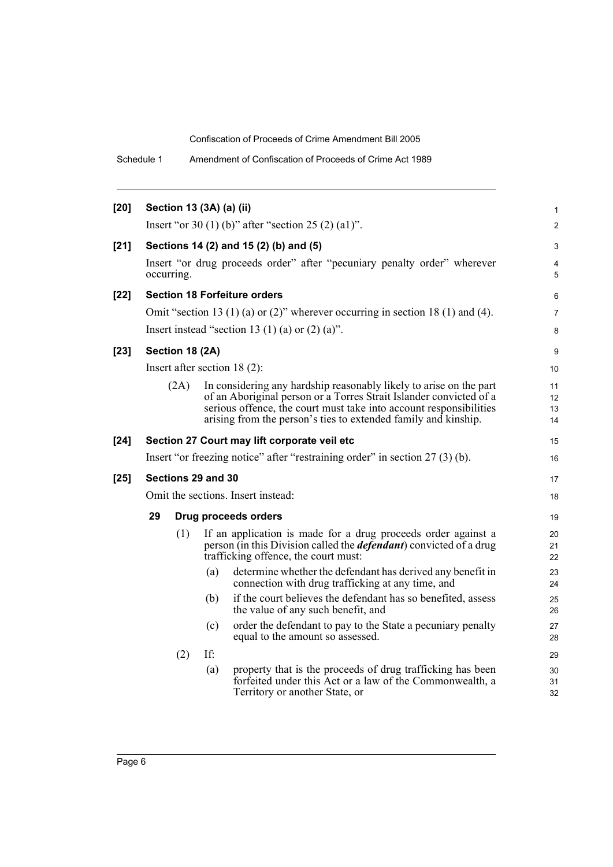Schedule 1 Amendment of Confiscation of Proceeds of Crime Act 1989

| $[20]$ |                                                     |                 | Section 13 (3A) (a) (ii) |                                                                                                                                                                                                                                                                                  | $\mathbf{1}$         |
|--------|-----------------------------------------------------|-----------------|--------------------------|----------------------------------------------------------------------------------------------------------------------------------------------------------------------------------------------------------------------------------------------------------------------------------|----------------------|
|        | Insert "or 30 (1) (b)" after "section 25 (2) (a1)". |                 |                          |                                                                                                                                                                                                                                                                                  |                      |
| $[21]$ | Sections 14 (2) and 15 (2) (b) and (5)              |                 |                          |                                                                                                                                                                                                                                                                                  |                      |
|        |                                                     | occurring.      |                          | Insert "or drug proceeds order" after "pecuniary penalty order" wherever                                                                                                                                                                                                         | 4<br>5               |
| $[22]$ |                                                     |                 |                          | <b>Section 18 Forfeiture orders</b>                                                                                                                                                                                                                                              | 6                    |
|        |                                                     |                 |                          | Omit "section 13 (1) (a) or (2)" wherever occurring in section 18 (1) and (4).                                                                                                                                                                                                   | $\overline{7}$       |
|        |                                                     |                 |                          | Insert instead "section 13 (1) (a) or $(2)$ (a)".                                                                                                                                                                                                                                | 8                    |
| $[23]$ |                                                     | Section 18 (2A) |                          |                                                                                                                                                                                                                                                                                  | 9                    |
|        |                                                     |                 |                          | Insert after section $18(2)$ :                                                                                                                                                                                                                                                   | 10                   |
|        |                                                     | (2A)            |                          | In considering any hardship reasonably likely to arise on the part<br>of an Aboriginal person or a Torres Strait Islander convicted of a<br>serious offence, the court must take into account responsibilities<br>arising from the person's ties to extended family and kinship. | 11<br>12<br>13<br>14 |
| $[24]$ |                                                     |                 |                          | Section 27 Court may lift corporate veil etc                                                                                                                                                                                                                                     | 15                   |
|        |                                                     |                 |                          | Insert "or freezing notice" after "restraining order" in section 27 (3) (b).                                                                                                                                                                                                     | 16                   |
| $[25]$ |                                                     |                 | Sections 29 and 30       |                                                                                                                                                                                                                                                                                  | 17                   |
|        | Omit the sections. Insert instead:                  |                 |                          |                                                                                                                                                                                                                                                                                  | 18                   |
|        | 29                                                  |                 |                          | <b>Drug proceeds orders</b>                                                                                                                                                                                                                                                      | 19                   |
|        |                                                     | (1)             |                          | If an application is made for a drug proceeds order against a<br>person (in this Division called the <i>defendant</i> ) convicted of a drug<br>trafficking offence, the court must:                                                                                              | 20<br>21<br>22       |
|        |                                                     |                 | (a)                      | determine whether the defendant has derived any benefit in<br>connection with drug trafficking at any time, and                                                                                                                                                                  | 23<br>24             |
|        |                                                     |                 | (b)                      | if the court believes the defendant has so benefited, assess<br>the value of any such benefit, and                                                                                                                                                                               | 25<br>26             |
|        |                                                     |                 | (c)                      | order the defendant to pay to the State a pecuniary penalty<br>equal to the amount so assessed.                                                                                                                                                                                  | 27<br>28             |
|        |                                                     | (2)             | If:                      |                                                                                                                                                                                                                                                                                  | 29                   |
|        |                                                     |                 | (a)                      | property that is the proceeds of drug trafficking has been<br>forfeited under this Act or a law of the Commonwealth, a<br>Territory or another State, or                                                                                                                         | 30<br>31<br>32       |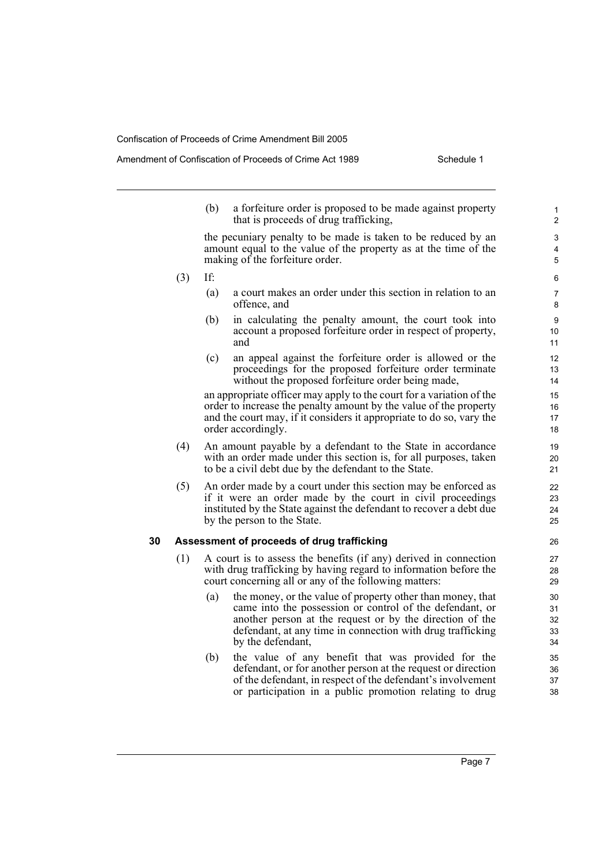#### Amendment of Confiscation of Proceeds of Crime Act 1989 Schedule 1

(b) a forfeiture order is proposed to be made against property that is proceeds of drug trafficking,

the pecuniary penalty to be made is taken to be reduced by an amount equal to the value of the property as at the time of the making of the forfeiture order.

- (3) If:
	- (a) a court makes an order under this section in relation to an offence, and
	- (b) in calculating the penalty amount, the court took into account a proposed forfeiture order in respect of property, and
	- (c) an appeal against the forfeiture order is allowed or the proceedings for the proposed forfeiture order terminate without the proposed forfeiture order being made,

an appropriate officer may apply to the court for a variation of the order to increase the penalty amount by the value of the property and the court may, if it considers it appropriate to do so, vary the order accordingly.

- (4) An amount payable by a defendant to the State in accordance with an order made under this section is, for all purposes, taken to be a civil debt due by the defendant to the State.
- (5) An order made by a court under this section may be enforced as if it were an order made by the court in civil proceedings instituted by the State against the defendant to recover a debt due by the person to the State.

### **30 Assessment of proceeds of drug trafficking**

- (1) A court is to assess the benefits (if any) derived in connection with drug trafficking by having regard to information before the court concerning all or any of the following matters:
	- (a) the money, or the value of property other than money, that came into the possession or control of the defendant, or another person at the request or by the direction of the defendant, at any time in connection with drug trafficking by the defendant,
	- (b) the value of any benefit that was provided for the defendant, or for another person at the request or direction of the defendant, in respect of the defendant's involvement or participation in a public promotion relating to drug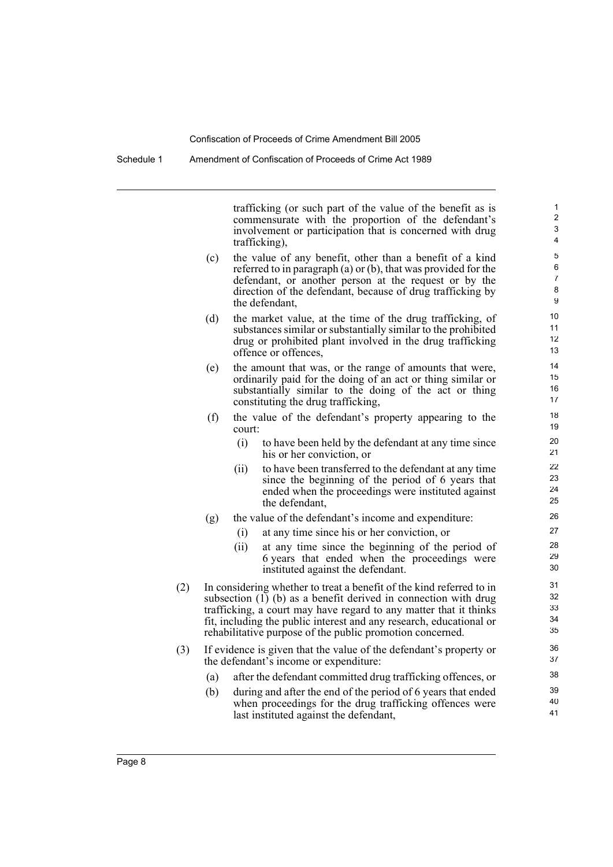trafficking (or such part of the value of the benefit as is commensurate with the proportion of the defendant's involvement or participation that is concerned with drug trafficking),

- (c) the value of any benefit, other than a benefit of a kind referred to in paragraph (a) or (b), that was provided for the defendant, or another person at the request or by the direction of the defendant, because of drug trafficking by the defendant,
- (d) the market value, at the time of the drug trafficking, of substances similar or substantially similar to the prohibited drug or prohibited plant involved in the drug trafficking offence or offences,
- (e) the amount that was, or the range of amounts that were, ordinarily paid for the doing of an act or thing similar or substantially similar to the doing of the act or thing constituting the drug trafficking,
- (f) the value of the defendant's property appearing to the court:
	- (i) to have been held by the defendant at any time since his or her conviction, or
	- (ii) to have been transferred to the defendant at any time since the beginning of the period of 6 years that ended when the proceedings were instituted against the defendant,
- (g) the value of the defendant's income and expenditure:
	- (i) at any time since his or her conviction, or
	- (ii) at any time since the beginning of the period of 6 years that ended when the proceedings were instituted against the defendant.
- (2) In considering whether to treat a benefit of the kind referred to in subsection  $(I)$  (b) as a benefit derived in connection with drug trafficking, a court may have regard to any matter that it thinks fit, including the public interest and any research, educational or rehabilitative purpose of the public promotion concerned.
- (3) If evidence is given that the value of the defendant's property or the defendant's income or expenditure:
	- (a) after the defendant committed drug trafficking offences, or
	- (b) during and after the end of the period of 6 years that ended when proceedings for the drug trafficking offences were last instituted against the defendant,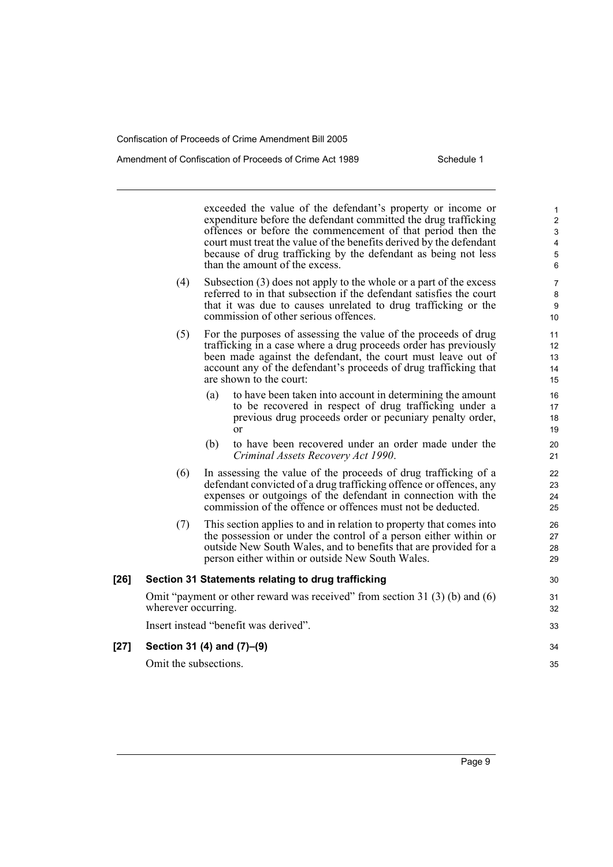#### Amendment of Confiscation of Proceeds of Crime Act 1989 Schedule 1

exceeded the value of the defendant's property or income or expenditure before the defendant committed the drug trafficking offences or before the commencement of that period then the court must treat the value of the benefits derived by the defendant because of drug trafficking by the defendant as being not less than the amount of the excess. (4) Subsection (3) does not apply to the whole or a part of the excess referred to in that subsection if the defendant satisfies the court that it was due to causes unrelated to drug trafficking or the commission of other serious offences. (5) For the purposes of assessing the value of the proceeds of drug trafficking in a case where a drug proceeds order has previously been made against the defendant, the court must leave out of account any of the defendant's proceeds of drug trafficking that are shown to the court: (a) to have been taken into account in determining the amount to be recovered in respect of drug trafficking under a previous drug proceeds order or pecuniary penalty order, or (b) to have been recovered under an order made under the *Criminal Assets Recovery Act 1990*. (6) In assessing the value of the proceeds of drug trafficking of a defendant convicted of a drug trafficking offence or offences, any expenses or outgoings of the defendant in connection with the commission of the offence or offences must not be deducted. (7) This section applies to and in relation to property that comes into the possession or under the control of a person either within or outside New South Wales, and to benefits that are provided for a person either within or outside New South Wales. **[26] Section 31 Statements relating to drug trafficking** Omit "payment or other reward was received" from section 31 (3) (b) and (6) wherever occurring. Insert instead "benefit was derived". **[27] Section 31 (4) and (7)–(9)** Omit the subsections. 1 2 3 4 5 6 7 8 9 10 11 12 13  $14$ 15 16 17 18 19 20 21 22 23 24 25 26 27 28 29 30 31 32 33 34 35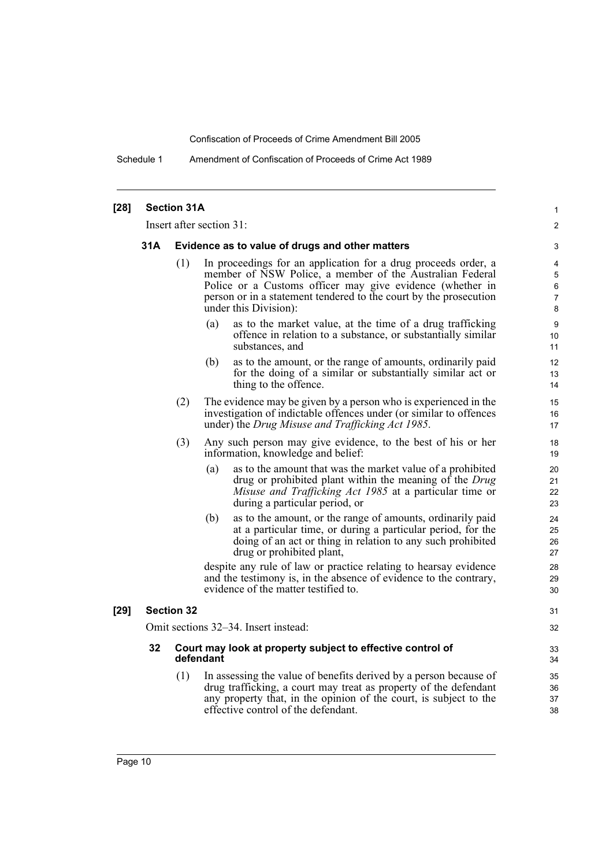Schedule 1 Amendment of Confiscation of Proceeds of Crime Act 1989

| $[28]$ | <b>Section 31A</b>                                     |     |                                      |                                                                                                                                                                                                                                                              |                       |  |  |
|--------|--------------------------------------------------------|-----|--------------------------------------|--------------------------------------------------------------------------------------------------------------------------------------------------------------------------------------------------------------------------------------------------------------|-----------------------|--|--|
|        |                                                        |     | Insert after section 31:             |                                                                                                                                                                                                                                                              | $\overline{2}$        |  |  |
|        | 31A<br>Evidence as to value of drugs and other matters |     |                                      |                                                                                                                                                                                                                                                              |                       |  |  |
|        |                                                        | (1) | under this Division):                | In proceedings for an application for a drug proceeds order, a<br>member of NSW Police, a member of the Australian Federal<br>Police or a Customs officer may give evidence (whether in<br>person or in a statement tendered to the court by the prosecution | 4<br>5<br>6<br>7<br>8 |  |  |
|        |                                                        |     | (a)<br>substances, and               | as to the market value, at the time of a drug trafficking<br>offence in relation to a substance, or substantially similar                                                                                                                                    | 9<br>10<br>11         |  |  |
|        |                                                        |     | (b)<br>thing to the offence.         | as to the amount, or the range of amounts, ordinarily paid<br>for the doing of a similar or substantially similar act or                                                                                                                                     | 12<br>13<br>14        |  |  |
|        |                                                        | (2) |                                      | The evidence may be given by a person who is experienced in the<br>investigation of indictable offences under (or similar to offences<br>under) the Drug Misuse and Trafficking Act 1985.                                                                    | 15<br>16<br>17        |  |  |
|        |                                                        | (3) | information, knowledge and belief:   | Any such person may give evidence, to the best of his or her                                                                                                                                                                                                 | 18<br>19              |  |  |
|        |                                                        |     | (a)                                  | as to the amount that was the market value of a prohibited<br>drug or prohibited plant within the meaning of the Drug<br>Misuse and Trafficking Act 1985 at a particular time or<br>during a particular period, or                                           | 20<br>21<br>22<br>23  |  |  |
|        |                                                        |     | (b)<br>drug or prohibited plant,     | as to the amount, or the range of amounts, ordinarily paid<br>at a particular time, or during a particular period, for the<br>doing of an act or thing in relation to any such prohibited                                                                    | 24<br>25<br>26<br>27  |  |  |
|        |                                                        |     | evidence of the matter testified to. | despite any rule of law or practice relating to hearsay evidence<br>and the testimony is, in the absence of evidence to the contrary,                                                                                                                        | 28<br>29<br>30        |  |  |
| $[29]$ | <b>Section 32</b>                                      |     |                                      |                                                                                                                                                                                                                                                              | 31                    |  |  |
|        | Omit sections 32–34. Insert instead:                   |     |                                      |                                                                                                                                                                                                                                                              | 32                    |  |  |
|        | 32                                                     |     | defendant                            | Court may look at property subject to effective control of                                                                                                                                                                                                   | 33<br>34              |  |  |
|        |                                                        | (1) | effective control of the defendant.  | In assessing the value of benefits derived by a person because of<br>drug trafficking, a court may treat as property of the defendant<br>any property that, in the opinion of the court, is subject to the                                                   | 35<br>36<br>37<br>38  |  |  |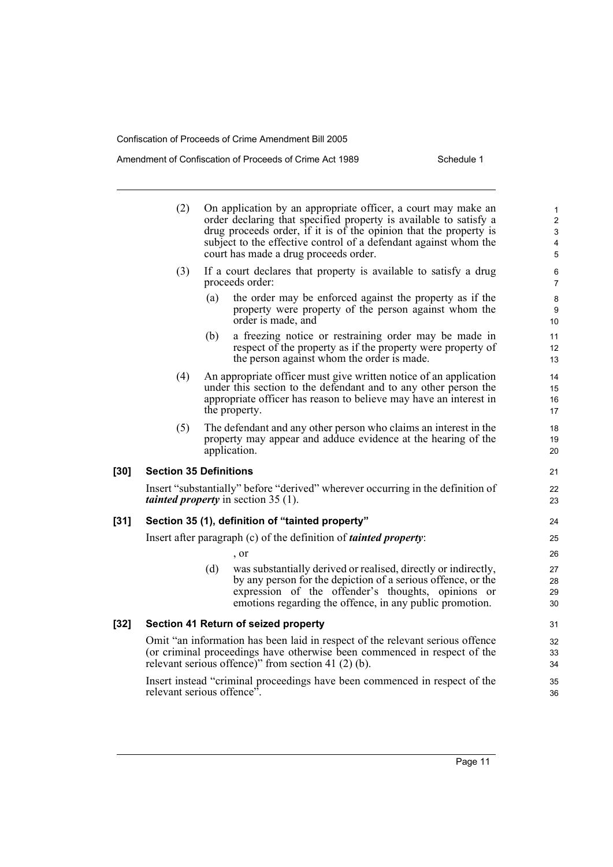[30]

 $[32]$ 

relevant serious offence".

## Amendment of Confiscation of Proceeds of Crime Act 1989 Schedule 1

|      | (2)                                                                        |     | On application by an appropriate officer, a court may make an<br>order declaring that specified property is available to satisfy a<br>drug proceeds order, if it is of the opinion that the property is<br>subject to the effective control of a defendant against whom the<br>court has made a drug proceeds order. | $\mathbf{1}$<br>$\overline{c}$<br>$\ensuremath{\mathsf{3}}$<br>4<br>$\sqrt{5}$ |
|------|----------------------------------------------------------------------------|-----|----------------------------------------------------------------------------------------------------------------------------------------------------------------------------------------------------------------------------------------------------------------------------------------------------------------------|--------------------------------------------------------------------------------|
|      | (3)                                                                        |     | If a court declares that property is available to satisfy a drug<br>proceeds order:                                                                                                                                                                                                                                  | 6<br>$\overline{7}$                                                            |
|      |                                                                            | (a) | the order may be enforced against the property as if the<br>property were property of the person against whom the<br>order is made, and                                                                                                                                                                              | 8<br>9<br>10                                                                   |
|      |                                                                            | (b) | a freezing notice or restraining order may be made in<br>respect of the property as if the property were property of<br>the person against whom the order is made.                                                                                                                                                   | 11<br>12<br>13                                                                 |
|      | (4)                                                                        |     | An appropriate officer must give written notice of an application<br>under this section to the defendant and to any other person the<br>appropriate officer has reason to believe may have an interest in<br>the property.                                                                                           | 14<br>15<br>16<br>17                                                           |
|      | (5)                                                                        |     | The defendant and any other person who claims an interest in the<br>property may appear and adduce evidence at the hearing of the<br>application.                                                                                                                                                                    | 18<br>19<br>20                                                                 |
| [30] | <b>Section 35 Definitions</b>                                              |     |                                                                                                                                                                                                                                                                                                                      | 21                                                                             |
|      |                                                                            |     | Insert "substantially" before "derived" wherever occurring in the definition of<br><i>tainted property</i> in section 35 (1).                                                                                                                                                                                        | 22<br>23                                                                       |
| [31] |                                                                            |     | Section 35 (1), definition of "tainted property"                                                                                                                                                                                                                                                                     | 24                                                                             |
|      |                                                                            |     | Insert after paragraph $(c)$ of the definition of <i>tainted property</i> :                                                                                                                                                                                                                                          | 25                                                                             |
|      |                                                                            |     | $\cdot$ or                                                                                                                                                                                                                                                                                                           | 26                                                                             |
|      |                                                                            | (d) | was substantially derived or realised, directly or indirectly,<br>by any person for the depiction of a serious offence, or the<br>expression of the offender's thoughts, opinions or<br>emotions regarding the offence, in any public promotion.                                                                     | 27<br>28<br>29<br>30                                                           |
| [32] |                                                                            |     | Section 41 Return of seized property                                                                                                                                                                                                                                                                                 | 31                                                                             |
|      |                                                                            |     | Omit "an information has been laid in respect of the relevant serious offence<br>(or criminal proceedings have otherwise been commenced in respect of the<br>relevant serious offence)" from section 41 $(2)$ $(b)$ .                                                                                                | 32<br>33<br>34                                                                 |
|      | Insert instead "criminal proceedings have been commenced in respect of the |     |                                                                                                                                                                                                                                                                                                                      |                                                                                |

36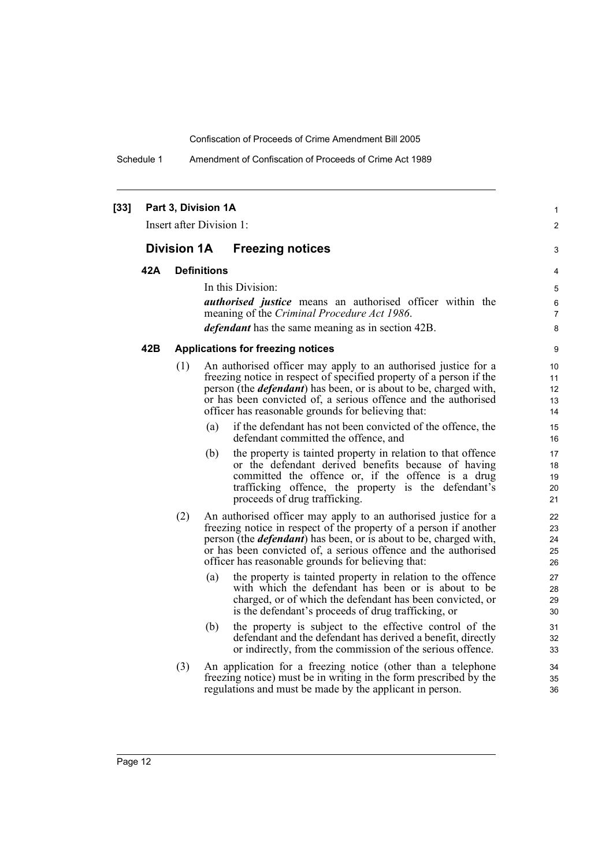Schedule 1 Amendment of Confiscation of Proceeds of Crime Act 1989

| $[33]$ |     | Part 3, Division 1A<br>Insert after Division 1: |                    |                                                                                                                                                                                                                                                                                                                                            |  |
|--------|-----|-------------------------------------------------|--------------------|--------------------------------------------------------------------------------------------------------------------------------------------------------------------------------------------------------------------------------------------------------------------------------------------------------------------------------------------|--|
|        |     | <b>Division 1A</b>                              |                    | <b>Freezing notices</b>                                                                                                                                                                                                                                                                                                                    |  |
|        | 42A |                                                 | <b>Definitions</b> |                                                                                                                                                                                                                                                                                                                                            |  |
|        |     |                                                 |                    | In this Division:                                                                                                                                                                                                                                                                                                                          |  |
|        |     |                                                 |                    | <i>authorised justice</i> means an authorised officer within the                                                                                                                                                                                                                                                                           |  |
|        |     |                                                 |                    | meaning of the Criminal Procedure Act 1986.<br><i>defendant</i> has the same meaning as in section 42B.                                                                                                                                                                                                                                    |  |
|        |     |                                                 |                    |                                                                                                                                                                                                                                                                                                                                            |  |
|        | 42B |                                                 |                    | <b>Applications for freezing notices</b>                                                                                                                                                                                                                                                                                                   |  |
|        |     | (1)                                             |                    | An authorised officer may apply to an authorised justice for a<br>freezing notice in respect of specified property of a person if the<br>person (the <i>defendant</i> ) has been, or is about to be, charged with,<br>or has been convicted of, a serious offence and the authorised<br>officer has reasonable grounds for believing that: |  |
|        |     |                                                 | (a)                | if the defendant has not been convicted of the offence, the<br>defendant committed the offence, and                                                                                                                                                                                                                                        |  |
|        |     |                                                 | (b)                | the property is tainted property in relation to that offence<br>or the defendant derived benefits because of having<br>committed the offence or, if the offence is a drug<br>trafficking offence, the property is the defendant's<br>proceeds of drug trafficking.                                                                         |  |
|        |     | (2)                                             |                    | An authorised officer may apply to an authorised justice for a<br>freezing notice in respect of the property of a person if another<br>person (the <i>defendant</i> ) has been, or is about to be, charged with,<br>or has been convicted of, a serious offence and the authorised<br>officer has reasonable grounds for believing that:   |  |
|        |     |                                                 | (a)                | the property is tainted property in relation to the offence<br>with which the defendant has been or is about to be<br>charged, or of which the defendant has been convicted, or<br>is the defendant's proceeds of drug trafficking, or                                                                                                     |  |
|        |     |                                                 | (b)                | the property is subject to the effective control of the<br>defendant and the defendant has derived a benefit, directly<br>or indirectly, from the commission of the serious offence.                                                                                                                                                       |  |
|        |     | (3)                                             |                    | An application for a freezing notice (other than a telephone<br>freezing notice) must be in writing in the form prescribed by the<br>regulations and must be made by the applicant in person.                                                                                                                                              |  |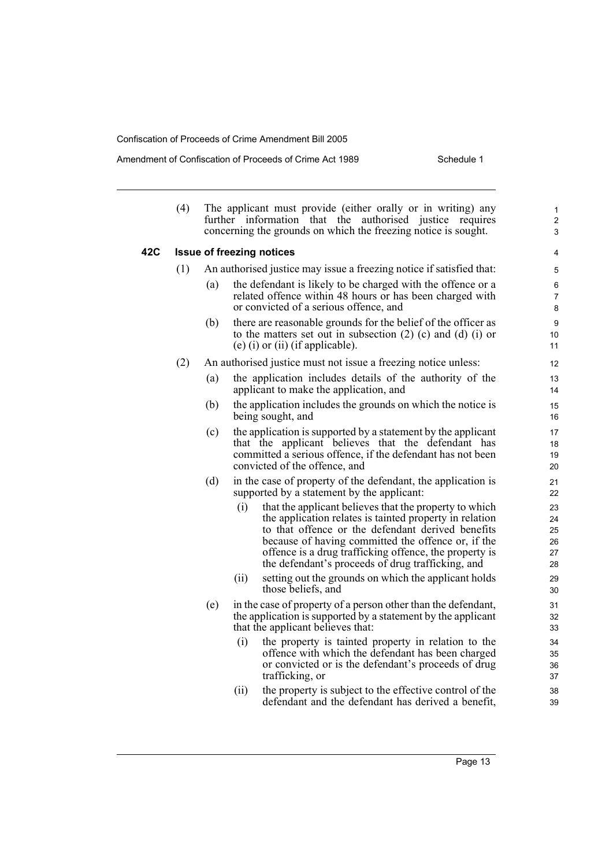**42C Issue of freezing notices**

#### Amendment of Confiscation of Proceeds of Crime Act 1989 Schedule 1

| (4)                              | The applicant must provide (either orally or in writing) any   |  |  |  |  |  |  |
|----------------------------------|----------------------------------------------------------------|--|--|--|--|--|--|
|                                  | further information that the authorised justice requires       |  |  |  |  |  |  |
|                                  | concerning the grounds on which the freezing notice is sought. |  |  |  |  |  |  |
| <b>Issue of freezing notices</b> |                                                                |  |  |  |  |  |  |

- (1) An authorised justice may issue a freezing notice if satisfied that:
	- (a) the defendant is likely to be charged with the offence or a related offence within 48 hours or has been charged with or convicted of a serious offence, and
	- (b) there are reasonable grounds for the belief of the officer as to the matters set out in subsection (2) (c) and (d) (i) or (e) (i) or (ii) (if applicable).
- (2) An authorised justice must not issue a freezing notice unless:
	- (a) the application includes details of the authority of the applicant to make the application, and
	- (b) the application includes the grounds on which the notice is being sought, and
	- (c) the application is supported by a statement by the applicant that the applicant believes that the defendant has committed a serious offence, if the defendant has not been convicted of the offence, and
	- (d) in the case of property of the defendant, the application is supported by a statement by the applicant:
		- (i) that the applicant believes that the property to which the application relates is tainted property in relation to that offence or the defendant derived benefits because of having committed the offence or, if the offence is a drug trafficking offence, the property is the defendant's proceeds of drug trafficking, and
		- (ii) setting out the grounds on which the applicant holds those beliefs, and
	- (e) in the case of property of a person other than the defendant, the application is supported by a statement by the applicant that the applicant believes that:
		- (i) the property is tainted property in relation to the offence with which the defendant has been charged or convicted or is the defendant's proceeds of drug trafficking, or
		- (ii) the property is subject to the effective control of the defendant and the defendant has derived a benefit,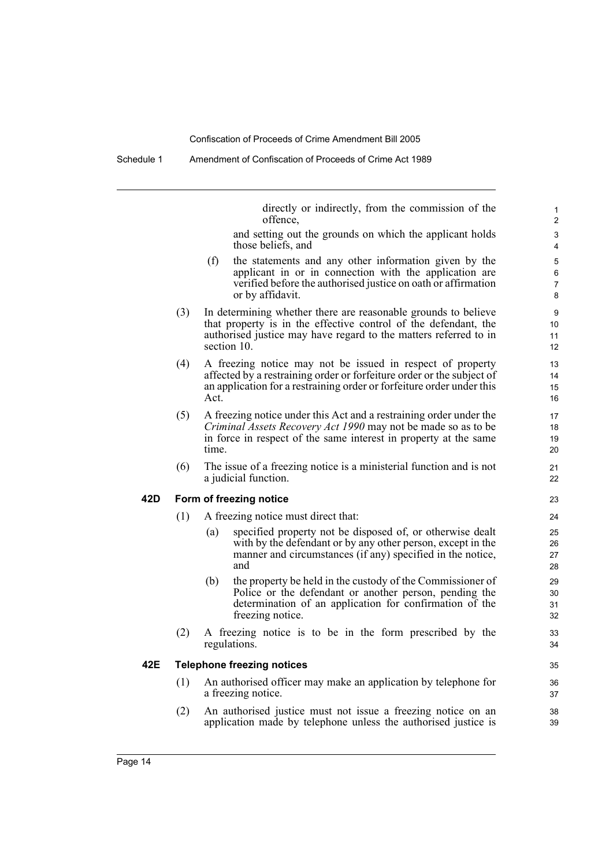directly or indirectly, from the commission of the offence,

and setting out the grounds on which the applicant holds those beliefs, and

- (f) the statements and any other information given by the applicant in or in connection with the application are verified before the authorised justice on oath or affirmation or by affidavit.
- (3) In determining whether there are reasonable grounds to believe that property is in the effective control of the defendant, the authorised justice may have regard to the matters referred to in section 10.
- (4) A freezing notice may not be issued in respect of property affected by a restraining order or forfeiture order or the subject of an application for a restraining order or forfeiture order under this Act.
- (5) A freezing notice under this Act and a restraining order under the *Criminal Assets Recovery Act 1990* may not be made so as to be in force in respect of the same interest in property at the same time.
- (6) The issue of a freezing notice is a ministerial function and is not a judicial function.

#### **42D Form of freezing notice**

- (1) A freezing notice must direct that:
	- (a) specified property not be disposed of, or otherwise dealt with by the defendant or by any other person, except in the manner and circumstances (if any) specified in the notice, and
	- (b) the property be held in the custody of the Commissioner of Police or the defendant or another person, pending the determination of an application for confirmation of the freezing notice.
- (2) A freezing notice is to be in the form prescribed by the regulations.

### **42E Telephone freezing notices**

- (1) An authorised officer may make an application by telephone for a freezing notice.
- (2) An authorised justice must not issue a freezing notice on an application made by telephone unless the authorised justice is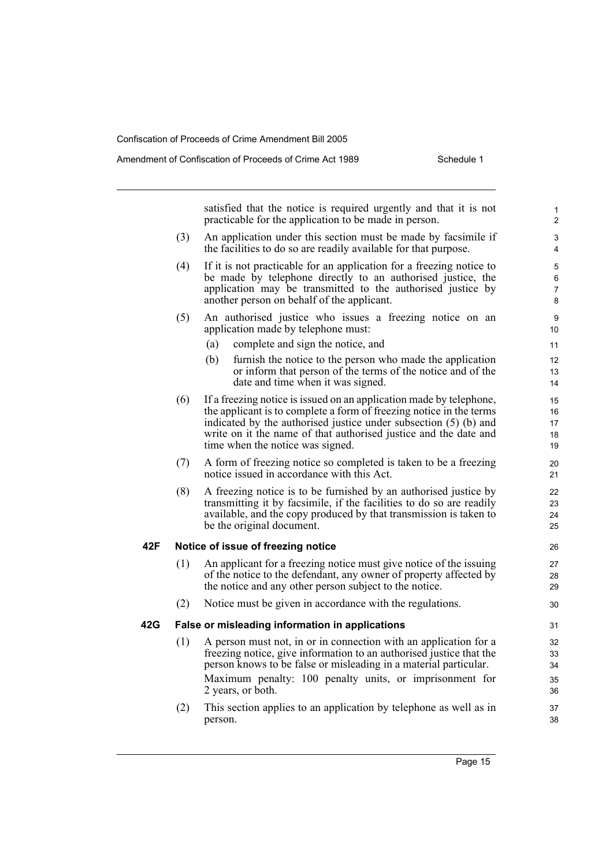satisfied that the notice is required urgently and that it is not practicable for the application to be made in person. (3) An application under this section must be made by facsimile if the facilities to do so are readily available for that purpose. (4) If it is not practicable for an application for a freezing notice to be made by telephone directly to an authorised justice, the application may be transmitted to the authorised justice by another person on behalf of the applicant. (5) An authorised justice who issues a freezing notice on an application made by telephone must: (a) complete and sign the notice, and (b) furnish the notice to the person who made the application or inform that person of the terms of the notice and of the date and time when it was signed. (6) If a freezing notice is issued on an application made by telephone, the applicant is to complete a form of freezing notice in the terms indicated by the authorised justice under subsection (5) (b) and write on it the name of that authorised justice and the date and time when the notice was signed. (7) A form of freezing notice so completed is taken to be a freezing notice issued in accordance with this Act. (8) A freezing notice is to be furnished by an authorised justice by transmitting it by facsimile, if the facilities to do so are readily available, and the copy produced by that transmission is taken to be the original document. **42F Notice of issue of freezing notice** (1) An applicant for a freezing notice must give notice of the issuing of the notice to the defendant, any owner of property affected by the notice and any other person subject to the notice. (2) Notice must be given in accordance with the regulations. **42G False or misleading information in applications** (1) A person must not, in or in connection with an application for a freezing notice, give information to an authorised justice that the person knows to be false or misleading in a material particular. Maximum penalty: 100 penalty units, or imprisonment for 2 years, or both. 1 2 3 4 5 6 7 8 9 10 11 12 13 14 15 16 17 18 19 20 21  $22$ 23 24 25 26 27 28 29 30 31 32 33 34 35 36 37

(2) This section applies to an application by telephone as well as in person.

38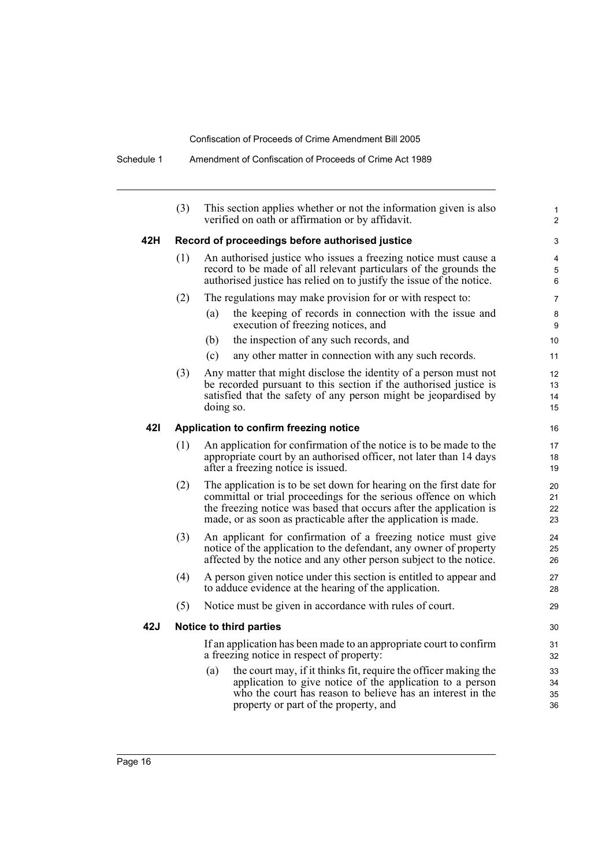|     | (3)                                             | This section applies whether or not the information given is also<br>verified on oath or affirmation or by affidavit.                                                                                                                                                          |                      |  |  |  |
|-----|-------------------------------------------------|--------------------------------------------------------------------------------------------------------------------------------------------------------------------------------------------------------------------------------------------------------------------------------|----------------------|--|--|--|
| 42H | Record of proceedings before authorised justice |                                                                                                                                                                                                                                                                                |                      |  |  |  |
|     | (1)                                             | An authorised justice who issues a freezing notice must cause a<br>record to be made of all relevant particulars of the grounds the<br>authorised justice has relied on to justify the issue of the notice.                                                                    | 4<br>5<br>6          |  |  |  |
|     | (2)                                             | The regulations may make provision for or with respect to:                                                                                                                                                                                                                     | $\overline{7}$       |  |  |  |
|     |                                                 | the keeping of records in connection with the issue and<br>(a)<br>execution of freezing notices, and                                                                                                                                                                           | 8<br>9               |  |  |  |
|     |                                                 | (b)<br>the inspection of any such records, and                                                                                                                                                                                                                                 | 10                   |  |  |  |
|     |                                                 | any other matter in connection with any such records.<br>(c)                                                                                                                                                                                                                   | 11                   |  |  |  |
|     | (3)                                             | Any matter that might disclose the identity of a person must not<br>be recorded pursuant to this section if the authorised justice is<br>satisfied that the safety of any person might be jeopardised by<br>doing so.                                                          | 12<br>13<br>14<br>15 |  |  |  |
| 421 | Application to confirm freezing notice          |                                                                                                                                                                                                                                                                                |                      |  |  |  |
|     | (1)                                             | An application for confirmation of the notice is to be made to the<br>appropriate court by an authorised officer, not later than 14 days<br>after a freezing notice is issued.                                                                                                 | 17<br>18<br>19       |  |  |  |
|     | (2)                                             | The application is to be set down for hearing on the first date for<br>committal or trial proceedings for the serious offence on which<br>the freezing notice was based that occurs after the application is<br>made, or as soon as practicable after the application is made. | 20<br>21<br>22<br>23 |  |  |  |
|     | (3)                                             | An applicant for confirmation of a freezing notice must give<br>notice of the application to the defendant, any owner of property<br>affected by the notice and any other person subject to the notice.                                                                        | 24<br>25<br>26       |  |  |  |
|     | (4)                                             | A person given notice under this section is entitled to appear and<br>to adduce evidence at the hearing of the application.                                                                                                                                                    | 27<br>28             |  |  |  |
|     | (5)                                             | Notice must be given in accordance with rules of court.                                                                                                                                                                                                                        | 29                   |  |  |  |
| 42J |                                                 | Notice to third parties                                                                                                                                                                                                                                                        | 30                   |  |  |  |
|     |                                                 | If an application has been made to an appropriate court to confirm<br>a freezing notice in respect of property:                                                                                                                                                                | 31<br>32             |  |  |  |
|     |                                                 | the court may, if it thinks fit, require the officer making the<br>(a)<br>application to give notice of the application to a person<br>who the court has reason to believe has an interest in the<br>property or part of the property, and                                     | 33<br>34<br>35<br>36 |  |  |  |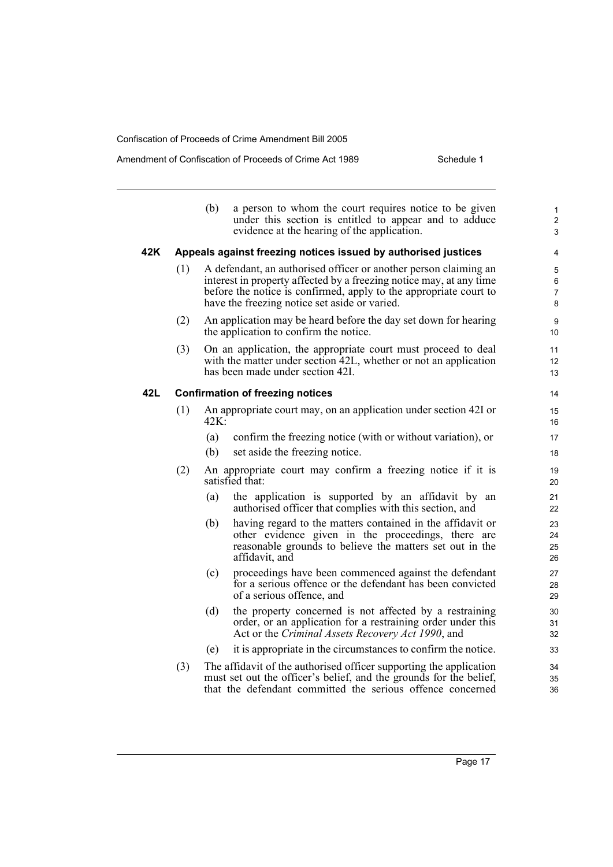|     |     | (b)  | a person to whom the court requires notice to be given<br>under this section is entitled to appear and to adduce<br>evidence at the hearing of the application.                                                                                               | $\mathbf{1}$<br>$\overline{2}$<br>3 |
|-----|-----|------|---------------------------------------------------------------------------------------------------------------------------------------------------------------------------------------------------------------------------------------------------------------|-------------------------------------|
| 42K |     |      | Appeals against freezing notices issued by authorised justices                                                                                                                                                                                                | 4                                   |
|     | (1) |      | A defendant, an authorised officer or another person claiming an<br>interest in property affected by a freezing notice may, at any time<br>before the notice is confirmed, apply to the appropriate court to<br>have the freezing notice set aside or varied. | 5<br>6<br>$\overline{7}$<br>8       |
|     | (2) |      | An application may be heard before the day set down for hearing<br>the application to confirm the notice.                                                                                                                                                     | 9<br>10                             |
|     | (3) |      | On an application, the appropriate court must proceed to deal<br>with the matter under section 42L, whether or not an application<br>has been made under section 42I.                                                                                         | 11<br>12<br>13                      |
| 42L |     |      | <b>Confirmation of freezing notices</b>                                                                                                                                                                                                                       | 14                                  |
|     | (1) | 42K: | An appropriate court may, on an application under section 42I or                                                                                                                                                                                              | 15<br>16                            |
|     |     | (a)  | confirm the freezing notice (with or without variation), or                                                                                                                                                                                                   | 17                                  |
|     |     | (b)  | set aside the freezing notice.                                                                                                                                                                                                                                | 18                                  |
|     | (2) |      | An appropriate court may confirm a freezing notice if it is<br>satisfied that:                                                                                                                                                                                | 19<br>20                            |
|     |     | (a)  | the application is supported by an affidavit by an<br>authorised officer that complies with this section, and                                                                                                                                                 | 21<br>22                            |
|     |     | (b)  | having regard to the matters contained in the affidavit or<br>other evidence given in the proceedings, there are<br>reasonable grounds to believe the matters set out in the<br>affidavit, and                                                                | 23<br>24<br>25<br>26                |
|     |     | (c)  | proceedings have been commenced against the defendant<br>for a serious offence or the defendant has been convicted<br>of a serious offence, and                                                                                                               | 27<br>28<br>29                      |
|     |     | (d)  | the property concerned is not affected by a restraining<br>order, or an application for a restraining order under this<br>Act or the Criminal Assets Recovery Act 1990, and                                                                                   | 30<br>31<br>32                      |
|     |     | (e)  | it is appropriate in the circumstances to confirm the notice.                                                                                                                                                                                                 | 33                                  |
|     | (3) |      | The affidavit of the authorised officer supporting the application<br>must set out the officer's belief, and the grounds for the belief,<br>that the defendant committed the serious offence concerned                                                        | 34<br>35<br>36                      |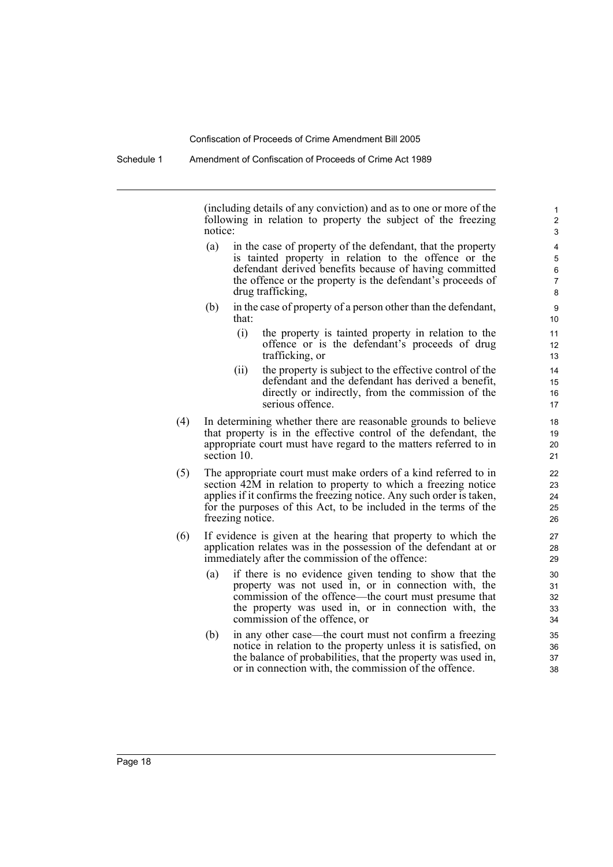(including details of any conviction) and as to one or more of the following in relation to property the subject of the freezing notice:

- (a) in the case of property of the defendant, that the property is tainted property in relation to the offence or the defendant derived benefits because of having committed the offence or the property is the defendant's proceeds of drug trafficking,
- (b) in the case of property of a person other than the defendant, that:
	- (i) the property is tainted property in relation to the offence or is the defendant's proceeds of drug trafficking, or
	- (ii) the property is subject to the effective control of the defendant and the defendant has derived a benefit, directly or indirectly, from the commission of the serious offence.
- (4) In determining whether there are reasonable grounds to believe that property is in the effective control of the defendant, the appropriate court must have regard to the matters referred to in section 10.
- (5) The appropriate court must make orders of a kind referred to in section 42M in relation to property to which a freezing notice applies if it confirms the freezing notice. Any such order is taken, for the purposes of this Act, to be included in the terms of the freezing notice.
- (6) If evidence is given at the hearing that property to which the application relates was in the possession of the defendant at or immediately after the commission of the offence:
	- (a) if there is no evidence given tending to show that the property was not used in, or in connection with, the commission of the offence—the court must presume that the property was used in, or in connection with, the commission of the offence, or
	- (b) in any other case—the court must not confirm a freezing notice in relation to the property unless it is satisfied, on the balance of probabilities, that the property was used in, or in connection with, the commission of the offence.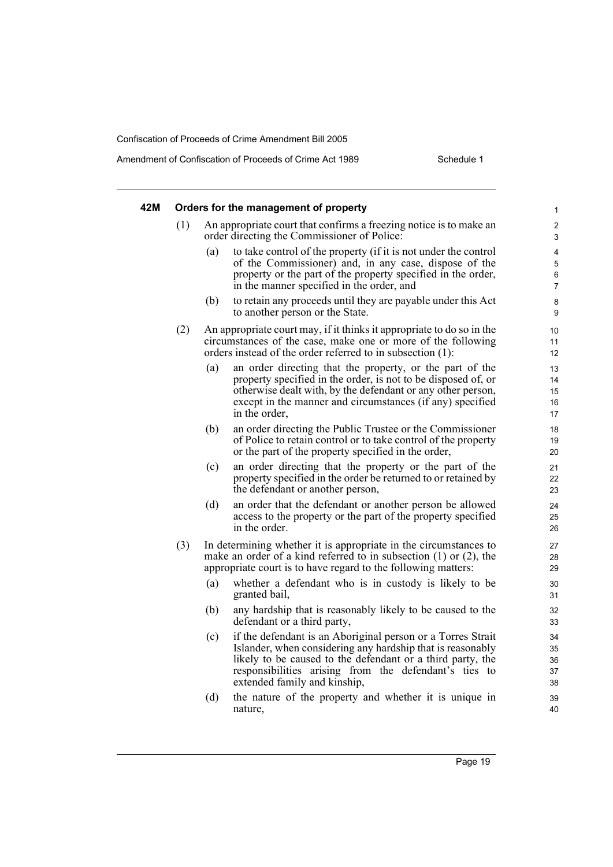| 42M |     |     | Orders for the management of property                                                                                                                                                                                                                                            | $\mathbf{1}$                  |
|-----|-----|-----|----------------------------------------------------------------------------------------------------------------------------------------------------------------------------------------------------------------------------------------------------------------------------------|-------------------------------|
|     | (1) |     | An appropriate court that confirms a freezing notice is to make an<br>order directing the Commissioner of Police:                                                                                                                                                                | 2<br>3                        |
|     |     | (a) | to take control of the property (if it is not under the control<br>of the Commissioner) and, in any case, dispose of the<br>property or the part of the property specified in the order,<br>in the manner specified in the order, and                                            | 4<br>5<br>6<br>$\overline{7}$ |
|     |     | (b) | to retain any proceeds until they are payable under this Act<br>to another person or the State.                                                                                                                                                                                  | 8<br>9                        |
|     | (2) |     | An appropriate court may, if it thinks it appropriate to do so in the<br>circumstances of the case, make one or more of the following<br>orders instead of the order referred to in subsection (1):                                                                              | 10<br>11<br>12                |
|     |     | (a) | an order directing that the property, or the part of the<br>property specified in the order, is not to be disposed of, or<br>otherwise dealt with, by the defendant or any other person,<br>except in the manner and circumstances (if any) specified<br>in the order,           | 13<br>14<br>15<br>16<br>17    |
|     |     | (b) | an order directing the Public Trustee or the Commissioner<br>of Police to retain control or to take control of the property<br>or the part of the property specified in the order,                                                                                               | 18<br>19<br>20                |
|     |     | (c) | an order directing that the property or the part of the<br>property specified in the order be returned to or retained by<br>the defendant or another person,                                                                                                                     | 21<br>22<br>23                |
|     |     | (d) | an order that the defendant or another person be allowed<br>access to the property or the part of the property specified<br>in the order.                                                                                                                                        | 24<br>25<br>26                |
|     | (3) |     | In determining whether it is appropriate in the circumstances to<br>make an order of a kind referred to in subsection $(1)$ or $(2)$ , the<br>appropriate court is to have regard to the following matters:                                                                      | 27<br>28<br>29                |
|     |     | (a) | whether a defendant who is in custody is likely to be<br>granted bail,                                                                                                                                                                                                           | 30<br>31                      |
|     |     | (b) | any hardship that is reasonably likely to be caused to the<br>defendant or a third party,                                                                                                                                                                                        | 32<br>33                      |
|     |     | (c) | if the defendant is an Aboriginal person or a Torres Strait<br>Islander, when considering any hardship that is reasonably<br>likely to be caused to the defendant or a third party, the<br>responsibilities arising from the defendant's ties to<br>extended family and kinship, | 34<br>35<br>36<br>37<br>38    |
|     |     | (d) | the nature of the property and whether it is unique in<br>nature,                                                                                                                                                                                                                | 39<br>40                      |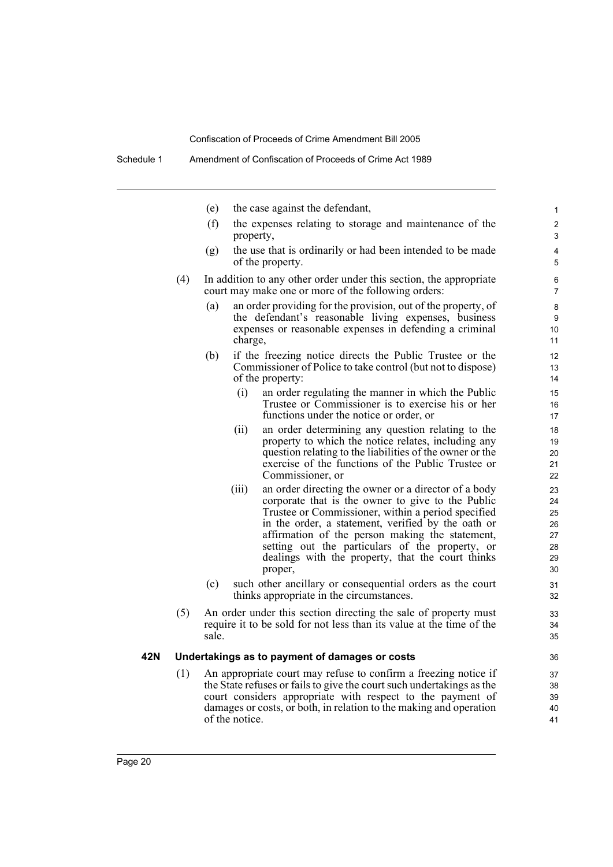- (e) the case against the defendant,
- (f) the expenses relating to storage and maintenance of the property,

- (g) the use that is ordinarily or had been intended to be made of the property.
- (4) In addition to any other order under this section, the appropriate court may make one or more of the following orders:
	- (a) an order providing for the provision, out of the property, of the defendant's reasonable living expenses, business expenses or reasonable expenses in defending a criminal charge,
	- (b) if the freezing notice directs the Public Trustee or the Commissioner of Police to take control (but not to dispose) of the property:
		- (i) an order regulating the manner in which the Public Trustee or Commissioner is to exercise his or her functions under the notice or order, or
		- (ii) an order determining any question relating to the property to which the notice relates, including any question relating to the liabilities of the owner or the exercise of the functions of the Public Trustee or Commissioner, or
		- (iii) an order directing the owner or a director of a body corporate that is the owner to give to the Public Trustee or Commissioner, within a period specified in the order, a statement, verified by the oath or affirmation of the person making the statement, setting out the particulars of the property, or dealings with the property, that the court thinks proper,
	- (c) such other ancillary or consequential orders as the court thinks appropriate in the circumstances.
- (5) An order under this section directing the sale of property must require it to be sold for not less than its value at the time of the sale.

#### **42N Undertakings as to payment of damages or costs**

(1) An appropriate court may refuse to confirm a freezing notice if the State refuses or fails to give the court such undertakings as the court considers appropriate with respect to the payment of damages or costs, or both, in relation to the making and operation of the notice.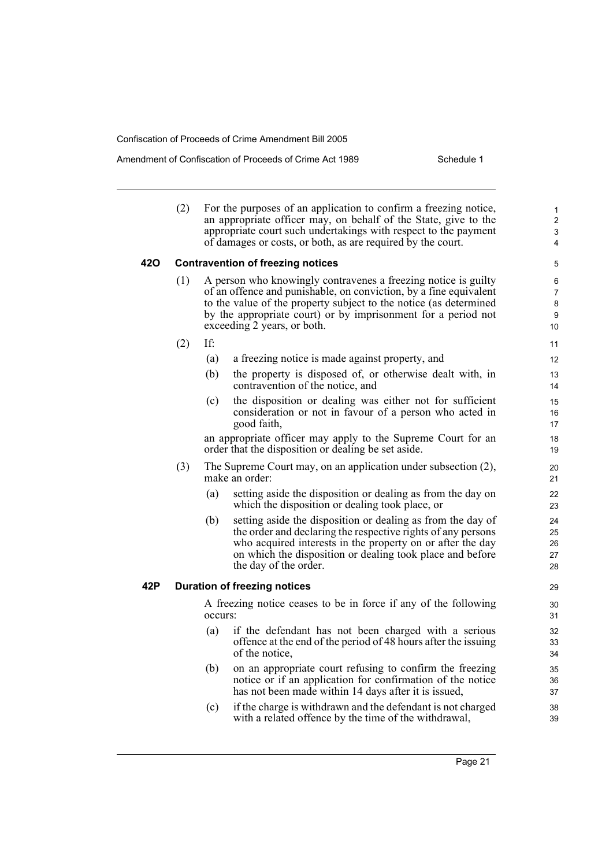#### Amendment of Confiscation of Proceeds of Crime Act 1989 Schedule 1

(2) For the purposes of an application to confirm a freezing notice, an appropriate officer may, on behalf of the State, give to the appropriate court such undertakings with respect to the payment of damages or costs, or both, as are required by the court. **42O Contravention of freezing notices** (1) A person who knowingly contravenes a freezing notice is guilty of an offence and punishable, on conviction, by a fine equivalent to the value of the property subject to the notice (as determined by the appropriate court) or by imprisonment for a period not exceeding 2 years, or both. (2) If: (a) a freezing notice is made against property, and (b) the property is disposed of, or otherwise dealt with, in contravention of the notice, and (c) the disposition or dealing was either not for sufficient consideration or not in favour of a person who acted in good faith, an appropriate officer may apply to the Supreme Court for an order that the disposition or dealing be set aside. (3) The Supreme Court may, on an application under subsection (2), make an order: (a) setting aside the disposition or dealing as from the day on which the disposition or dealing took place, or (b) setting aside the disposition or dealing as from the day of the order and declaring the respective rights of any persons who acquired interests in the property on or after the day on which the disposition or dealing took place and before the day of the order. **42P Duration of freezing notices** A freezing notice ceases to be in force if any of the following occurs: (a) if the defendant has not been charged with a serious offence at the end of the period of 48 hours after the issuing of the notice, (b) on an appropriate court refusing to confirm the freezing notice or if an application for confirmation of the notice has not been made within 14 days after it is issued, (c) if the charge is withdrawn and the defendant is not charged with a related offence by the time of the withdrawal, 10 11 12 13 14 15 16 17 18 19  $20$ 21 22 23 24 25 26 27 28 29 30 31 32 33 34 35 36 37 38 39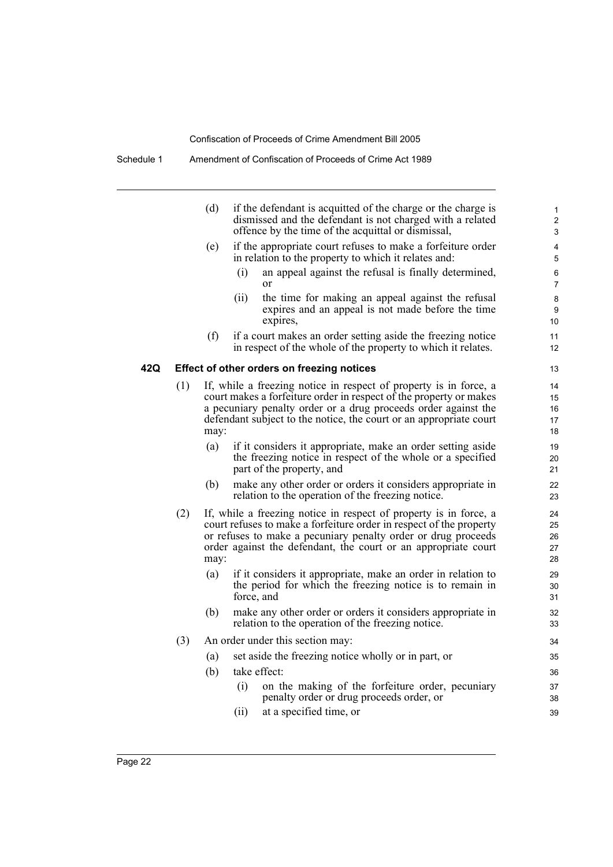|     |     | (d)  | if the defendant is acquitted of the charge or the charge is<br>dismissed and the defendant is not charged with a related<br>offence by the time of the acquittal or dismissal,                                                                                                 | $\mathbf{1}$<br>$\overline{2}$<br>3 |
|-----|-----|------|---------------------------------------------------------------------------------------------------------------------------------------------------------------------------------------------------------------------------------------------------------------------------------|-------------------------------------|
|     |     | (e)  | if the appropriate court refuses to make a forfeiture order<br>in relation to the property to which it relates and:                                                                                                                                                             | 4<br>5                              |
|     |     |      | an appeal against the refusal is finally determined,<br>(i)<br>or                                                                                                                                                                                                               | 6<br>$\overline{7}$                 |
|     |     |      | (ii)<br>the time for making an appeal against the refusal<br>expires and an appeal is not made before the time<br>expires,                                                                                                                                                      | 8<br>9<br>10                        |
|     |     | (f)  | if a court makes an order setting aside the freezing notice<br>in respect of the whole of the property to which it relates.                                                                                                                                                     | 11<br>12                            |
| 42Q |     |      | <b>Effect of other orders on freezing notices</b>                                                                                                                                                                                                                               | 13                                  |
|     | (1) | may: | If, while a freezing notice in respect of property is in force, a<br>court makes a forfeiture order in respect of the property or makes<br>a pecuniary penalty order or a drug proceeds order against the<br>defendant subject to the notice, the court or an appropriate court | 14<br>15<br>16<br>17<br>18          |
|     |     | (a)  | if it considers it appropriate, make an order setting aside<br>the freezing notice in respect of the whole or a specified<br>part of the property, and                                                                                                                          | 19<br>20<br>21                      |
|     |     | (b)  | make any other order or orders it considers appropriate in<br>relation to the operation of the freezing notice.                                                                                                                                                                 | 22<br>23                            |
|     | (2) | may: | If, while a freezing notice in respect of property is in force, a<br>court refuses to make a forfeiture order in respect of the property<br>or refuses to make a pecuniary penalty order or drug proceeds<br>order against the defendant, the court or an appropriate court     | 24<br>25<br>26<br>27<br>28          |
|     |     | (a)  | if it considers it appropriate, make an order in relation to<br>the period for which the freezing notice is to remain in<br>force, and                                                                                                                                          | 29<br>30<br>31                      |
|     |     | (b)  | make any other order or orders it considers appropriate in<br>relation to the operation of the freezing notice.                                                                                                                                                                 | 32<br>33                            |
|     | (3) |      | An order under this section may:                                                                                                                                                                                                                                                | 34                                  |
|     |     | (a)  | set aside the freezing notice wholly or in part, or                                                                                                                                                                                                                             | 35                                  |
|     |     | (b)  | take effect:                                                                                                                                                                                                                                                                    | 36                                  |
|     |     |      | on the making of the forfeiture order, pecuniary<br>(i)<br>penalty order or drug proceeds order, or                                                                                                                                                                             | 37<br>38                            |
|     |     |      | at a specified time, or<br>(i)                                                                                                                                                                                                                                                  | 39                                  |
|     |     |      |                                                                                                                                                                                                                                                                                 |                                     |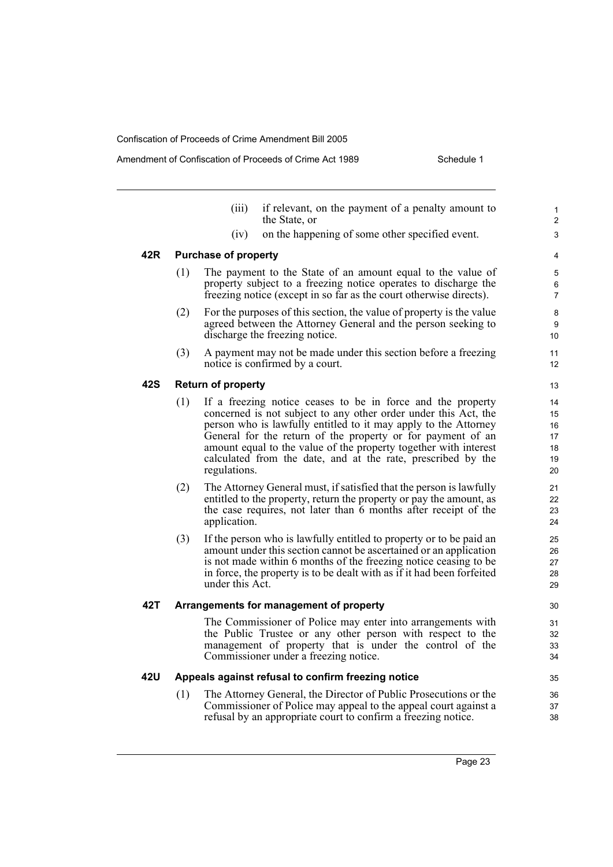|     |     | (iii)                       | if relevant, on the payment of a penalty amount to<br>the State, or                                                                                                                                                                                                                                                                                                                                  | $\mathbf{1}$<br>2                      |
|-----|-----|-----------------------------|------------------------------------------------------------------------------------------------------------------------------------------------------------------------------------------------------------------------------------------------------------------------------------------------------------------------------------------------------------------------------------------------------|----------------------------------------|
|     |     | (iv)                        | on the happening of some other specified event.                                                                                                                                                                                                                                                                                                                                                      | 3                                      |
| 42R |     | <b>Purchase of property</b> |                                                                                                                                                                                                                                                                                                                                                                                                      | 4                                      |
|     | (1) |                             | The payment to the State of an amount equal to the value of<br>property subject to a freezing notice operates to discharge the<br>freezing notice (except in so far as the court otherwise directs).                                                                                                                                                                                                 | 5<br>6<br>$\overline{7}$               |
|     | (2) |                             | For the purposes of this section, the value of property is the value<br>agreed between the Attorney General and the person seeking to<br>discharge the freezing notice.                                                                                                                                                                                                                              | 8<br>9<br>10                           |
|     | (3) |                             | A payment may not be made under this section before a freezing<br>notice is confirmed by a court.                                                                                                                                                                                                                                                                                                    | 11<br>12                               |
| 42S |     | <b>Return of property</b>   |                                                                                                                                                                                                                                                                                                                                                                                                      | 13                                     |
|     | (1) | regulations.                | If a freezing notice ceases to be in force and the property<br>concerned is not subject to any other order under this Act, the<br>person who is lawfully entitled to it may apply to the Attorney<br>General for the return of the property or for payment of an<br>amount equal to the value of the property together with interest<br>calculated from the date, and at the rate, prescribed by the | 14<br>15<br>16<br>17<br>18<br>19<br>20 |
|     | (2) | application.                | The Attorney General must, if satisfied that the person is lawfully<br>entitled to the property, return the property or pay the amount, as<br>the case requires, not later than 6 months after receipt of the                                                                                                                                                                                        | 21<br>22<br>23<br>24                   |
|     | (3) | under this Act.             | If the person who is lawfully entitled to property or to be paid an<br>amount under this section cannot be ascertained or an application<br>is not made within 6 months of the freezing notice ceasing to be<br>in force, the property is to be dealt with as if it had been forfeited                                                                                                               | 25<br>26<br>27<br>28<br>29             |
| 42T |     |                             | Arrangements for management of property                                                                                                                                                                                                                                                                                                                                                              | 30                                     |
|     |     |                             | The Commissioner of Police may enter into arrangements with<br>the Public Trustee or any other person with respect to the<br>management of property that is under the control of the<br>Commissioner under a freezing notice.                                                                                                                                                                        | 31<br>32<br>33<br>34                   |
| 42U |     |                             | Appeals against refusal to confirm freezing notice                                                                                                                                                                                                                                                                                                                                                   | 35                                     |
|     | (1) |                             | The Attorney General, the Director of Public Prosecutions or the<br>Commissioner of Police may appeal to the appeal court against a<br>refusal by an appropriate court to confirm a freezing notice.                                                                                                                                                                                                 | 36<br>37<br>38                         |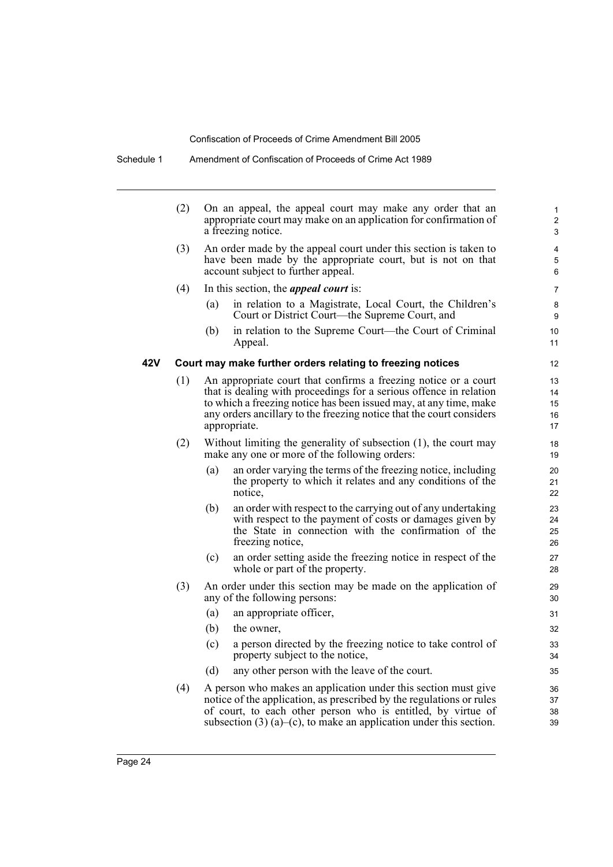|     | (2) |                                                                                                                      | On an appeal, the appeal court may make any order that an<br>appropriate court may make on an application for confirmation of<br>a freezing notice.                                                                                                                                                | 1<br>$\overline{2}$<br>3   |  |  |
|-----|-----|----------------------------------------------------------------------------------------------------------------------|----------------------------------------------------------------------------------------------------------------------------------------------------------------------------------------------------------------------------------------------------------------------------------------------------|----------------------------|--|--|
|     | (3) |                                                                                                                      | An order made by the appeal court under this section is taken to<br>have been made by the appropriate court, but is not on that<br>account subject to further appeal.                                                                                                                              | 4<br>5<br>6                |  |  |
|     | (4) |                                                                                                                      | In this section, the <i>appeal court</i> is:                                                                                                                                                                                                                                                       | $\overline{7}$             |  |  |
|     |     | (a)                                                                                                                  | in relation to a Magistrate, Local Court, the Children's<br>Court or District Court—the Supreme Court, and                                                                                                                                                                                         | 8<br>9                     |  |  |
|     |     | (b)                                                                                                                  | in relation to the Supreme Court—the Court of Criminal<br>Appeal.                                                                                                                                                                                                                                  | 10<br>11                   |  |  |
| 42V |     |                                                                                                                      | Court may make further orders relating to freezing notices                                                                                                                                                                                                                                         | 12                         |  |  |
|     | (1) |                                                                                                                      | An appropriate court that confirms a freezing notice or a court<br>that is dealing with proceedings for a serious offence in relation<br>to which a freezing notice has been issued may, at any time, make<br>any orders ancillary to the freezing notice that the court considers<br>appropriate. | 13<br>14<br>15<br>16<br>17 |  |  |
|     | (2) | Without limiting the generality of subsection $(1)$ , the court may<br>make any one or more of the following orders: |                                                                                                                                                                                                                                                                                                    |                            |  |  |
|     |     | (a)                                                                                                                  | an order varying the terms of the freezing notice, including<br>the property to which it relates and any conditions of the<br>notice,                                                                                                                                                              | 20<br>21<br>22             |  |  |
|     |     | (b)                                                                                                                  | an order with respect to the carrying out of any undertaking<br>with respect to the payment of costs or damages given by<br>the State in connection with the confirmation of the<br>freezing notice,                                                                                               | 23<br>24<br>25<br>26       |  |  |
|     |     | (c)                                                                                                                  | an order setting aside the freezing notice in respect of the<br>whole or part of the property.                                                                                                                                                                                                     | 27<br>28                   |  |  |
|     | (3) |                                                                                                                      | An order under this section may be made on the application of<br>any of the following persons:                                                                                                                                                                                                     | 29<br>30                   |  |  |
|     |     | (a)                                                                                                                  | an appropriate officer,                                                                                                                                                                                                                                                                            | 31                         |  |  |
|     |     | (b)                                                                                                                  | the owner,                                                                                                                                                                                                                                                                                         | 32                         |  |  |
|     |     | (c)                                                                                                                  | a person directed by the freezing notice to take control of<br>property subject to the notice,                                                                                                                                                                                                     | 33<br>34                   |  |  |
|     |     | (d)                                                                                                                  | any other person with the leave of the court.                                                                                                                                                                                                                                                      | 35                         |  |  |
|     | (4) |                                                                                                                      | A person who makes an application under this section must give<br>notice of the application, as prescribed by the regulations or rules<br>of court, to each other person who is entitled, by virtue of<br>subsection $(3)$ (a)–(c), to make an application under this section.                     | 36<br>37<br>38<br>39       |  |  |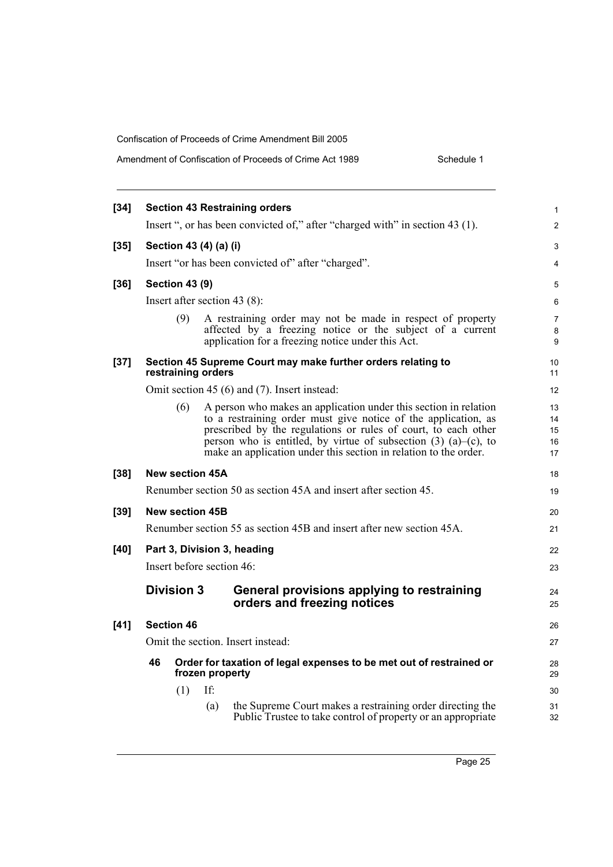| Amendment of Confiscation of Proceeds of Crime Act 1989 | Schedule 1 |
|---------------------------------------------------------|------------|
|                                                         |            |

| <b>Section 43 Restraining orders</b> |     |     |                                                                                                                           |                                                                                                                                                                                                                                                                                                                                                                                                                                                                                                                                                                                                                                                                                                                                                                                                                                                                                                                                                                                                                                                                                                                                                                                                                                        |  |
|--------------------------------------|-----|-----|---------------------------------------------------------------------------------------------------------------------------|----------------------------------------------------------------------------------------------------------------------------------------------------------------------------------------------------------------------------------------------------------------------------------------------------------------------------------------------------------------------------------------------------------------------------------------------------------------------------------------------------------------------------------------------------------------------------------------------------------------------------------------------------------------------------------------------------------------------------------------------------------------------------------------------------------------------------------------------------------------------------------------------------------------------------------------------------------------------------------------------------------------------------------------------------------------------------------------------------------------------------------------------------------------------------------------------------------------------------------------|--|
|                                      |     |     |                                                                                                                           | 2                                                                                                                                                                                                                                                                                                                                                                                                                                                                                                                                                                                                                                                                                                                                                                                                                                                                                                                                                                                                                                                                                                                                                                                                                                      |  |
| $[35]$<br>Section 43 (4) (a) (i)     |     |     |                                                                                                                           |                                                                                                                                                                                                                                                                                                                                                                                                                                                                                                                                                                                                                                                                                                                                                                                                                                                                                                                                                                                                                                                                                                                                                                                                                                        |  |
|                                      |     |     |                                                                                                                           | 4                                                                                                                                                                                                                                                                                                                                                                                                                                                                                                                                                                                                                                                                                                                                                                                                                                                                                                                                                                                                                                                                                                                                                                                                                                      |  |
|                                      |     |     |                                                                                                                           | 5                                                                                                                                                                                                                                                                                                                                                                                                                                                                                                                                                                                                                                                                                                                                                                                                                                                                                                                                                                                                                                                                                                                                                                                                                                      |  |
|                                      |     |     |                                                                                                                           | 6                                                                                                                                                                                                                                                                                                                                                                                                                                                                                                                                                                                                                                                                                                                                                                                                                                                                                                                                                                                                                                                                                                                                                                                                                                      |  |
|                                      | (9) |     |                                                                                                                           | $\overline{7}$<br>8<br>9                                                                                                                                                                                                                                                                                                                                                                                                                                                                                                                                                                                                                                                                                                                                                                                                                                                                                                                                                                                                                                                                                                                                                                                                               |  |
|                                      |     |     |                                                                                                                           | 10<br>11                                                                                                                                                                                                                                                                                                                                                                                                                                                                                                                                                                                                                                                                                                                                                                                                                                                                                                                                                                                                                                                                                                                                                                                                                               |  |
|                                      |     |     |                                                                                                                           | 12                                                                                                                                                                                                                                                                                                                                                                                                                                                                                                                                                                                                                                                                                                                                                                                                                                                                                                                                                                                                                                                                                                                                                                                                                                     |  |
|                                      | (6) |     |                                                                                                                           | 13<br>14<br>15<br>16<br>17                                                                                                                                                                                                                                                                                                                                                                                                                                                                                                                                                                                                                                                                                                                                                                                                                                                                                                                                                                                                                                                                                                                                                                                                             |  |
|                                      |     |     |                                                                                                                           | 18                                                                                                                                                                                                                                                                                                                                                                                                                                                                                                                                                                                                                                                                                                                                                                                                                                                                                                                                                                                                                                                                                                                                                                                                                                     |  |
|                                      |     |     |                                                                                                                           | 19                                                                                                                                                                                                                                                                                                                                                                                                                                                                                                                                                                                                                                                                                                                                                                                                                                                                                                                                                                                                                                                                                                                                                                                                                                     |  |
|                                      |     |     |                                                                                                                           | 20                                                                                                                                                                                                                                                                                                                                                                                                                                                                                                                                                                                                                                                                                                                                                                                                                                                                                                                                                                                                                                                                                                                                                                                                                                     |  |
|                                      |     |     |                                                                                                                           | 21                                                                                                                                                                                                                                                                                                                                                                                                                                                                                                                                                                                                                                                                                                                                                                                                                                                                                                                                                                                                                                                                                                                                                                                                                                     |  |
|                                      |     |     |                                                                                                                           | 22                                                                                                                                                                                                                                                                                                                                                                                                                                                                                                                                                                                                                                                                                                                                                                                                                                                                                                                                                                                                                                                                                                                                                                                                                                     |  |
|                                      |     |     |                                                                                                                           | 23                                                                                                                                                                                                                                                                                                                                                                                                                                                                                                                                                                                                                                                                                                                                                                                                                                                                                                                                                                                                                                                                                                                                                                                                                                     |  |
|                                      |     |     | General provisions applying to restraining<br>orders and freezing notices                                                 | 24<br>25                                                                                                                                                                                                                                                                                                                                                                                                                                                                                                                                                                                                                                                                                                                                                                                                                                                                                                                                                                                                                                                                                                                                                                                                                               |  |
|                                      |     |     |                                                                                                                           | 26                                                                                                                                                                                                                                                                                                                                                                                                                                                                                                                                                                                                                                                                                                                                                                                                                                                                                                                                                                                                                                                                                                                                                                                                                                     |  |
|                                      |     |     |                                                                                                                           | 27                                                                                                                                                                                                                                                                                                                                                                                                                                                                                                                                                                                                                                                                                                                                                                                                                                                                                                                                                                                                                                                                                                                                                                                                                                     |  |
| 46                                   |     |     |                                                                                                                           | 28<br>29                                                                                                                                                                                                                                                                                                                                                                                                                                                                                                                                                                                                                                                                                                                                                                                                                                                                                                                                                                                                                                                                                                                                                                                                                               |  |
|                                      | (1) | If: |                                                                                                                           | 30                                                                                                                                                                                                                                                                                                                                                                                                                                                                                                                                                                                                                                                                                                                                                                                                                                                                                                                                                                                                                                                                                                                                                                                                                                     |  |
|                                      |     | (a) | the Supreme Court makes a restraining order directing the<br>Public Trustee to take control of property or an appropriate | 31<br>32                                                                                                                                                                                                                                                                                                                                                                                                                                                                                                                                                                                                                                                                                                                                                                                                                                                                                                                                                                                                                                                                                                                                                                                                                               |  |
|                                      |     |     | <b>Section 43 (9)</b><br><b>Division 3</b><br><b>Section 46</b>                                                           | Insert ", or has been convicted of," after "charged with" in section 43 (1).<br>Insert "or has been convicted of" after "charged".<br>Insert after section 43 $(8)$ :<br>A restraining order may not be made in respect of property<br>affected by a freezing notice or the subject of a current<br>application for a freezing notice under this Act.<br>Section 45 Supreme Court may make further orders relating to<br>restraining orders<br>Omit section 45 (6) and (7). Insert instead:<br>A person who makes an application under this section in relation<br>to a restraining order must give notice of the application, as<br>prescribed by the regulations or rules of court, to each other<br>person who is entitled, by virtue of subsection $(3)$ $(a)$ – $(c)$ , to<br>make an application under this section in relation to the order.<br><b>New section 45A</b><br>Renumber section 50 as section 45A and insert after section 45.<br>New section 45B<br>Renumber section 55 as section 45B and insert after new section 45A.<br>Part 3, Division 3, heading<br>Insert before section 46:<br>Omit the section. Insert instead:<br>Order for taxation of legal expenses to be met out of restrained or<br>frozen property |  |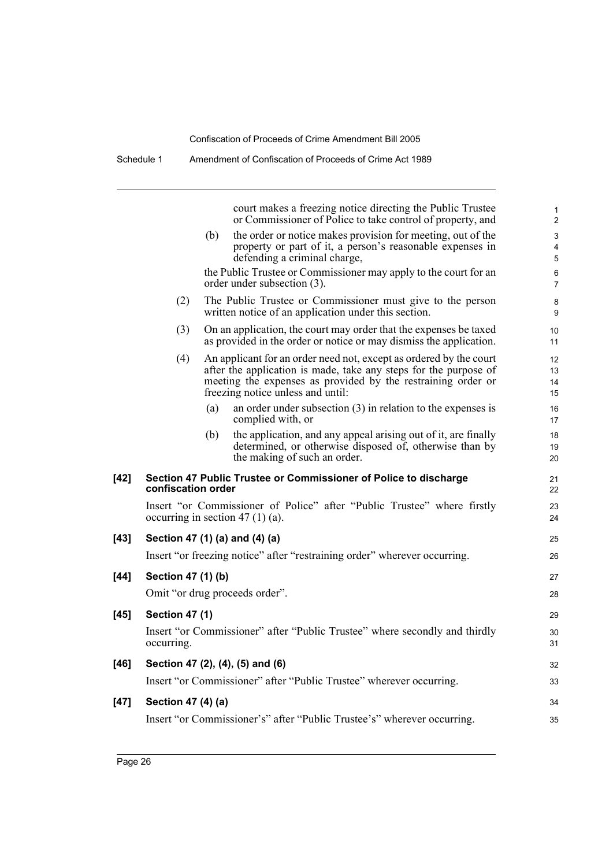Schedule 1 Amendment of Confiscation of Proceeds of Crime Act 1989

|        |                       |     | court makes a freezing notice directing the Public Trustee<br>or Commissioner of Police to take control of property, and                                                                                                                    | 1<br>2               |
|--------|-----------------------|-----|---------------------------------------------------------------------------------------------------------------------------------------------------------------------------------------------------------------------------------------------|----------------------|
|        |                       | (b) | the order or notice makes provision for meeting, out of the<br>property or part of it, a person's reasonable expenses in<br>defending a criminal charge,<br>the Public Trustee or Commissioner may apply to the court for an                | 3<br>4<br>5<br>6     |
|        |                       |     | order under subsection (3).                                                                                                                                                                                                                 | 7                    |
|        | (2)                   |     | The Public Trustee or Commissioner must give to the person<br>written notice of an application under this section.                                                                                                                          | 8<br>9               |
|        | (3)                   |     | On an application, the court may order that the expenses be taxed<br>as provided in the order or notice or may dismiss the application.                                                                                                     | 10<br>11             |
|        | (4)                   |     | An applicant for an order need not, except as ordered by the court<br>after the application is made, take any steps for the purpose of<br>meeting the expenses as provided by the restraining order or<br>freezing notice unless and until: | 12<br>13<br>14<br>15 |
|        |                       | (a) | an order under subsection $(3)$ in relation to the expenses is<br>complied with, or                                                                                                                                                         | 16<br>17             |
|        |                       | (b) | the application, and any appeal arising out of it, are finally<br>determined, or otherwise disposed of, otherwise than by<br>the making of such an order.                                                                                   | 18<br>19<br>20       |
| $[42]$ | confiscation order    |     | Section 47 Public Trustee or Commissioner of Police to discharge                                                                                                                                                                            | 21<br>22             |
|        |                       |     | Insert "or Commissioner of Police" after "Public Trustee" where firstly<br>occurring in section 47 $(1)$ (a).                                                                                                                               | 23<br>24             |
| $[43]$ |                       |     | Section 47 (1) (a) and (4) (a)                                                                                                                                                                                                              | 25                   |
|        |                       |     | Insert "or freezing notice" after "restraining order" wherever occurring.                                                                                                                                                                   | 26                   |
| $[44]$ | Section 47 (1) (b)    |     |                                                                                                                                                                                                                                             | 27                   |
|        |                       |     | Omit "or drug proceeds order".                                                                                                                                                                                                              | 28                   |
| $[45]$ | <b>Section 47 (1)</b> |     |                                                                                                                                                                                                                                             | 29                   |
|        | occurring.            |     | Insert "or Commissioner" after "Public Trustee" where secondly and thirdly                                                                                                                                                                  | 30<br>31             |
| $[46]$ |                       |     | Section 47 (2), (4), (5) and (6)                                                                                                                                                                                                            | 32                   |
|        |                       |     | Insert "or Commissioner" after "Public Trustee" wherever occurring.                                                                                                                                                                         | 33                   |
| $[47]$ | Section 47 (4) (a)    |     |                                                                                                                                                                                                                                             | 34                   |
|        |                       |     | Insert "or Commissioner's" after "Public Trustee's" wherever occurring.                                                                                                                                                                     | 35                   |
|        |                       |     |                                                                                                                                                                                                                                             |                      |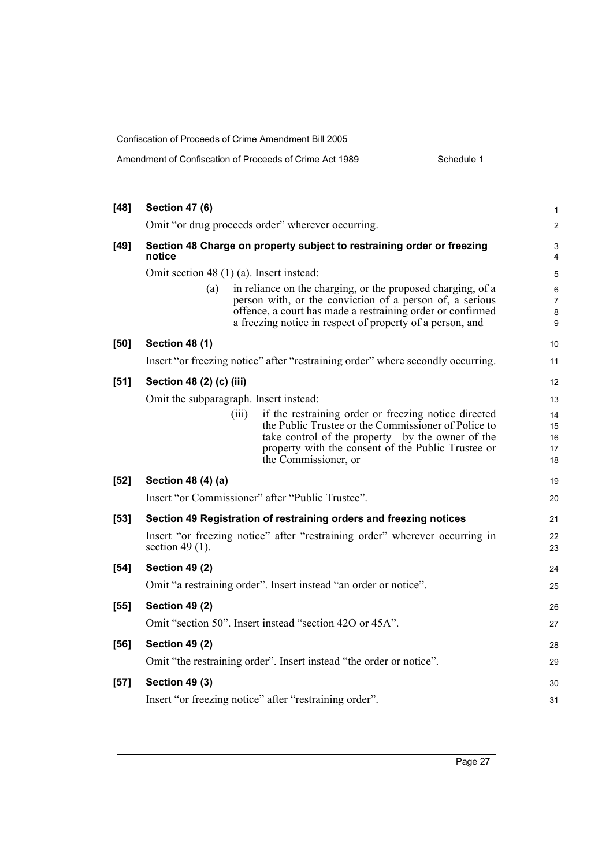| Amendment of Confiscation of Proceeds of Crime Act 1989<br>Schedule 1 |
|-----------------------------------------------------------------------|
|-----------------------------------------------------------------------|

| $[48]$ | <b>Section 47 (6)</b>                    |       |                                                                                                                                                                                                                                                    | 1                          |
|--------|------------------------------------------|-------|----------------------------------------------------------------------------------------------------------------------------------------------------------------------------------------------------------------------------------------------------|----------------------------|
|        |                                          |       | Omit "or drug proceeds order" wherever occurring.                                                                                                                                                                                                  | $\overline{c}$             |
| $[49]$ | notice                                   |       | Section 48 Charge on property subject to restraining order or freezing                                                                                                                                                                             | 3<br>$\overline{4}$        |
|        | Omit section 48 (1) (a). Insert instead: |       |                                                                                                                                                                                                                                                    | 5                          |
|        | (a)                                      |       | in reliance on the charging, or the proposed charging, of a<br>person with, or the conviction of a person of, a serious<br>offence, a court has made a restraining order or confirmed<br>a freezing notice in respect of property of a person, and | 6<br>7<br>8<br>9           |
| [50]   | <b>Section 48 (1)</b>                    |       |                                                                                                                                                                                                                                                    | 10                         |
|        |                                          |       | Insert "or freezing notice" after "restraining order" where secondly occurring.                                                                                                                                                                    | 11                         |
| [51]   | Section 48 (2) (c) (iii)                 |       |                                                                                                                                                                                                                                                    | 12                         |
|        | Omit the subparagraph. Insert instead:   |       |                                                                                                                                                                                                                                                    | 13                         |
|        |                                          | (iii) | if the restraining order or freezing notice directed<br>the Public Trustee or the Commissioner of Police to<br>take control of the property—by the owner of the<br>property with the consent of the Public Trustee or<br>the Commissioner, or      | 14<br>15<br>16<br>17<br>18 |
| $[52]$ | Section 48 (4) (a)                       |       |                                                                                                                                                                                                                                                    | 19                         |
|        |                                          |       | Insert "or Commissioner" after "Public Trustee".                                                                                                                                                                                                   | 20                         |
| [53]   |                                          |       | Section 49 Registration of restraining orders and freezing notices                                                                                                                                                                                 | 21                         |
|        | section 49 $(1)$ .                       |       | Insert "or freezing notice" after "restraining order" wherever occurring in                                                                                                                                                                        | 22<br>23                   |
| $[54]$ | <b>Section 49 (2)</b>                    |       |                                                                                                                                                                                                                                                    | 24                         |
|        |                                          |       | Omit "a restraining order". Insert instead "an order or notice".                                                                                                                                                                                   | 25                         |
| $[55]$ | <b>Section 49 (2)</b>                    |       |                                                                                                                                                                                                                                                    | 26                         |
|        |                                          |       | Omit "section 50". Insert instead "section 420 or 45A".                                                                                                                                                                                            | 27                         |
| $[56]$ | <b>Section 49 (2)</b>                    |       |                                                                                                                                                                                                                                                    | 28                         |
|        |                                          |       | Omit "the restraining order". Insert instead "the order or notice".                                                                                                                                                                                | 29                         |
| $[57]$ | <b>Section 49 (3)</b>                    |       |                                                                                                                                                                                                                                                    | 30                         |
|        |                                          |       | Insert "or freezing notice" after "restraining order".                                                                                                                                                                                             | 31                         |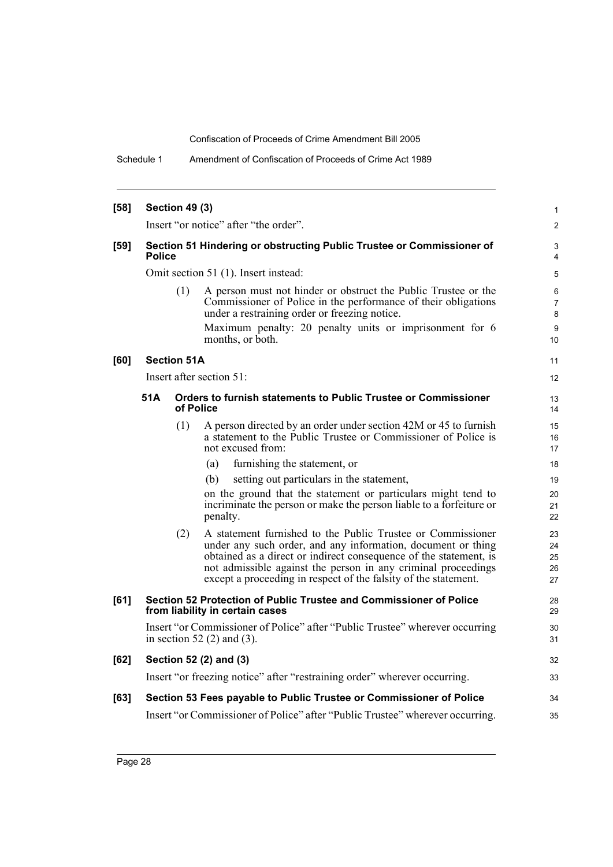Schedule 1 Amendment of Confiscation of Proceeds of Crime Act 1989

| [58]   | <b>Section 49 (3)</b> |                    |                                                                                                                                                                                                                                                                                                                                      |                                     |  |  |  |
|--------|-----------------------|--------------------|--------------------------------------------------------------------------------------------------------------------------------------------------------------------------------------------------------------------------------------------------------------------------------------------------------------------------------------|-------------------------------------|--|--|--|
|        |                       |                    | Insert "or notice" after "the order".                                                                                                                                                                                                                                                                                                | 2                                   |  |  |  |
| $[59]$ | <b>Police</b>         |                    | Section 51 Hindering or obstructing Public Trustee or Commissioner of                                                                                                                                                                                                                                                                | 3<br>4                              |  |  |  |
|        |                       |                    | Omit section 51 (1). Insert instead:                                                                                                                                                                                                                                                                                                 | 5                                   |  |  |  |
|        |                       | (1)                | A person must not hinder or obstruct the Public Trustee or the<br>Commissioner of Police in the performance of their obligations<br>under a restraining order or freezing notice.<br>Maximum penalty: 20 penalty units or imprisonment for 6<br>months, or both.                                                                     | 6<br>$\overline{7}$<br>8<br>9<br>10 |  |  |  |
| [60]   |                       | <b>Section 51A</b> |                                                                                                                                                                                                                                                                                                                                      | 11                                  |  |  |  |
|        |                       |                    | Insert after section 51:                                                                                                                                                                                                                                                                                                             | 12                                  |  |  |  |
|        | 51A                   | of Police          | Orders to furnish statements to Public Trustee or Commissioner                                                                                                                                                                                                                                                                       | 13<br>14                            |  |  |  |
|        |                       | (1)                | A person directed by an order under section 42M or 45 to furnish<br>a statement to the Public Trustee or Commissioner of Police is<br>not excused from:                                                                                                                                                                              | 15<br>16<br>17                      |  |  |  |
|        |                       |                    | furnishing the statement, or<br>(a)                                                                                                                                                                                                                                                                                                  | 18                                  |  |  |  |
|        |                       |                    | setting out particulars in the statement,<br>(b)                                                                                                                                                                                                                                                                                     | 19                                  |  |  |  |
|        |                       |                    | on the ground that the statement or particulars might tend to<br>incriminate the person or make the person liable to a forfeiture or<br>penalty.                                                                                                                                                                                     | 20<br>21<br>22                      |  |  |  |
|        |                       | (2)                | A statement furnished to the Public Trustee or Commissioner<br>under any such order, and any information, document or thing<br>obtained as a direct or indirect consequence of the statement, is<br>not admissible against the person in any criminal proceedings<br>except a proceeding in respect of the falsity of the statement. | 23<br>24<br>25<br>26<br>27          |  |  |  |
| [61]   |                       |                    | Section 52 Protection of Public Trustee and Commissioner of Police<br>from liability in certain cases                                                                                                                                                                                                                                | 28<br>29                            |  |  |  |
|        |                       |                    | Insert "or Commissioner of Police" after "Public Trustee" wherever occurring<br>in section 52 $(2)$ and $(3)$ .                                                                                                                                                                                                                      | 30<br>31                            |  |  |  |
| $[62]$ |                       |                    | Section 52 (2) and (3)                                                                                                                                                                                                                                                                                                               | 32                                  |  |  |  |
|        |                       |                    | Insert "or freezing notice" after "restraining order" wherever occurring.                                                                                                                                                                                                                                                            | 33                                  |  |  |  |
| [63]   |                       |                    | Section 53 Fees payable to Public Trustee or Commissioner of Police                                                                                                                                                                                                                                                                  | 34                                  |  |  |  |
|        |                       |                    | Insert "or Commissioner of Police" after "Public Trustee" wherever occurring.                                                                                                                                                                                                                                                        | 35                                  |  |  |  |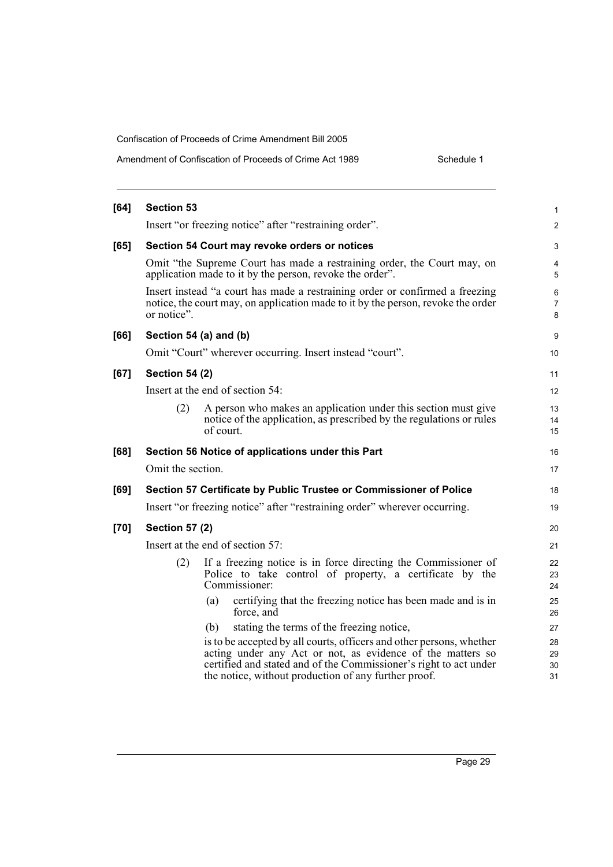| Amendment of Confiscation of Proceeds of Crime Act 1989 | Schedule 1 |
|---------------------------------------------------------|------------|
|                                                         |            |

| $[64]$ | <b>Section 53</b>     |                                                                                                                                                                  | 1              |
|--------|-----------------------|------------------------------------------------------------------------------------------------------------------------------------------------------------------|----------------|
|        |                       | Insert "or freezing notice" after "restraining order".                                                                                                           | $\overline{c}$ |
| $[65]$ |                       | Section 54 Court may revoke orders or notices                                                                                                                    | 3              |
|        |                       | Omit "the Supreme Court has made a restraining order, the Court may, on<br>application made to it by the person, revoke the order".                              | 4<br>5         |
|        | or notice".           | Insert instead "a court has made a restraining order or confirmed a freezing<br>notice, the court may, on application made to it by the person, revoke the order | 6<br>7<br>8    |
| [66]   |                       | Section 54 (a) and (b)                                                                                                                                           | 9              |
|        |                       | Omit "Court" wherever occurring. Insert instead "court".                                                                                                         | 10             |
| [67]   | <b>Section 54 (2)</b> |                                                                                                                                                                  | 11             |
|        |                       | Insert at the end of section 54:                                                                                                                                 | 12             |
|        | (2)                   | A person who makes an application under this section must give<br>notice of the application, as prescribed by the regulations or rules<br>of court.              | 13<br>14<br>15 |
| [68]   |                       | Section 56 Notice of applications under this Part                                                                                                                | 16             |
|        | Omit the section.     |                                                                                                                                                                  | 17             |
| [69]   |                       | Section 57 Certificate by Public Trustee or Commissioner of Police                                                                                               | 18             |
|        |                       | Insert "or freezing notice" after "restraining order" wherever occurring.                                                                                        | 19             |
| $[70]$ | <b>Section 57 (2)</b> |                                                                                                                                                                  | 20             |
|        |                       | Insert at the end of section 57:                                                                                                                                 | 21             |
|        | (2)                   | If a freezing notice is in force directing the Commissioner of<br>Police to take control of property, a certificate by the<br>Commissioner:                      | 22<br>23<br>24 |
|        |                       | certifying that the freezing notice has been made and is in<br>(a)<br>force, and                                                                                 | 25<br>26       |
|        |                       | stating the terms of the freezing notice,<br>(b)                                                                                                                 | 27             |
|        |                       | is to be accepted by all courts, officers and other persons, whether                                                                                             | 28             |
|        |                       | acting under any Act or not, as evidence of the matters so<br>certified and stated and of the Commissioner's right to act under                                  | 29<br>30       |
|        |                       | the notice, without production of any further proof.                                                                                                             | 31             |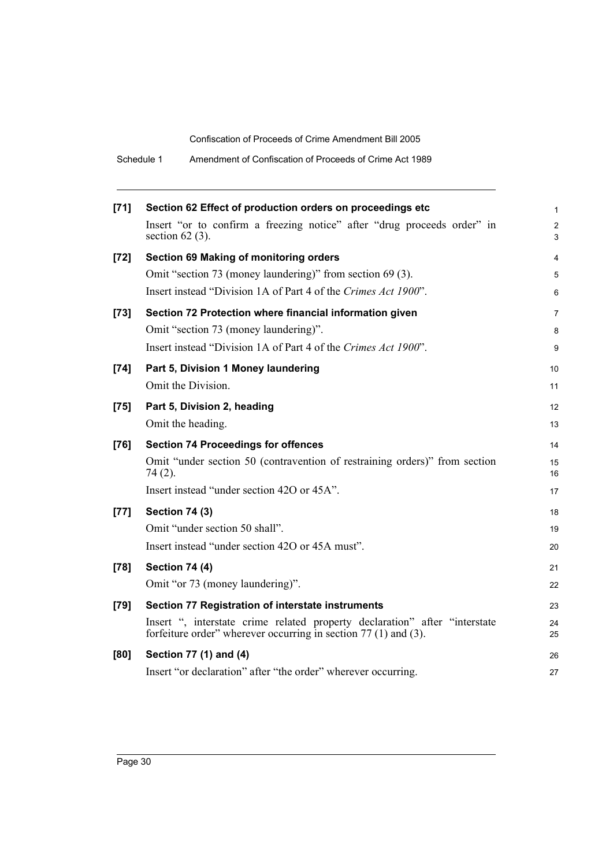| Amendment of Confiscation of Proceeds of Crime Act 1989<br>Schedule 1 |  |
|-----------------------------------------------------------------------|--|
|-----------------------------------------------------------------------|--|

| $[71]$ | Section 62 Effect of production orders on proceedings etc                                                                                         | 1                   |
|--------|---------------------------------------------------------------------------------------------------------------------------------------------------|---------------------|
|        | Insert "or to confirm a freezing notice" after "drug proceeds order" in<br>section $62$ (3).                                                      | $\overline{c}$<br>3 |
| $[72]$ | Section 69 Making of monitoring orders                                                                                                            | 4                   |
|        | Omit "section 73 (money laundering)" from section 69 (3).                                                                                         | 5                   |
|        | Insert instead "Division 1A of Part 4 of the Crimes Act 1900".                                                                                    | 6                   |
| $[73]$ | Section 72 Protection where financial information given                                                                                           | 7                   |
|        | Omit "section 73 (money laundering)".                                                                                                             | 8                   |
|        | Insert instead "Division 1A of Part 4 of the Crimes Act 1900".                                                                                    | 9                   |
| $[74]$ | Part 5, Division 1 Money laundering                                                                                                               | 10                  |
|        | Omit the Division.                                                                                                                                | 11                  |
| $[75]$ | Part 5, Division 2, heading                                                                                                                       | 12                  |
|        | Omit the heading.                                                                                                                                 | 13                  |
| $[76]$ | <b>Section 74 Proceedings for offences</b>                                                                                                        | 14                  |
|        | Omit "under section 50 (contravention of restraining orders)" from section<br>74 (2).                                                             | 15<br>16            |
|        | Insert instead "under section 420 or 45A".                                                                                                        | 17                  |
| $[77]$ | <b>Section 74 (3)</b>                                                                                                                             | 18                  |
|        | Omit "under section 50 shall".                                                                                                                    | 19                  |
|        | Insert instead "under section 420 or 45A must".                                                                                                   | 20                  |
| $[78]$ | <b>Section 74 (4)</b>                                                                                                                             | 21                  |
|        | Omit "or 73 (money laundering)".                                                                                                                  | 22                  |
| $[79]$ | Section 77 Registration of interstate instruments                                                                                                 | 23                  |
|        | Insert ", interstate crime related property declaration" after "interstate<br>forfeiture order" wherever occurring in section $77(1)$ and $(3)$ . | 24<br>25            |
| [80]   | Section 77 (1) and (4)                                                                                                                            | 26                  |
|        | Insert "or declaration" after "the order" wherever occurring.                                                                                     | 27                  |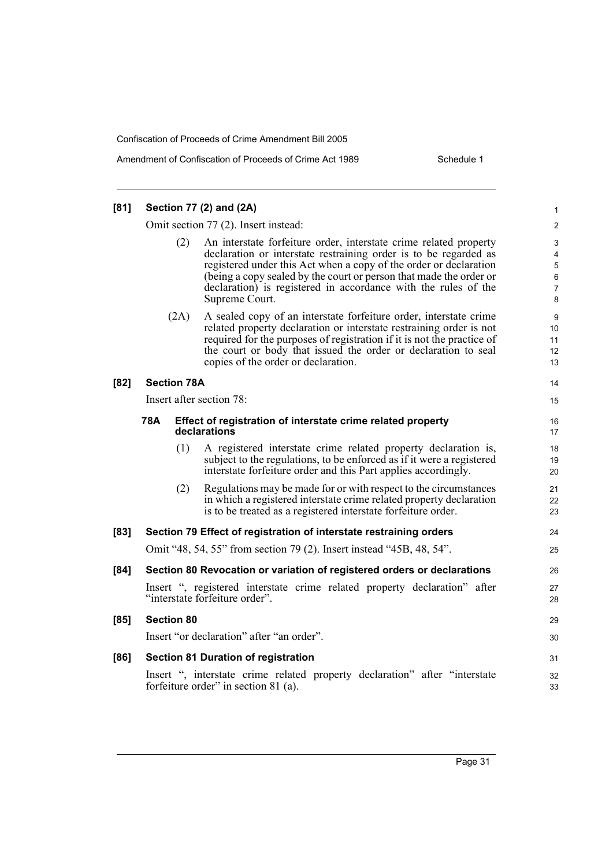| [81]   |     |                    | Section 77 (2) and (2A)                                                                                                                                                                                                                                                                                                                                              | $\mathbf{1}$               |
|--------|-----|--------------------|----------------------------------------------------------------------------------------------------------------------------------------------------------------------------------------------------------------------------------------------------------------------------------------------------------------------------------------------------------------------|----------------------------|
|        |     |                    | Omit section 77 (2). Insert instead:                                                                                                                                                                                                                                                                                                                                 | $\overline{2}$             |
|        |     | (2)                | An interstate forfeiture order, interstate crime related property<br>declaration or interstate restraining order is to be regarded as<br>registered under this Act when a copy of the order or declaration<br>(being a copy sealed by the court or person that made the order or<br>declaration) is registered in accordance with the rules of the<br>Supreme Court. | 3<br>4<br>5<br>6<br>7<br>8 |
|        |     | (2A)               | A sealed copy of an interstate forfeiture order, interstate crime<br>related property declaration or interstate restraining order is not<br>required for the purposes of registration if it is not the practice of<br>the court or body that issued the order or declaration to seal<br>copies of the order or declaration.                                          | 9<br>10<br>11<br>12<br>13  |
| $[82]$ |     | <b>Section 78A</b> |                                                                                                                                                                                                                                                                                                                                                                      | 14                         |
|        |     |                    | Insert after section 78:                                                                                                                                                                                                                                                                                                                                             | 15                         |
|        | 78A |                    | Effect of registration of interstate crime related property<br>declarations                                                                                                                                                                                                                                                                                          | 16<br>17                   |
|        |     | (1)                | A registered interstate crime related property declaration is,<br>subject to the regulations, to be enforced as if it were a registered<br>interstate forfeiture order and this Part applies accordingly.                                                                                                                                                            | 18<br>19<br>20             |
|        |     | (2)                | Regulations may be made for or with respect to the circumstances<br>in which a registered interstate crime related property declaration<br>is to be treated as a registered interstate forfeiture order.                                                                                                                                                             | 21<br>22<br>23             |
| [83]   |     |                    | Section 79 Effect of registration of interstate restraining orders                                                                                                                                                                                                                                                                                                   | 24                         |
|        |     |                    | Omit "48, 54, 55" from section 79 (2). Insert instead "45B, 48, 54".                                                                                                                                                                                                                                                                                                 | 25                         |
| [84]   |     |                    | Section 80 Revocation or variation of registered orders or declarations                                                                                                                                                                                                                                                                                              | 26                         |
|        |     |                    | Insert ", registered interstate crime related property declaration" after<br>"interstate forfeiture order".                                                                                                                                                                                                                                                          | 27<br>28                   |
| [85]   |     | <b>Section 80</b>  |                                                                                                                                                                                                                                                                                                                                                                      | 29                         |
|        |     |                    | Insert "or declaration" after "an order".                                                                                                                                                                                                                                                                                                                            | 30                         |
| [86]   |     |                    | <b>Section 81 Duration of registration</b>                                                                                                                                                                                                                                                                                                                           | 31                         |
|        |     |                    | Insert ", interstate crime related property declaration" after "interstate<br>forfeiture order" in section 81 (a).                                                                                                                                                                                                                                                   | 32<br>33                   |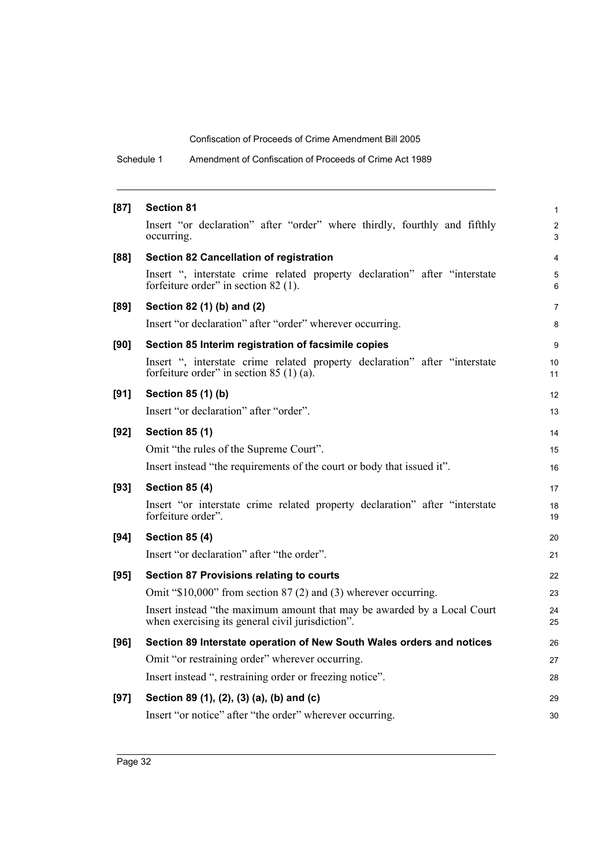Schedule 1 Amendment of Confiscation of Proceeds of Crime Act 1989

| $[87]$ | <b>Section 81</b>                                                                                                           | 1                   |
|--------|-----------------------------------------------------------------------------------------------------------------------------|---------------------|
|        | Insert "or declaration" after "order" where thirdly, fourthly and fifthly<br>occurring.                                     | $\overline{c}$<br>3 |
| [88]   | <b>Section 82 Cancellation of registration</b>                                                                              | 4                   |
|        | Insert ", interstate crime related property declaration" after "interstate<br>forfeiture order" in section 82 (1).          | 5<br>6              |
| [89]   | Section 82 (1) (b) and (2)                                                                                                  | 7                   |
|        | Insert "or declaration" after "order" wherever occurring.                                                                   | 8                   |
| [90]   | Section 85 Interim registration of facsimile copies                                                                         | 9                   |
|        | Insert ", interstate crime related property declaration" after "interstate<br>forfeiture order" in section 85 $(1)$ (a).    | 10<br>11            |
| [91]   | Section 85 (1) (b)                                                                                                          | 12                  |
|        | Insert "or declaration" after "order".                                                                                      | 13                  |
| $[92]$ | <b>Section 85 (1)</b>                                                                                                       | 14                  |
|        | Omit "the rules of the Supreme Court".                                                                                      | 15                  |
|        | Insert instead "the requirements of the court or body that issued it".                                                      | 16                  |
| [93]   | <b>Section 85 (4)</b>                                                                                                       | 17                  |
|        | Insert "or interstate crime related property declaration" after "interstate<br>forfeiture order".                           | 18<br>19            |
| [94]   | <b>Section 85 (4)</b>                                                                                                       | 20                  |
|        | Insert "or declaration" after "the order".                                                                                  | 21                  |
| $[95]$ | <b>Section 87 Provisions relating to courts</b>                                                                             | 22                  |
|        | Omit " $$10,000$ " from section 87 (2) and (3) wherever occurring.                                                          | 23                  |
|        | Insert instead "the maximum amount that may be awarded by a Local Court<br>when exercising its general civil jurisdiction". | 24<br>25            |
| [96]   | Section 89 Interstate operation of New South Wales orders and notices                                                       | 26                  |
|        | Omit "or restraining order" wherever occurring.                                                                             | 27                  |
|        | Insert instead ", restraining order or freezing notice".                                                                    | 28                  |
| [97]   | Section 89 (1), (2), (3) (a), (b) and (c)                                                                                   | 29                  |
|        | Insert "or notice" after "the order" wherever occurring.                                                                    | 30                  |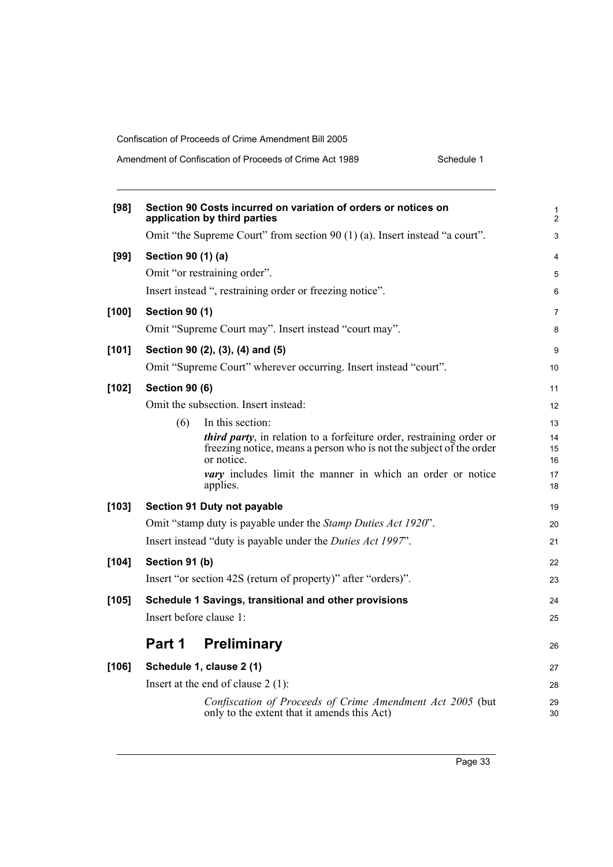| [98]    | Section 90 Costs incurred on variation of orders or notices on<br>application by third parties           | 1<br>$\overline{c}$ |
|---------|----------------------------------------------------------------------------------------------------------|---------------------|
|         | Omit "the Supreme Court" from section 90 (1) (a). Insert instead "a court".                              | 3                   |
| [99]    | Section 90 (1) (a)                                                                                       | 4                   |
|         | Omit "or restraining order".                                                                             | 5                   |
|         | Insert instead ", restraining order or freezing notice".                                                 | 6                   |
| [100]   | <b>Section 90 (1)</b>                                                                                    | 7                   |
|         | Omit "Supreme Court may". Insert instead "court may".                                                    | 8                   |
| [101]   | Section 90 (2), (3), (4) and (5)                                                                         | 9                   |
|         | Omit "Supreme Court" wherever occurring. Insert instead "court".                                         | 10                  |
| $[102]$ | <b>Section 90 (6)</b>                                                                                    | 11                  |
|         | Omit the subsection. Insert instead:                                                                     | 12                  |
|         | (6)<br>In this section:                                                                                  | 13                  |
|         | <i>third party</i> , in relation to a forfeiture order, restraining order or                             | 14                  |
|         | freezing notice, means a person who is not the subject of the order<br>or notice.                        | 15                  |
|         | <i>vary</i> includes limit the manner in which an order or notice                                        | 16<br>17            |
|         | applies.                                                                                                 | 18                  |
| $[103]$ | Section 91 Duty not payable                                                                              | 19                  |
|         | Omit "stamp duty is payable under the <i>Stamp Duties Act 1920"</i> .                                    | 20                  |
|         | Insert instead "duty is payable under the Duties Act 1997".                                              | 21                  |
| $[104]$ | Section 91 (b)                                                                                           | 22                  |
|         | Insert "or section 42S (return of property)" after "orders)".                                            | 23                  |
| [105]   | Schedule 1 Savings, transitional and other provisions                                                    | 24                  |
|         | Insert before clause 1:                                                                                  | 25                  |
|         | Part 1<br><b>Preliminary</b>                                                                             | 26                  |
| [106]   | Schedule 1, clause 2 (1)                                                                                 | 27                  |
|         | Insert at the end of clause $2(1)$ :                                                                     | 28                  |
|         | Confiscation of Proceeds of Crime Amendment Act 2005 (but<br>only to the extent that it amends this Act) | 29<br>30            |
|         |                                                                                                          |                     |

Page 33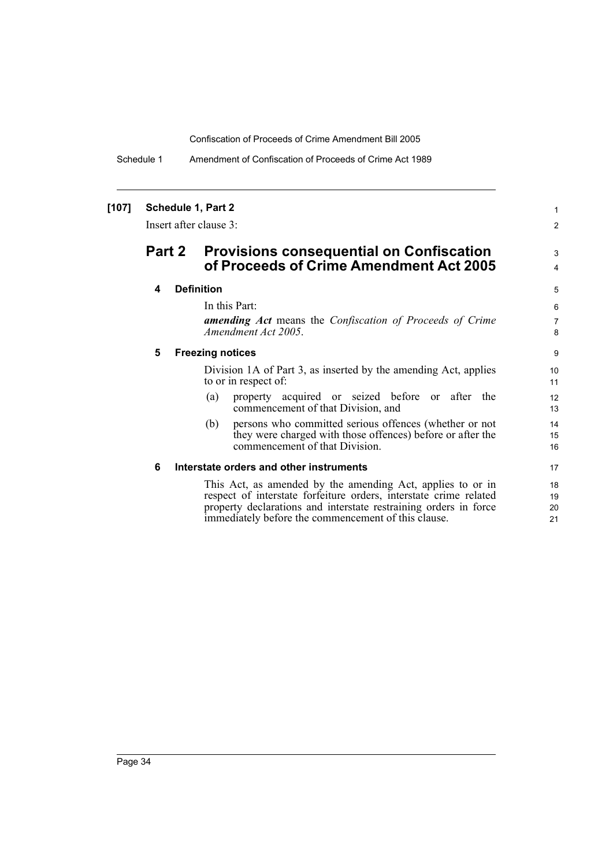Schedule 1 Amendment of Confiscation of Proceeds of Crime Act 1989

### **[107] Schedule 1, Part 2**

Insert after clause 3:

# **Part 2 Provisions consequential on Confiscation of Proceeds of Crime Amendment Act 2005**

## **4 Definition**

In this Part:

*amending Act* means the *Confiscation of Proceeds of Crime Amendment Act 2005*.

1 2

3 4

### **5 Freezing notices**

Division 1A of Part 3, as inserted by the amending Act, applies to or in respect of:

- (a) property acquired or seized before or after the commencement of that Division, and
- (b) persons who committed serious offences (whether or not they were charged with those offences) before or after the commencement of that Division.

#### **6 Interstate orders and other instruments**

This Act, as amended by the amending Act, applies to or in respect of interstate forfeiture orders, interstate crime related property declarations and interstate restraining orders in force immediately before the commencement of this clause.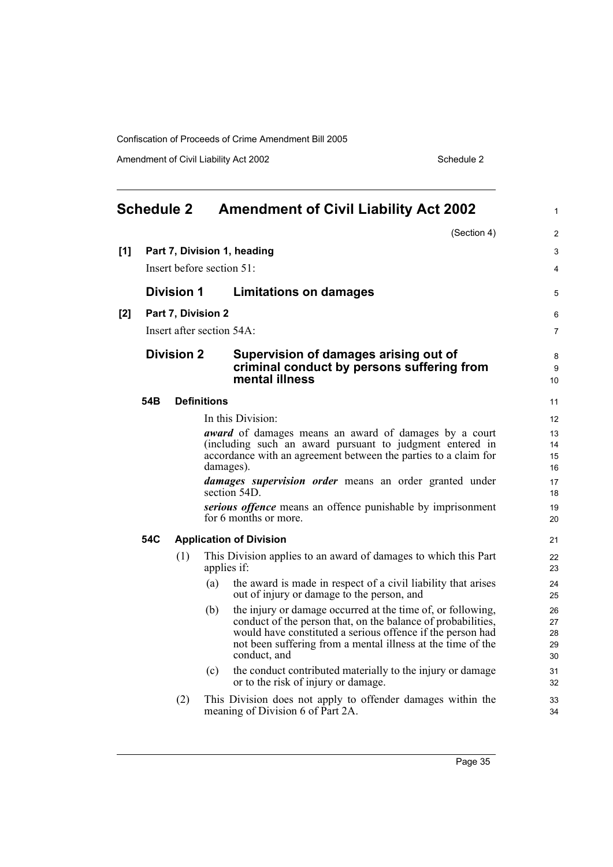Amendment of Civil Liability Act 2002 Schedule 2

<span id="page-50-0"></span>

|     | <b>Schedule 2</b> |                    |                    | <b>Amendment of Civil Liability Act 2002</b>                                                                                                                                                                                                                             | $\mathbf{1}$               |
|-----|-------------------|--------------------|--------------------|--------------------------------------------------------------------------------------------------------------------------------------------------------------------------------------------------------------------------------------------------------------------------|----------------------------|
|     |                   |                    |                    | (Section 4)                                                                                                                                                                                                                                                              | 2                          |
| [1] |                   |                    |                    | Part 7, Division 1, heading                                                                                                                                                                                                                                              | 3                          |
|     |                   |                    |                    | Insert before section 51:                                                                                                                                                                                                                                                | $\overline{4}$             |
|     |                   | <b>Division 1</b>  |                    | <b>Limitations on damages</b>                                                                                                                                                                                                                                            | 5                          |
| [2] |                   | Part 7, Division 2 |                    |                                                                                                                                                                                                                                                                          | 6                          |
|     |                   |                    |                    | Insert after section 54A:                                                                                                                                                                                                                                                | $\overline{7}$             |
|     |                   | <b>Division 2</b>  |                    | Supervision of damages arising out of<br>criminal conduct by persons suffering from<br>mental illness                                                                                                                                                                    | 8<br>9<br>10               |
|     | 54B               |                    | <b>Definitions</b> |                                                                                                                                                                                                                                                                          | 11                         |
|     |                   |                    |                    | In this Division:                                                                                                                                                                                                                                                        | 12                         |
|     |                   |                    |                    | <b><i>award</i></b> of damages means an award of damages by a court                                                                                                                                                                                                      | 13                         |
|     |                   |                    |                    | (including such an award pursuant to judgment entered in<br>accordance with an agreement between the parties to a claim for                                                                                                                                              | 14<br>15                   |
|     |                   |                    |                    | damages).                                                                                                                                                                                                                                                                | 16                         |
|     |                   |                    |                    | <i>damages supervision order</i> means an order granted under<br>section 54D.                                                                                                                                                                                            | 17<br>18                   |
|     |                   |                    |                    | serious offence means an offence punishable by imprisonment<br>for 6 months or more.                                                                                                                                                                                     | 19<br>20                   |
|     | 54C               |                    |                    | <b>Application of Division</b>                                                                                                                                                                                                                                           | 21                         |
|     |                   | (1)                |                    | This Division applies to an award of damages to which this Part<br>applies if:                                                                                                                                                                                           | 22<br>23                   |
|     |                   |                    | (a)                | the award is made in respect of a civil liability that arises<br>out of injury or damage to the person, and                                                                                                                                                              | 24<br>25                   |
|     |                   |                    | (b)                | the injury or damage occurred at the time of, or following,<br>conduct of the person that, on the balance of probabilities,<br>would have constituted a serious offence if the person had<br>not been suffering from a mental illness at the time of the<br>conduct, and | 26<br>27<br>28<br>29<br>30 |
|     |                   |                    | (c)                | the conduct contributed materially to the injury or damage<br>or to the risk of injury or damage.                                                                                                                                                                        | 31<br>32                   |
|     |                   | (2)                |                    | This Division does not apply to offender damages within the<br>meaning of Division 6 of Part 2A.                                                                                                                                                                         | 33<br>34                   |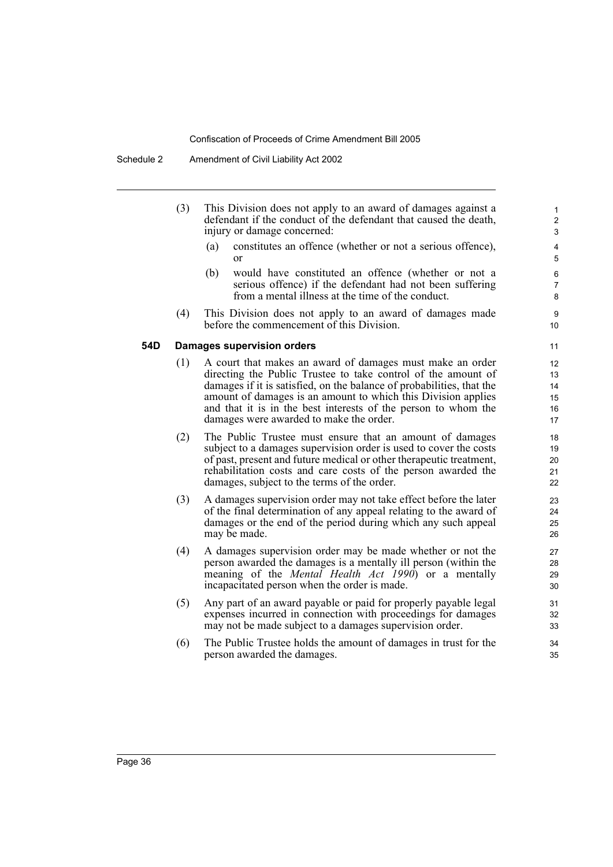- (3) This Division does not apply to an award of damages against a defendant if the conduct of the defendant that caused the death, injury or damage concerned:
	- (a) constitutes an offence (whether or not a serious offence), or

- (b) would have constituted an offence (whether or not a serious offence) if the defendant had not been suffering from a mental illness at the time of the conduct.
- (4) This Division does not apply to an award of damages made before the commencement of this Division.

## **54D Damages supervision orders**

- (1) A court that makes an award of damages must make an order directing the Public Trustee to take control of the amount of damages if it is satisfied, on the balance of probabilities, that the amount of damages is an amount to which this Division applies and that it is in the best interests of the person to whom the damages were awarded to make the order.
- (2) The Public Trustee must ensure that an amount of damages subject to a damages supervision order is used to cover the costs of past, present and future medical or other therapeutic treatment, rehabilitation costs and care costs of the person awarded the damages, subject to the terms of the order.
- (3) A damages supervision order may not take effect before the later of the final determination of any appeal relating to the award of damages or the end of the period during which any such appeal may be made.
- (4) A damages supervision order may be made whether or not the person awarded the damages is a mentally ill person (within the meaning of the *Mental Health Act 1990*) or a mentally incapacitated person when the order is made.
- (5) Any part of an award payable or paid for properly payable legal expenses incurred in connection with proceedings for damages may not be made subject to a damages supervision order.
- (6) The Public Trustee holds the amount of damages in trust for the person awarded the damages.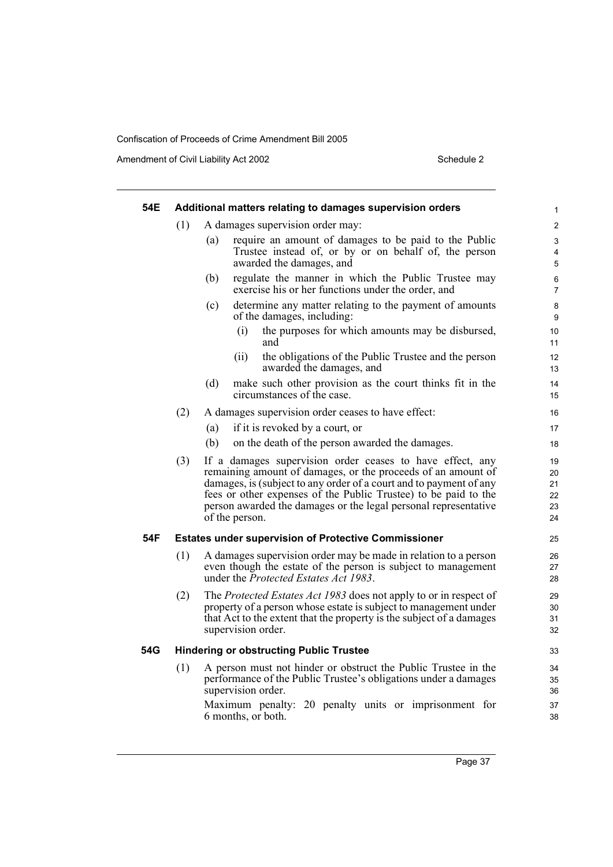Amendment of Civil Liability Act 2002 Schedule 2

| 54E |     | Additional matters relating to damages supervision orders                                                                                                                                                                                                                                                                                               | 1                                |
|-----|-----|---------------------------------------------------------------------------------------------------------------------------------------------------------------------------------------------------------------------------------------------------------------------------------------------------------------------------------------------------------|----------------------------------|
|     | (1) | A damages supervision order may:                                                                                                                                                                                                                                                                                                                        | $\overline{c}$                   |
|     |     | require an amount of damages to be paid to the Public<br>(a)                                                                                                                                                                                                                                                                                            | 3                                |
|     |     | Trustee instead of, or by or on behalf of, the person<br>awarded the damages, and                                                                                                                                                                                                                                                                       | 4<br>5                           |
|     |     | regulate the manner in which the Public Trustee may<br>(b)<br>exercise his or her functions under the order, and                                                                                                                                                                                                                                        | 6<br>$\overline{7}$              |
|     |     | determine any matter relating to the payment of amounts<br>(c)<br>of the damages, including:                                                                                                                                                                                                                                                            | 8<br>9                           |
|     |     | (i)<br>the purposes for which amounts may be disbursed,<br>and                                                                                                                                                                                                                                                                                          | 10<br>11                         |
|     |     | the obligations of the Public Trustee and the person<br>(ii)<br>awarded the damages, and                                                                                                                                                                                                                                                                | 12<br>13                         |
|     |     | (d)<br>make such other provision as the court thinks fit in the<br>circumstances of the case.                                                                                                                                                                                                                                                           | 14<br>15                         |
|     | (2) | A damages supervision order ceases to have effect:                                                                                                                                                                                                                                                                                                      | 16                               |
|     |     | if it is revoked by a court, or<br>(a)                                                                                                                                                                                                                                                                                                                  | 17                               |
|     |     | (b)<br>on the death of the person awarded the damages.                                                                                                                                                                                                                                                                                                  | 18                               |
|     | (3) | If a damages supervision order ceases to have effect, any<br>remaining amount of damages, or the proceeds of an amount of<br>damages, is (subject to any order of a court and to payment of any<br>fees or other expenses of the Public Trustee) to be paid to the<br>person awarded the damages or the legal personal representative<br>of the person. | 19<br>20<br>21<br>22<br>23<br>24 |
| 54F |     | <b>Estates under supervision of Protective Commissioner</b>                                                                                                                                                                                                                                                                                             | 25                               |
|     | (1) | A damages supervision order may be made in relation to a person<br>even though the estate of the person is subject to management<br>under the Protected Estates Act 1983.                                                                                                                                                                               | 26<br>27<br>28                   |
|     | (2) | The Protected Estates Act 1983 does not apply to or in respect of<br>property of a person whose estate is subject to management under<br>that Act to the extent that the property is the subject of a damages<br>supervision order.                                                                                                                     | 29<br>30<br>31<br>32             |
| 54G |     | <b>Hindering or obstructing Public Trustee</b>                                                                                                                                                                                                                                                                                                          | 33                               |
|     | (1) | A person must not hinder or obstruct the Public Trustee in the<br>performance of the Public Trustee's obligations under a damages<br>supervision order.                                                                                                                                                                                                 | 34<br>35<br>36                   |
|     |     | Maximum penalty: 20 penalty units or imprisonment for<br>6 months, or both.                                                                                                                                                                                                                                                                             | 37<br>38                         |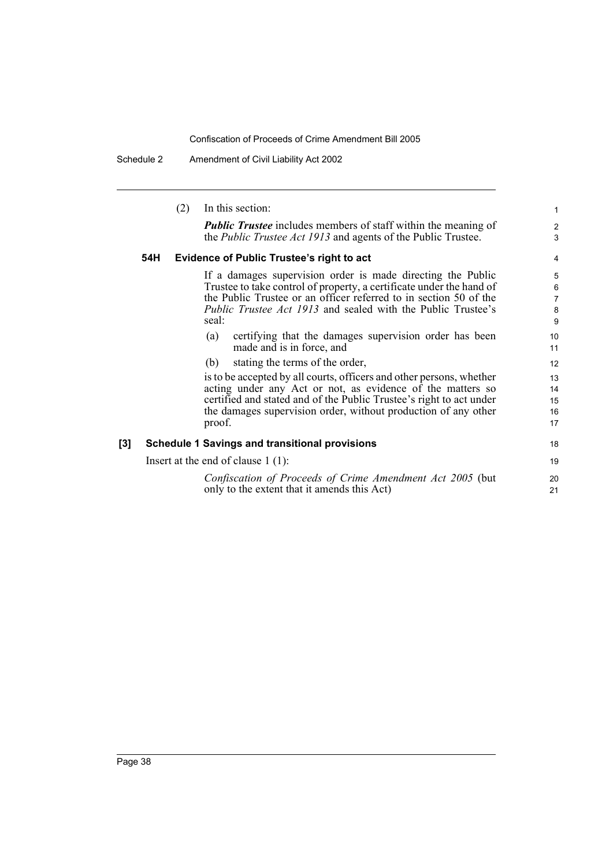Schedule 2 Amendment of Civil Liability Act 2002

|     |     | In this section:<br>(2)                                                                                                                                                                                                                                                               | $\mathbf{1}$                       |
|-----|-----|---------------------------------------------------------------------------------------------------------------------------------------------------------------------------------------------------------------------------------------------------------------------------------------|------------------------------------|
|     |     | <b>Public Trustee</b> includes members of staff within the meaning of<br>the <i>Public Trustee Act 1913</i> and agents of the Public Trustee.                                                                                                                                         | $\overline{2}$<br>3                |
|     | 54H | <b>Evidence of Public Trustee's right to act</b>                                                                                                                                                                                                                                      | 4                                  |
|     |     | If a damages supervision order is made directing the Public<br>Trustee to take control of property, a certificate under the hand of<br>the Public Trustee or an officer referred to in section 50 of the<br>Public Trustee Act 1913 and sealed with the Public Trustee's<br>seal:     | 5<br>6<br>$\overline{7}$<br>8<br>9 |
|     |     | certifying that the damages supervision order has been<br>(a)<br>made and is in force, and                                                                                                                                                                                            | 10<br>11                           |
|     |     | stating the terms of the order,<br>(b)                                                                                                                                                                                                                                                | 12                                 |
|     |     | is to be accepted by all courts, officers and other persons, whether<br>acting under any Act or not, as evidence of the matters so<br>certified and stated and of the Public Trustee's right to act under<br>the damages supervision order, without production of any other<br>proof. | 13<br>14<br>15<br>16<br>17         |
| [3] |     | <b>Schedule 1 Savings and transitional provisions</b>                                                                                                                                                                                                                                 | 18                                 |
|     |     | Insert at the end of clause $1(1)$ :                                                                                                                                                                                                                                                  | 19                                 |
|     |     | Confiscation of Proceeds of Crime Amendment Act 2005 (but<br>only to the extent that it amends this Act)                                                                                                                                                                              | 20<br>21                           |
|     |     |                                                                                                                                                                                                                                                                                       |                                    |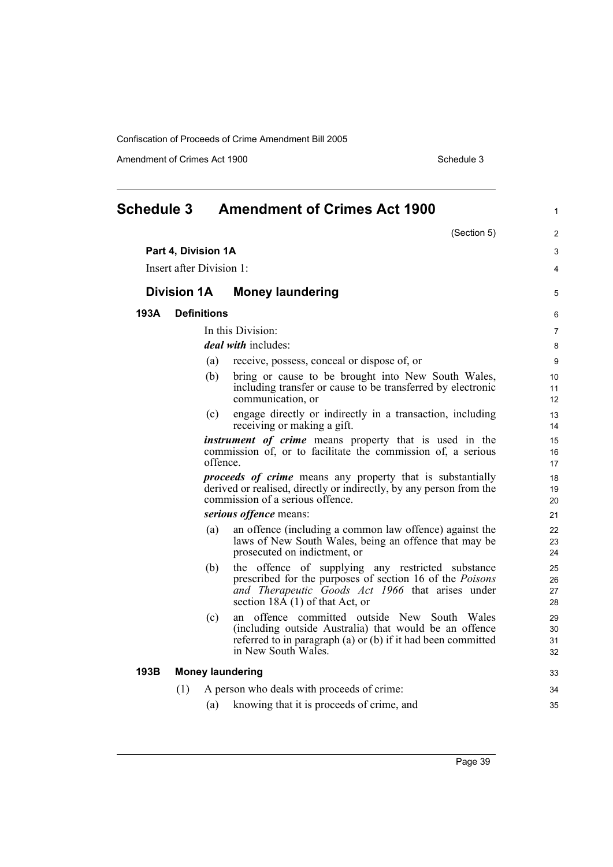Amendment of Crimes Act 1900 Schedule 3

<span id="page-54-0"></span>

| <b>Schedule 3</b> |                          |                    | <b>Amendment of Crimes Act 1900</b>                                                                                                                                                                                      | $\mathbf{1}$            |
|-------------------|--------------------------|--------------------|--------------------------------------------------------------------------------------------------------------------------------------------------------------------------------------------------------------------------|-------------------------|
|                   |                          |                    | (Section 5)                                                                                                                                                                                                              | 2                       |
|                   | Part 4, Division 1A      |                    |                                                                                                                                                                                                                          | 3                       |
|                   | Insert after Division 1: |                    |                                                                                                                                                                                                                          | $\overline{\mathbf{4}}$ |
|                   | <b>Division 1A</b>       |                    | <b>Money laundering</b>                                                                                                                                                                                                  | 5                       |
| 193A              |                          | <b>Definitions</b> |                                                                                                                                                                                                                          | 6                       |
|                   |                          |                    | In this Division:                                                                                                                                                                                                        | $\overline{7}$          |
|                   |                          |                    | <i>deal with includes:</i>                                                                                                                                                                                               | 8                       |
|                   |                          | (a)                | receive, possess, conceal or dispose of, or                                                                                                                                                                              | 9                       |
|                   |                          | (b)                | bring or cause to be brought into New South Wales,<br>including transfer or cause to be transferred by electronic<br>communication, or                                                                                   | 10<br>11<br>12          |
|                   |                          | (c)                | engage directly or indirectly in a transaction, including<br>receiving or making a gift.                                                                                                                                 | 13<br>14                |
|                   |                          | offence.           | <i>instrument of crime</i> means property that is used in the<br>commission of, or to facilitate the commission of, a serious                                                                                            | 15<br>16<br>17          |
|                   |                          |                    | <i>proceeds of crime</i> means any property that is substantially<br>derived or realised, directly or indirectly, by any person from the<br>commission of a serious offence.                                             | 18<br>19<br>20          |
|                   |                          |                    | serious offence means:                                                                                                                                                                                                   | 21                      |
|                   |                          | (a)                | an offence (including a common law offence) against the<br>laws of New South Wales, being an offence that may be<br>prosecuted on indictment, or                                                                         | 22<br>23<br>24          |
|                   |                          | (b)                | the offence of supplying any restricted substance<br>prescribed for the purposes of section 16 of the <i>Poisons</i><br>and Therapeutic Goods Act 1966 that arises under<br>section $18\overline{A}$ (1) of that Act, or | 25<br>26<br>27<br>28    |
|                   |                          | (c)                | an offence committed outside New South Wales<br>(including outside Australia) that would be an offence<br>referred to in paragraph (a) or (b) if it had been committed<br>in New South Wales.                            | 29<br>30<br>31<br>32    |
| 193B              |                          |                    | <b>Money laundering</b>                                                                                                                                                                                                  | 33                      |
|                   | (1)                      |                    | A person who deals with proceeds of crime:                                                                                                                                                                               | 34                      |
|                   |                          | (a)                | knowing that it is proceeds of crime, and                                                                                                                                                                                | 35                      |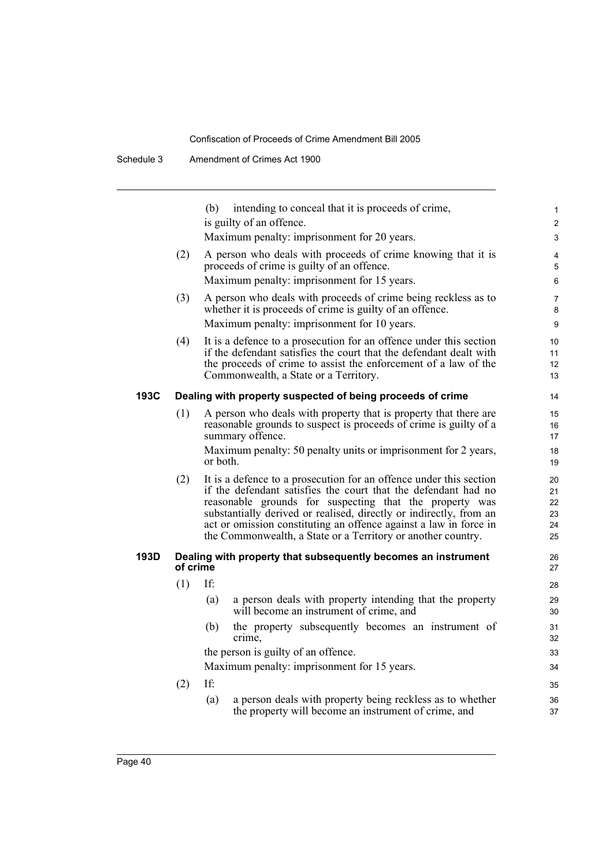|      |          | intending to conceal that it is proceeds of crime,<br>(b)                                                                                                                                                                                                                                                                                                                                                  | $\mathbf{1}$                     |
|------|----------|------------------------------------------------------------------------------------------------------------------------------------------------------------------------------------------------------------------------------------------------------------------------------------------------------------------------------------------------------------------------------------------------------------|----------------------------------|
|      |          | is guilty of an offence.                                                                                                                                                                                                                                                                                                                                                                                   | $\overline{2}$                   |
|      |          | Maximum penalty: imprisonment for 20 years.                                                                                                                                                                                                                                                                                                                                                                | 3                                |
|      | (2)      | A person who deals with proceeds of crime knowing that it is<br>proceeds of crime is guilty of an offence.                                                                                                                                                                                                                                                                                                 | 4<br>5                           |
|      |          | Maximum penalty: imprisonment for 15 years.                                                                                                                                                                                                                                                                                                                                                                | 6                                |
|      | (3)      | A person who deals with proceeds of crime being reckless as to<br>whether it is proceeds of crime is guilty of an offence.                                                                                                                                                                                                                                                                                 | $\overline{7}$<br>8              |
|      |          | Maximum penalty: imprisonment for 10 years.                                                                                                                                                                                                                                                                                                                                                                | 9                                |
|      | (4)      | It is a defence to a prosecution for an offence under this section<br>if the defendant satisfies the court that the defendant dealt with<br>the proceeds of crime to assist the enforcement of a law of the<br>Commonwealth, a State or a Territory.                                                                                                                                                       | 10<br>11<br>12<br>13             |
| 193C |          | Dealing with property suspected of being proceeds of crime                                                                                                                                                                                                                                                                                                                                                 | 14                               |
|      | (1)      | A person who deals with property that is property that there are                                                                                                                                                                                                                                                                                                                                           | 15                               |
|      |          | reasonable grounds to suspect is proceeds of crime is guilty of a                                                                                                                                                                                                                                                                                                                                          | 16                               |
|      |          | summary offence.                                                                                                                                                                                                                                                                                                                                                                                           | 17                               |
|      |          | Maximum penalty: 50 penalty units or imprisonment for 2 years,<br>or both.                                                                                                                                                                                                                                                                                                                                 | 18<br>19                         |
|      | (2)      | It is a defence to a prosecution for an offence under this section<br>if the defendant satisfies the court that the defendant had no<br>reasonable grounds for suspecting that the property was<br>substantially derived or realised, directly or indirectly, from an<br>act or omission constituting an offence against a law in force in<br>the Commonwealth, a State or a Territory or another country. | 20<br>21<br>22<br>23<br>24<br>25 |
| 193D | of crime | Dealing with property that subsequently becomes an instrument                                                                                                                                                                                                                                                                                                                                              | 26<br>27                         |
|      | (1)      | If:                                                                                                                                                                                                                                                                                                                                                                                                        | 28                               |
|      |          | a person deals with property intending that the property<br>(a)<br>will become an instrument of crime, and                                                                                                                                                                                                                                                                                                 | 29<br>30                         |
|      |          | the property subsequently becomes an instrument of<br>(b)<br>crime,                                                                                                                                                                                                                                                                                                                                        | 31<br>32                         |
|      |          | the person is guilty of an offence.                                                                                                                                                                                                                                                                                                                                                                        | 33                               |
|      |          | Maximum penalty: imprisonment for 15 years.                                                                                                                                                                                                                                                                                                                                                                | 34                               |
|      | (2)      | If:                                                                                                                                                                                                                                                                                                                                                                                                        | 35                               |
|      |          | a person deals with property being reckless as to whether<br>(a)<br>the property will become an instrument of crime, and                                                                                                                                                                                                                                                                                   | 36<br>37                         |
|      |          |                                                                                                                                                                                                                                                                                                                                                                                                            |                                  |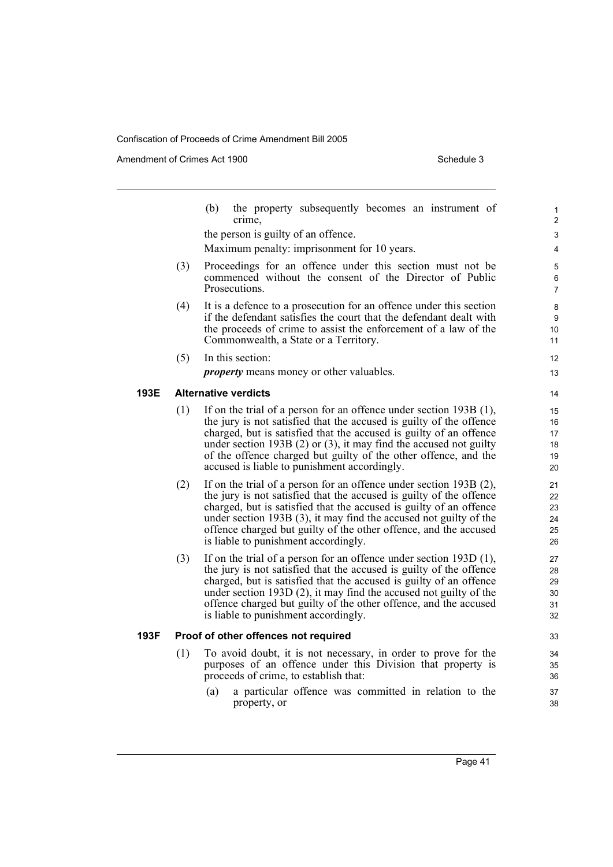Amendment of Crimes Act 1900 Schedule 3

|      |     | (b)<br>the property subsequently becomes an instrument of<br>crime,                                                                                                                                                                                                                                                                                                                                          |  |
|------|-----|--------------------------------------------------------------------------------------------------------------------------------------------------------------------------------------------------------------------------------------------------------------------------------------------------------------------------------------------------------------------------------------------------------------|--|
|      |     | the person is guilty of an offence.                                                                                                                                                                                                                                                                                                                                                                          |  |
|      |     | Maximum penalty: imprisonment for 10 years.                                                                                                                                                                                                                                                                                                                                                                  |  |
|      | (3) | Proceedings for an offence under this section must not be<br>commenced without the consent of the Director of Public<br>Prosecutions.                                                                                                                                                                                                                                                                        |  |
|      | (4) | It is a defence to a prosecution for an offence under this section<br>if the defendant satisfies the court that the defendant dealt with<br>the proceeds of crime to assist the enforcement of a law of the<br>Commonwealth, a State or a Territory.                                                                                                                                                         |  |
|      | (5) | In this section:                                                                                                                                                                                                                                                                                                                                                                                             |  |
|      |     | <i>property</i> means money or other valuables.                                                                                                                                                                                                                                                                                                                                                              |  |
| 193E |     | <b>Alternative verdicts</b>                                                                                                                                                                                                                                                                                                                                                                                  |  |
|      | (1) | If on the trial of a person for an offence under section 193B (1),<br>the jury is not satisfied that the accused is guilty of the offence<br>charged, but is satisfied that the accused is guilty of an offence<br>under section 193B $(2)$ or $(3)$ , it may find the accused not guilty<br>of the offence charged but guilty of the other offence, and the<br>accused is liable to punishment accordingly. |  |
|      | (2) | If on the trial of a person for an offence under section $193B(2)$ ,<br>the jury is not satisfied that the accused is guilty of the offence<br>charged, but is satisfied that the accused is guilty of an offence<br>under section 193B (3), it may find the accused not guilty of the<br>offence charged but guilty of the other offence, and the accused<br>is liable to punishment accordingly.           |  |
|      | (3) | If on the trial of a person for an offence under section $193D(1)$ ,<br>the jury is not satisfied that the accused is guilty of the offence<br>charged, but is satisfied that the accused is guilty of an offence<br>under section 193D (2), it may find the accused not guilty of the<br>offence charged but guilty of the other offence, and the accused<br>is liable to punishment accordingly.           |  |
| 193F |     | Proof of other offences not required                                                                                                                                                                                                                                                                                                                                                                         |  |
|      | (1) | To avoid doubt, it is not necessary, in order to prove for the<br>purposes of an offence under this Division that property is<br>proceeds of crime, to establish that:                                                                                                                                                                                                                                       |  |
|      |     | a particular offence was committed in relation to the<br>(a)<br>property, or                                                                                                                                                                                                                                                                                                                                 |  |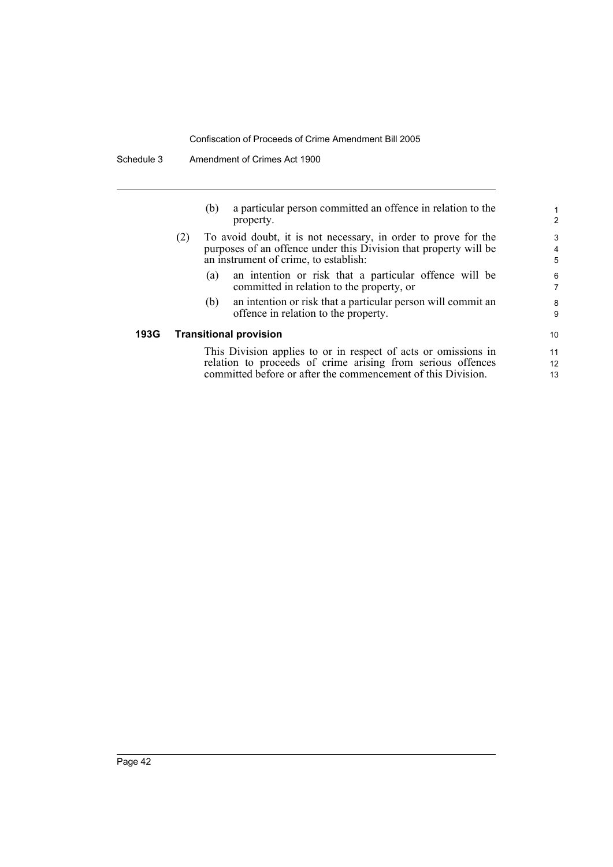| (b) | a particular person committed an offence in relation to the |
|-----|-------------------------------------------------------------|
|     | property.                                                   |

- (2) To avoid doubt, it is not necessary, in order to prove for the purposes of an offence under this Division that property will be an instrument of crime, to establish:
	- (a) an intention or risk that a particular offence will be committed in relation to the property, or
	- (b) an intention or risk that a particular person will commit an offence in relation to the property.

## **193G Transitional provision**

This Division applies to or in respect of acts or omissions in relation to proceeds of crime arising from serious offences committed before or after the commencement of this Division.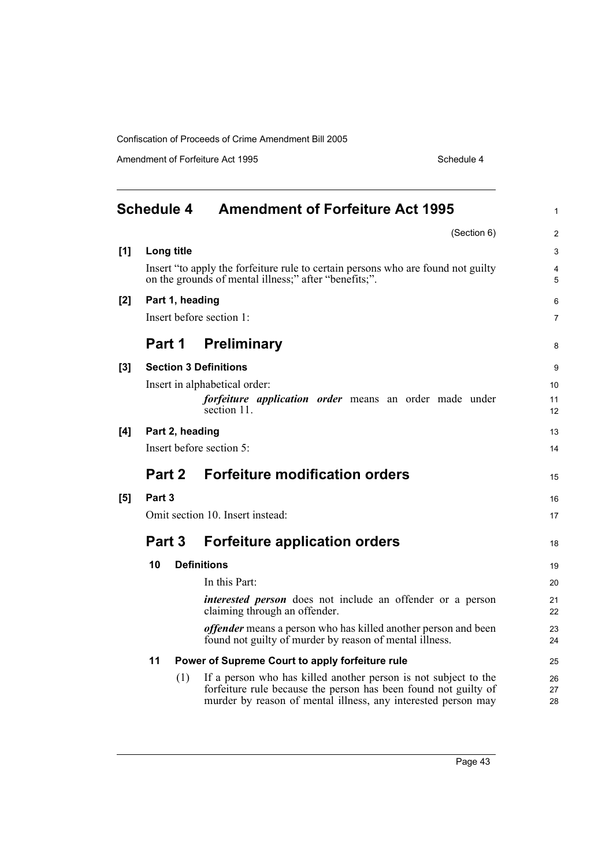Amendment of Forfeiture Act 1995 Schedule 4

<span id="page-58-0"></span>

| Schedule 4 |                                                                                                                                           |            | <b>Amendment of Forfeiture Act 1995</b>                                                                                                                                                             | $\mathbf{1}$   |  |
|------------|-------------------------------------------------------------------------------------------------------------------------------------------|------------|-----------------------------------------------------------------------------------------------------------------------------------------------------------------------------------------------------|----------------|--|
|            |                                                                                                                                           |            | (Section 6)                                                                                                                                                                                         | 2              |  |
| [1]        |                                                                                                                                           | Long title |                                                                                                                                                                                                     | 3              |  |
|            | Insert "to apply the forfeiture rule to certain persons who are found not guilty<br>on the grounds of mental illness;" after "benefits;". |            |                                                                                                                                                                                                     |                |  |
| $[2]$      | Part 1, heading                                                                                                                           |            |                                                                                                                                                                                                     |                |  |
|            | Insert before section 1:                                                                                                                  |            |                                                                                                                                                                                                     |                |  |
|            | Part 1                                                                                                                                    |            | <b>Preliminary</b>                                                                                                                                                                                  | 8              |  |
| [3]        | <b>Section 3 Definitions</b>                                                                                                              |            |                                                                                                                                                                                                     |                |  |
|            |                                                                                                                                           |            | Insert in alphabetical order:                                                                                                                                                                       | 10             |  |
|            |                                                                                                                                           |            | <i>forfeiture application order</i> means an order made under                                                                                                                                       | 11             |  |
|            |                                                                                                                                           |            | section 11.                                                                                                                                                                                         | 12             |  |
| [4]        | Part 2, heading                                                                                                                           |            |                                                                                                                                                                                                     |                |  |
|            | Insert before section 5:                                                                                                                  |            |                                                                                                                                                                                                     |                |  |
|            | Part 2                                                                                                                                    |            | <b>Forfeiture modification orders</b>                                                                                                                                                               | 15             |  |
| [5]        | Part 3                                                                                                                                    |            |                                                                                                                                                                                                     |                |  |
|            | Omit section 10. Insert instead:                                                                                                          |            |                                                                                                                                                                                                     |                |  |
|            | Part 3                                                                                                                                    |            | <b>Forfeiture application orders</b>                                                                                                                                                                | 18             |  |
|            | 10                                                                                                                                        |            | <b>Definitions</b>                                                                                                                                                                                  | 19             |  |
|            |                                                                                                                                           |            | In this Part:                                                                                                                                                                                       | 20             |  |
|            |                                                                                                                                           |            | <i>interested person</i> does not include an offender or a person<br>claiming through an offender.                                                                                                  | 21<br>22       |  |
|            |                                                                                                                                           |            | <i>offender</i> means a person who has killed another person and been<br>found not guilty of murder by reason of mental illness.                                                                    | 23<br>24       |  |
|            | 11<br>Power of Supreme Court to apply forfeiture rule                                                                                     |            |                                                                                                                                                                                                     | 25             |  |
|            |                                                                                                                                           | (1)        | If a person who has killed another person is not subject to the<br>forfeiture rule because the person has been found not guilty of<br>murder by reason of mental illness, any interested person may | 26<br>27<br>28 |  |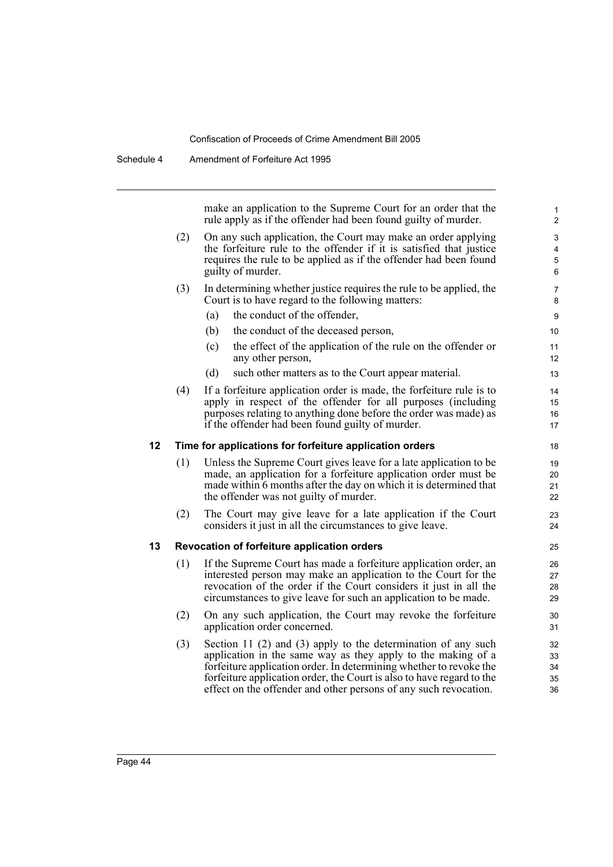make an application to the Supreme Court for an order that the rule apply as if the offender had been found guilty of murder.

- (2) On any such application, the Court may make an order applying the forfeiture rule to the offender if it is satisfied that justice requires the rule to be applied as if the offender had been found guilty of murder.
- (3) In determining whether justice requires the rule to be applied, the Court is to have regard to the following matters:
	- (a) the conduct of the offender,
	- (b) the conduct of the deceased person,
	- (c) the effect of the application of the rule on the offender or any other person,
	- (d) such other matters as to the Court appear material.
- (4) If a forfeiture application order is made, the forfeiture rule is to apply in respect of the offender for all purposes (including purposes relating to anything done before the order was made) as if the offender had been found guilty of murder.

#### **12 Time for applications for forfeiture application orders**

- (1) Unless the Supreme Court gives leave for a late application to be made, an application for a forfeiture application order must be made within 6 months after the day on which it is determined that the offender was not guilty of murder.
- (2) The Court may give leave for a late application if the Court considers it just in all the circumstances to give leave.

#### **13 Revocation of forfeiture application orders**

- (1) If the Supreme Court has made a forfeiture application order, an interested person may make an application to the Court for the revocation of the order if the Court considers it just in all the circumstances to give leave for such an application to be made.
- (2) On any such application, the Court may revoke the forfeiture application order concerned.
- (3) Section 11 (2) and (3) apply to the determination of any such application in the same way as they apply to the making of a forfeiture application order. In determining whether to revoke the forfeiture application order, the Court is also to have regard to the effect on the offender and other persons of any such revocation.